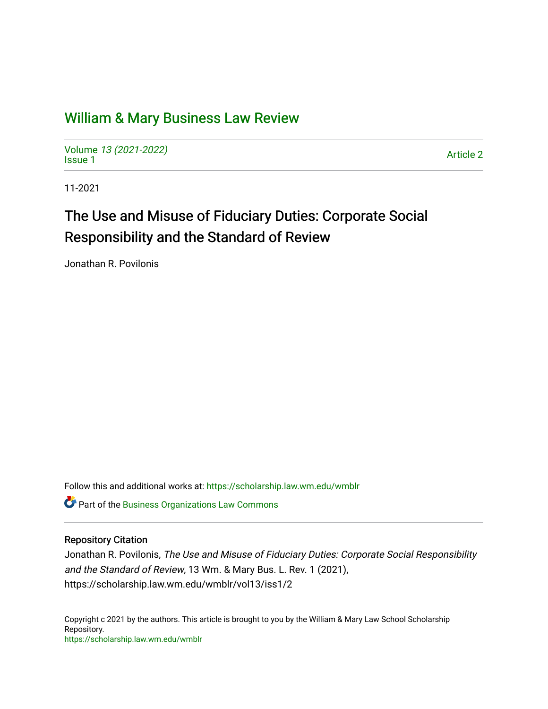## [William & Mary Business Law Review](https://scholarship.law.wm.edu/wmblr)

Volume [13 \(2021-2022\)](https://scholarship.law.wm.edu/wmblr/vol13)  volume 15 (2021-2022)<br>[Issue 1](https://scholarship.law.wm.edu/wmblr/vol13/iss1)

11-2021

# The Use and Misuse of Fiduciary Duties: Corporate Social Responsibility and the Standard of Review

Jonathan R. Povilonis

Follow this and additional works at: [https://scholarship.law.wm.edu/wmblr](https://scholarship.law.wm.edu/wmblr?utm_source=scholarship.law.wm.edu%2Fwmblr%2Fvol13%2Fiss1%2F2&utm_medium=PDF&utm_campaign=PDFCoverPages) 

**Part of the [Business Organizations Law Commons](http://network.bepress.com/hgg/discipline/900?utm_source=scholarship.law.wm.edu%2Fwmblr%2Fvol13%2Fiss1%2F2&utm_medium=PDF&utm_campaign=PDFCoverPages)** 

#### Repository Citation

Jonathan R. Povilonis, The Use and Misuse of Fiduciary Duties: Corporate Social Responsibility and the Standard of Review, 13 Wm. & Mary Bus. L. Rev. 1 (2021), https://scholarship.law.wm.edu/wmblr/vol13/iss1/2

Copyright c 2021 by the authors. This article is brought to you by the William & Mary Law School Scholarship Repository. <https://scholarship.law.wm.edu/wmblr>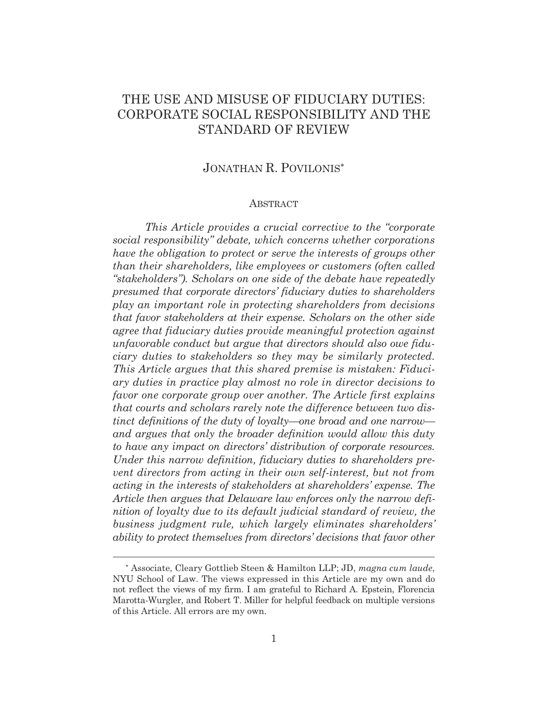## THE USE AND MISUSE OF FIDUCIARY DUTIES: CORPORATE SOCIAL RESPONSIBILITY AND THE STANDARD OF REVIEW

## JONATHAN R. POVILONIS

#### ABSTRACT

*This Article provides a crucial corrective to the "corporate social responsibility" debate, which concerns whether corporations have the obligation to protect or serve the interests of groups other than their shareholders, like employees or customers (often called "stakeholders"). Scholars on one side of the debate have repeatedly presumed that corporate directors' fiduciary duties to shareholders play an important role in protecting shareholders from decisions that favor stakeholders at their expense. Scholars on the other side agree that fiduciary duties provide meaningful protection against unfavorable conduct but argue that directors should also owe fiduciary duties to stakeholders so they may be similarly protected. This Article argues that this shared premise is mistaken: Fiduciary duties in practice play almost no role in director decisions to favor one corporate group over another. The Article first explains that courts and scholars rarely note the difference between two distinct definitions of the duty of loyalty—one broad and one narrow and argues that only the broader definition would allow this duty to have any impact on directors' distribution of corporate resources. Under this narrow definition, fiduciary duties to shareholders prevent directors from acting in their own self-interest, but not from acting in the interests of stakeholders at shareholders' expense. The Article then argues that Delaware law enforces only the narrow definition of loyalty due to its default judicial standard of review, the business judgment rule, which largely eliminates shareholders' ability to protect themselves from directors' decisions that favor other* 

 Associate, Cleary Gottlieb Steen & Hamilton LLP; JD, *magna cum laude*, NYU School of Law. The views expressed in this Article are my own and do not reflect the views of my firm. I am grateful to Richard A. Epstein, Florencia Marotta-Wurgler, and Robert T. Miller for helpful feedback on multiple versions of this Article. All errors are my own.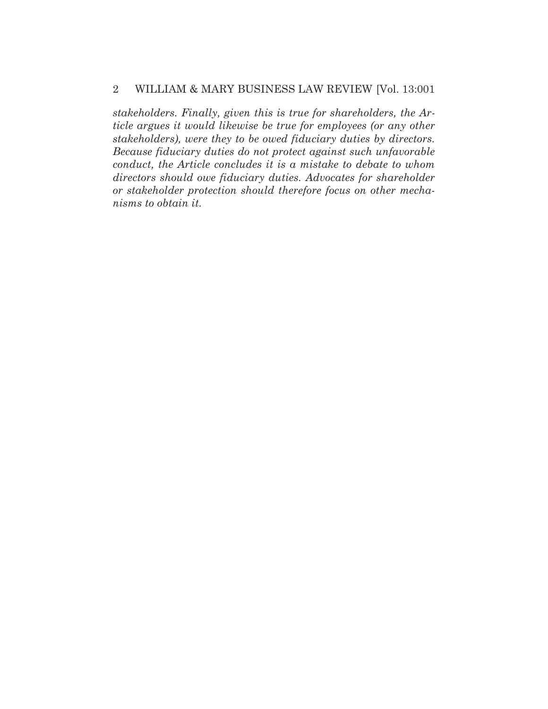*stakeholders. Finally, given this is true for shareholders, the Article argues it would likewise be true for employees (or any other stakeholders), were they to be owed fiduciary duties by directors. Because fiduciary duties do not protect against such unfavorable conduct, the Article concludes it is a mistake to debate to whom directors should owe fiduciary duties. Advocates for shareholder or stakeholder protection should therefore focus on other mechanisms to obtain it.*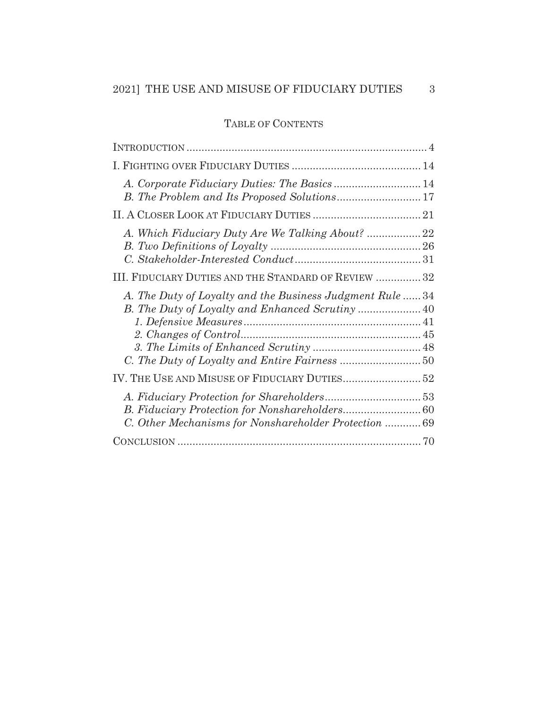## TABLE OF CONTENTS

| III. FIDUCIARY DUTIES AND THE STANDARD OF REVIEW  32     |
|----------------------------------------------------------|
| A. The Duty of Loyalty and the Business Judgment Rule 34 |
|                                                          |
| C. Other Mechanisms for Nonshareholder Protection 69     |
|                                                          |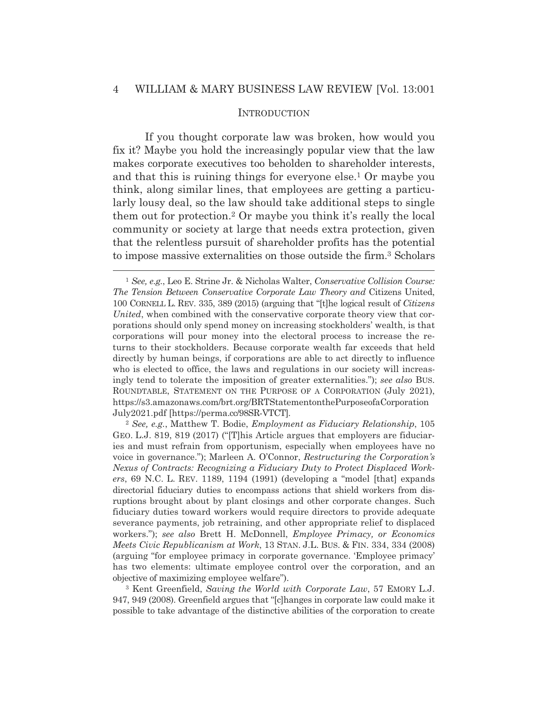#### **INTRODUCTION**

If you thought corporate law was broken, how would you fix it? Maybe you hold the increasingly popular view that the law makes corporate executives too beholden to shareholder interests, and that this is ruining things for everyone else.1 Or maybe you think, along similar lines, that employees are getting a particularly lousy deal, so the law should take additional steps to single them out for protection.2 Or maybe you think it's really the local community or society at large that needs extra protection, given that the relentless pursuit of shareholder profits has the potential to impose massive externalities on those outside the firm.3 Scholars

<sup>1</sup> *See, e.g.*, Leo E. Strine Jr. & Nicholas Walter, *Conservative Collision Course: The Tension Between Conservative Corporate Law Theory and* Citizens United, 100 CORNELL L. REV. 335, 389 (2015) (arguing that "[t]he logical result of *Citizens United*, when combined with the conservative corporate theory view that corporations should only spend money on increasing stockholders' wealth, is that corporations will pour money into the electoral process to increase the returns to their stockholders. Because corporate wealth far exceeds that held directly by human beings, if corporations are able to act directly to influence who is elected to office, the laws and regulations in our society will increasingly tend to tolerate the imposition of greater externalities."); *see also* BUS. ROUNDTABLE, STATEMENT ON THE PURPOSE OF A CORPORATION (July 2021), https://s3.amazonaws.com/brt.org/BRTStatementonthePurposeofaCorporation July2021.pdf [https://perma.cc/98SR-VTCT].

<sup>2</sup> *See, e.g.*, Matthew T. Bodie, *Employment as Fiduciary Relationship*, 105 GEO. L.J. 819, 819 (2017) ("[T]his Article argues that employers are fiduciaries and must refrain from opportunism, especially when employees have no voice in governance."); Marleen A. O'Connor, *Restructuring the Corporation's Nexus of Contracts: Recognizing a Fiduciary Duty to Protect Displaced Workers*, 69 N.C. L. REV. 1189, 1194 (1991) (developing a "model [that] expands directorial fiduciary duties to encompass actions that shield workers from disruptions brought about by plant closings and other corporate changes. Such fiduciary duties toward workers would require directors to provide adequate severance payments, job retraining, and other appropriate relief to displaced workers."); *see also* Brett H. McDonnell, *Employee Primacy, or Economics Meets Civic Republicanism at Work*, 13 STAN. J.L. BUS.&FIN. 334, 334 (2008) (arguing "for employee primacy in corporate governance. 'Employee primacy' has two elements: ultimate employee control over the corporation, and an objective of maximizing employee welfare").

<sup>3</sup> Kent Greenfield, *Saving the World with Corporate Law*, 57 EMORY L.J. 947, 949 (2008). Greenfield argues that "[c]hanges in corporate law could make it possible to take advantage of the distinctive abilities of the corporation to create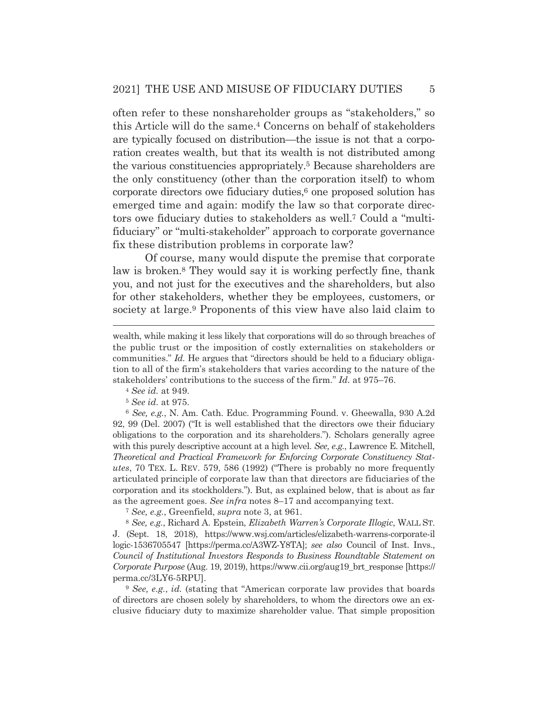often refer to these nonshareholder groups as "stakeholders," so this Article will do the same.4 Concerns on behalf of stakeholders are typically focused on distribution—the issue is not that a corporation creates wealth, but that its wealth is not distributed among the various constituencies appropriately.5 Because shareholders are the only constituency (other than the corporation itself) to whom corporate directors owe fiduciary duties,<sup>6</sup> one proposed solution has emerged time and again: modify the law so that corporate directors owe fiduciary duties to stakeholders as well.7 Could a "multifiduciary" or "multi-stakeholder" approach to corporate governance fix these distribution problems in corporate law?

 Of course, many would dispute the premise that corporate law is broken.8 They would say it is working perfectly fine, thank you, and not just for the executives and the shareholders, but also for other stakeholders, whether they be employees, customers, or society at large.<sup>9</sup> Proponents of this view have also laid claim to

<sup>6</sup> *See, e.g.*, N. Am. Cath. Educ. Programming Found. v. Gheewalla, 930 A.2d 92, 99 (Del. 2007) ("It is well established that the directors owe their fiduciary obligations to the corporation and its shareholders."). Scholars generally agree with this purely descriptive account at a high level. *See, e.g.*, Lawrence E. Mitchell, *Theoretical and Practical Framework for Enforcing Corporate Constituency Statutes*, 70 TEX. L. REV. 579, 586 (1992) ("There is probably no more frequently articulated principle of corporate law than that directors are fiduciaries of the corporation and its stockholders."). But, as explained below, that is about as far as the agreement goes. *See infra* notes 8–17 and accompanying text.

<sup>7</sup> *See, e.g.*, Greenfield, *supra* note 3, at 961.

<sup>8</sup> *See, e.g.*, Richard A. Epstein, *Elizabeth Warren's Corporate Illogic*, WALL ST. J. (Sept. 18, 2018), https://www.wsj.com/articles/elizabeth-warrens-corporate-il logic-1536705547 [https://perma.cc/A3WZ-Y8TA]; *see also* Council of Inst. Invs., *Council of Institutional Investors Responds to Business Roundtable Statement on Corporate Purpose* (Aug. 19, 2019), https://www.cii.org/aug19\_brt\_response [https:// perma.cc/3LY6-5RPU].

<sup>9</sup> *See, e.g.*, *id.* (stating that "American corporate law provides that boards of directors are chosen solely by shareholders, to whom the directors owe an exclusive fiduciary duty to maximize shareholder value. That simple proposition

wealth, while making it less likely that corporations will do so through breaches of the public trust or the imposition of costly externalities on stakeholders or communities." *Id.* He argues that "directors should be held to a fiduciary obligation to all of the firm's stakeholders that varies according to the nature of the stakeholders' contributions to the success of the firm." *Id.* at 975–76. 4 *See id.* at 949.

<sup>5</sup> *See id.* at 975.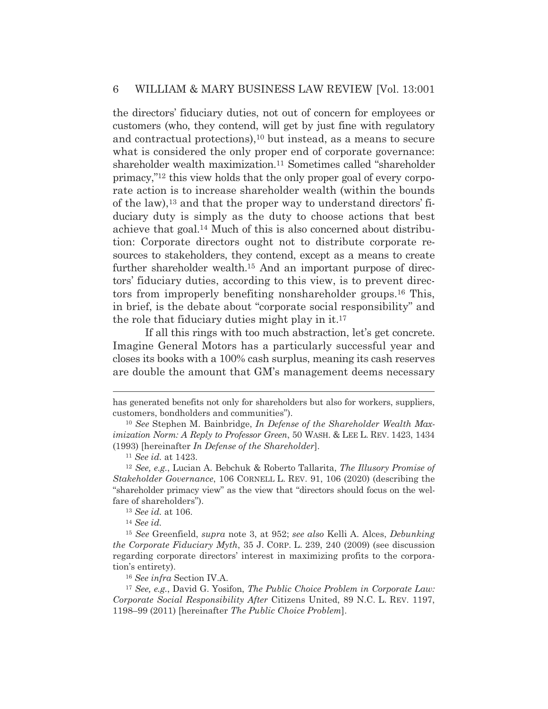the directors' fiduciary duties, not out of concern for employees or customers (who, they contend, will get by just fine with regulatory and contractual protections),<sup>10</sup> but instead, as a means to secure what is considered the only proper end of corporate governance: shareholder wealth maximization.<sup>11</sup> Sometimes called "shareholder" primacy,"12 this view holds that the only proper goal of every corporate action is to increase shareholder wealth (within the bounds of the law),13 and that the proper way to understand directors' fiduciary duty is simply as the duty to choose actions that best achieve that goal.14 Much of this is also concerned about distribution: Corporate directors ought not to distribute corporate resources to stakeholders, they contend, except as a means to create further shareholder wealth.<sup>15</sup> And an important purpose of directors' fiduciary duties, according to this view, is to prevent directors from improperly benefiting nonshareholder groups.16 This, in brief, is the debate about "corporate social responsibility" and the role that fiduciary duties might play in it.17

 If all this rings with too much abstraction, let's get concrete. Imagine General Motors has a particularly successful year and closes its books with a 100% cash surplus, meaning its cash reserves are double the amount that GM's management deems necessary

<sup>13</sup> *See id.* at 106. 14 *See id.*

has generated benefits not only for shareholders but also for workers, suppliers, customers, bondholders and communities").

<sup>10</sup> *See* Stephen M. Bainbridge, *In Defense of the Shareholder Wealth Maximization Norm: A Reply to Professor Green*, 50 WASH.&LEE L. REV. 1423, 1434 (1993) [hereinafter *In Defense of the Shareholder*].

<sup>11</sup> *See id.* at 1423.

<sup>12</sup> *See, e.g.*, Lucian A. Bebchuk & Roberto Tallarita, *The Illusory Promise of Stakeholder Governance*, 106 CORNELL L. REV. 91, 106 (2020) (describing the "shareholder primacy view" as the view that "directors should focus on the welfare of shareholders").

<sup>15</sup> *See* Greenfield, *supra* note 3, at 952; *see also* Kelli A. Alces, *Debunking the Corporate Fiduciary Myth*, 35 J. CORP. L. 239, 240 (2009) (see discussion regarding corporate directors' interest in maximizing profits to the corporation's entirety).

<sup>16</sup> *See infra* Section IV.A.

<sup>17</sup> *See, e.g.*, David G. Yosifon, *The Public Choice Problem in Corporate Law: Corporate Social Responsibility After* Citizens United, 89 N.C. L. REV. 1197, 1198–99 (2011) [hereinafter *The Public Choice Problem*].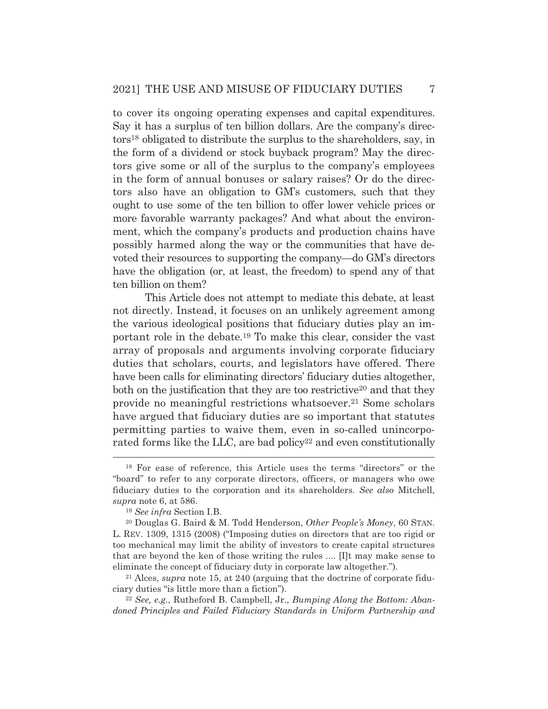to cover its ongoing operating expenses and capital expenditures. Say it has a surplus of ten billion dollars. Are the company's directors18 obligated to distribute the surplus to the shareholders, say, in the form of a dividend or stock buyback program? May the directors give some or all of the surplus to the company's employees in the form of annual bonuses or salary raises? Or do the directors also have an obligation to GM's customers, such that they ought to use some of the ten billion to offer lower vehicle prices or more favorable warranty packages? And what about the environment, which the company's products and production chains have possibly harmed along the way or the communities that have devoted their resources to supporting the company—do GM's directors have the obligation (or, at least, the freedom) to spend any of that ten billion on them?

 This Article does not attempt to mediate this debate, at least not directly. Instead, it focuses on an unlikely agreement among the various ideological positions that fiduciary duties play an important role in the debate.19 To make this clear, consider the vast array of proposals and arguments involving corporate fiduciary duties that scholars, courts, and legislators have offered. There have been calls for eliminating directors' fiduciary duties altogether, both on the justification that they are too restrictive<sup>20</sup> and that they provide no meaningful restrictions whatsoever.21 Some scholars have argued that fiduciary duties are so important that statutes permitting parties to waive them, even in so-called unincorporated forms like the LLC, are bad policy<sup>22</sup> and even constitutionally

<sup>18</sup> For ease of reference, this Article uses the terms "directors" or the "board" to refer to any corporate directors, officers, or managers who owe fiduciary duties to the corporation and its shareholders. *See also* Mitchell, *supra* note 6, at 586.

<sup>19</sup> *See infra* Section I.B.

<sup>20</sup> Douglas G. Baird & M. Todd Henderson, *Other People's Money*, 60 STAN. L. REV. 1309, 1315 (2008) ("Imposing duties on directors that are too rigid or too mechanical may limit the ability of investors to create capital structures that are beyond the ken of those writing the rules .... [I]t may make sense to eliminate the concept of fiduciary duty in corporate law altogether."). 21 Alces, *supra* note 15, at 240 (arguing that the doctrine of corporate fidu-

ciary duties "is little more than a fiction"). 22 *See, e.g.*, Rutheford B. Campbell, Jr., *Bumping Along the Bottom: Aban-*

*doned Principles and Failed Fiduciary Standards in Uniform Partnership and*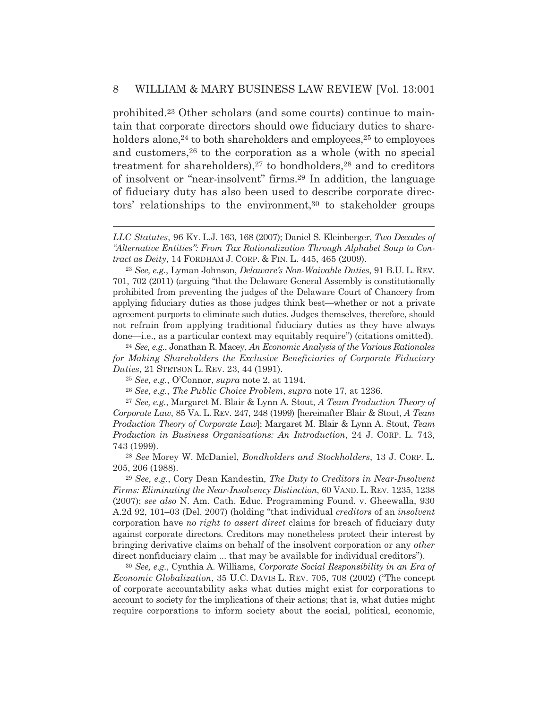prohibited.23 Other scholars (and some courts) continue to maintain that corporate directors should owe fiduciary duties to shareholders alone,<sup>24</sup> to both shareholders and employees,<sup>25</sup> to employees and customers,26 to the corporation as a whole (with no special treatment for shareholders), $27$  to bondholders, $28$  and to creditors of insolvent or "near-insolvent" firms.29 In addition, the language of fiduciary duty has also been used to describe corporate directors' relationships to the environment,<sup>30</sup> to stakeholder groups

<sup>30</sup> *See, e.g.*, Cynthia A. Williams, *Corporate Social Responsibility in an Era of Economic Globalization*, 35 U.C. DAVIS L. REV. 705, 708 (2002) ("The concept of corporate accountability asks what duties might exist for corporations to account to society for the implications of their actions; that is, what duties might require corporations to inform society about the social, political, economic,

*LLC Statutes*, 96 KY. L.J. 163, 168 (2007); Daniel S. Kleinberger, *Two Decades of "Alternative Entities": From Tax Rationalization Through Alphabet Soup to Contract as Deity*, 14 FORDHAM J. CORP.&FIN. L. 445, 465 (2009).

<sup>23</sup> *See, e.g.*, Lyman Johnson, *Delaware's Non-Waivable Duties*, 91 B.U. L. REV. 701, 702 (2011) (arguing "that the Delaware General Assembly is constitutionally prohibited from preventing the judges of the Delaware Court of Chancery from applying fiduciary duties as those judges think best—whether or not a private agreement purports to eliminate such duties. Judges themselves, therefore, should not refrain from applying traditional fiduciary duties as they have always done—i.e., as a particular context may equitably require") (citations omitted). 24 *See, e.g.*, Jonathan R. Macey, *An Economic Analysis of the Various Rationales* 

*for Making Shareholders the Exclusive Beneficiaries of Corporate Fiduciary Duties*, 21 STETSON L. REV. 23, 44 (1991).

<sup>25</sup> *See, e.g.*, O'Connor, *supra* note 2, at 1194.

<sup>26</sup> *See, e.g.*, *The Public Choice Problem*, *supra* note 17, at 1236.

<sup>27</sup> *See, e.g.*, Margaret M. Blair & Lynn A. Stout, *A Team Production Theory of Corporate Law*, 85 VA. L. REV. 247, 248 (1999) [hereinafter Blair & Stout, *A Team Production Theory of Corporate Law*]; Margaret M. Blair & Lynn A. Stout, *Team Production in Business Organizations: An Introduction*, 24 J. CORP. L. 743, 743 (1999).

<sup>28</sup> *See* Morey W. McDaniel, *Bondholders and Stockholders*, 13 J. CORP. L. 205, 206 (1988).

<sup>29</sup> *See, e.g.*, Cory Dean Kandestin, *The Duty to Creditors in Near-Insolvent Firms: Eliminating the Near-Insolvency Distinction*, 60 VAND. L. REV. 1235, 1238 (2007); *see also* N. Am. Cath. Educ. Programming Found. v. Gheewalla, 930 A.2d 92, 101–03 (Del. 2007) (holding "that individual *creditors* of an *insolvent* corporation have *no right to assert direct* claims for breach of fiduciary duty against corporate directors. Creditors may nonetheless protect their interest by bringing derivative claims on behalf of the insolvent corporation or any *other* direct nonfiduciary claim ... that may be available for individual creditors").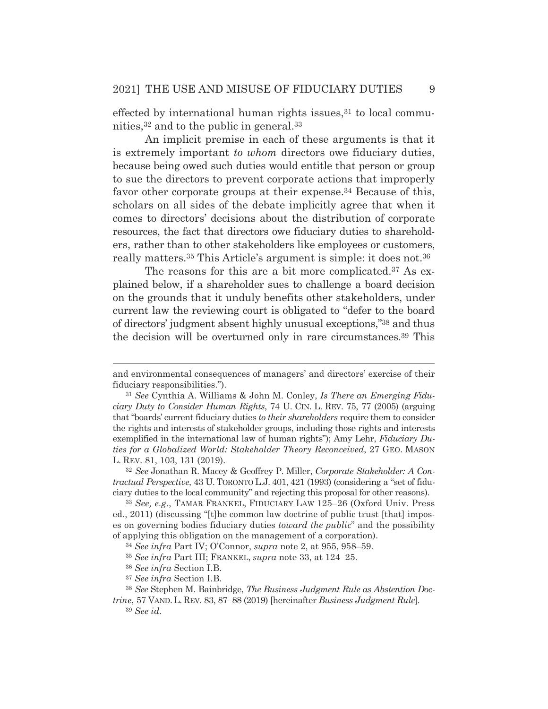effected by international human rights issues, $31$  to local communities,32 and to the public in general.33

 An implicit premise in each of these arguments is that it is extremely important *to whom* directors owe fiduciary duties, because being owed such duties would entitle that person or group to sue the directors to prevent corporate actions that improperly favor other corporate groups at their expense.<sup>34</sup> Because of this, scholars on all sides of the debate implicitly agree that when it comes to directors' decisions about the distribution of corporate resources, the fact that directors owe fiduciary duties to shareholders, rather than to other stakeholders like employees or customers, really matters.35 This Article's argument is simple: it does not.36

The reasons for this are a bit more complicated.<sup>37</sup> As explained below, if a shareholder sues to challenge a board decision on the grounds that it unduly benefits other stakeholders, under current law the reviewing court is obligated to "defer to the board of directors' judgment absent highly unusual exceptions,"38 and thus the decision will be overturned only in rare circumstances.39 This

<sup>33</sup> *See, e.g.*, TAMAR FRANKEL, FIDUCIARY LAW 125–26 (Oxford Univ. Press ed., 2011) (discussing "[t]he common law doctrine of public trust [that] imposes on governing bodies fiduciary duties *toward the public*" and the possibility of applying this obligation on the management of a corporation).

and environmental consequences of managers' and directors' exercise of their fiduciary responsibilities.").

<sup>31</sup> *See* Cynthia A. Williams & John M. Conley, *Is There an Emerging Fiduciary Duty to Consider Human Rights*, 74 U. CIN. L. REV. 75, 77 (2005) (arguing that "boards' current fiduciary duties *to their shareholders* require them to consider the rights and interests of stakeholder groups, including those rights and interests exemplified in the international law of human rights"); Amy Lehr, *Fiduciary Duties for a Globalized World: Stakeholder Theory Reconceived*, 27 GEO. MASON L. REV. 81, 103, 131 (2019).

<sup>32</sup> *See* Jonathan R. Macey & Geoffrey P. Miller, *Corporate Stakeholder: A Contractual Perspective*, 43 U. TORONTO L.J. 401, 421 (1993) (considering a "set of fiduciary duties to the local community" and rejecting this proposal for other reasons).

<sup>34</sup> *See infra* Part IV; O'Connor, *supra* note 2, at 955, 958–59.

<sup>35</sup> *See infra* Part III; FRANKEL, *supra* note 33, at 124–25.

<sup>36</sup> *See infra* Section I.B.

<sup>37</sup> *See infra* Section I.B.

<sup>38</sup> *See* Stephen M. Bainbridge, *The Business Judgment Rule as Abstention Doc-*

*trine*, 57 VAND. L. REV. 83, 87–88 (2019) [hereinafter *Business Judgment Rule*]. <sup>39</sup> *See id.*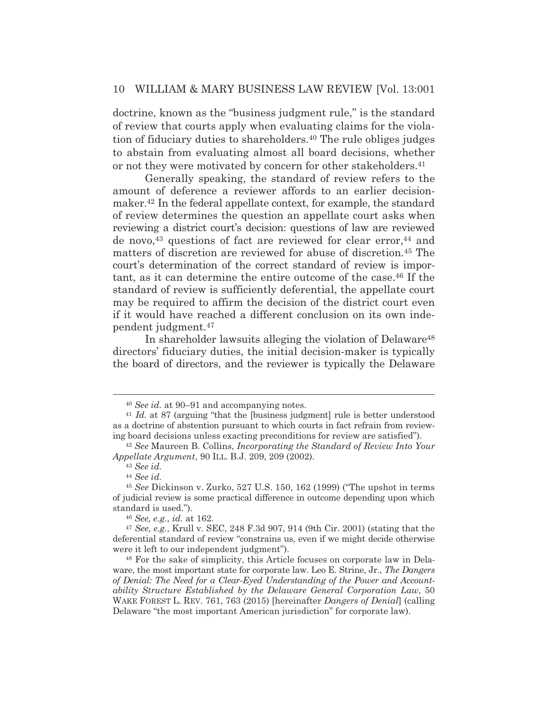doctrine, known as the "business judgment rule," is the standard of review that courts apply when evaluating claims for the violation of fiduciary duties to shareholders.40 The rule obliges judges to abstain from evaluating almost all board decisions, whether or not they were motivated by concern for other stakeholders.<sup>41</sup>

 Generally speaking, the standard of review refers to the amount of deference a reviewer affords to an earlier decisionmaker.42 In the federal appellate context, for example, the standard of review determines the question an appellate court asks when reviewing a district court's decision: questions of law are reviewed de novo,<sup>43</sup> questions of fact are reviewed for clear error,<sup>44</sup> and matters of discretion are reviewed for abuse of discretion.45 The court's determination of the correct standard of review is important, as it can determine the entire outcome of the case.46 If the standard of review is sufficiently deferential, the appellate court may be required to affirm the decision of the district court even if it would have reached a different conclusion on its own independent judgment.47

 In shareholder lawsuits alleging the violation of Delaware48 directors' fiduciary duties, the initial decision-maker is typically the board of directors, and the reviewer is typically the Delaware

<sup>&</sup>lt;sup>40</sup> *See id.* at 90–91 and accompanying notes.<br><sup>41</sup> *Id.* at 87 (arguing "that the [business judgment] rule is better understood as a doctrine of abstention pursuant to which courts in fact refrain from reviewing board decisions unless exacting preconditions for review are satisfied"). 42 *See* Maureen B. Collins, *Incorporating the Standard of Review Into Your* 

*Appellate Argument*, 90 ILL. B.J. 209, 209 (2002).

<sup>43</sup> *See id.*

<sup>44</sup> *See id.*

<sup>45</sup> *See* Dickinson v. Zurko, 527 U.S. 150, 162 (1999) ("The upshot in terms of judicial review is some practical difference in outcome depending upon which standard is used.").

<sup>46</sup> *See, e.g.*, *id.* at 162.

<sup>47</sup> *See, e.g.*, Krull v. SEC, 248 F.3d 907, 914 (9th Cir. 2001) (stating that the deferential standard of review "constrains us, even if we might decide otherwise were it left to our independent judgment").

<sup>48</sup> For the sake of simplicity, this Article focuses on corporate law in Delaware, the most important state for corporate law. Leo E. Strine, Jr., *The Dangers of Denial: The Need for a Clear-Eyed Understanding of the Power and Accountability Structure Established by the Delaware General Corporation Law*, 50 WAKE FOREST L. REV. 761, 763 (2015) [hereinafter *Dangers of Denial*] (calling Delaware "the most important American jurisdiction" for corporate law).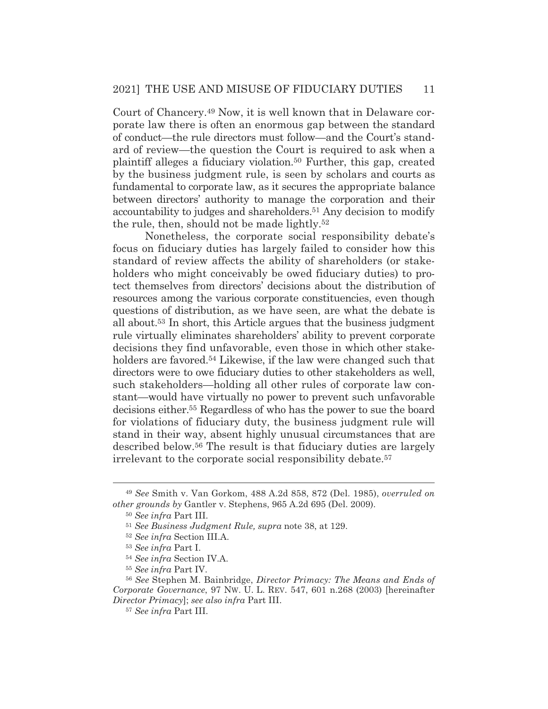Court of Chancery.49 Now, it is well known that in Delaware corporate law there is often an enormous gap between the standard of conduct—the rule directors must follow—and the Court's standard of review—the question the Court is required to ask when a plaintiff alleges a fiduciary violation.50 Further, this gap, created by the business judgment rule, is seen by scholars and courts as fundamental to corporate law, as it secures the appropriate balance between directors' authority to manage the corporation and their accountability to judges and shareholders.51 Any decision to modify the rule, then, should not be made lightly.52

Nonetheless, the corporate social responsibility debate's focus on fiduciary duties has largely failed to consider how this standard of review affects the ability of shareholders (or stakeholders who might conceivably be owed fiduciary duties) to protect themselves from directors' decisions about the distribution of resources among the various corporate constituencies, even though questions of distribution, as we have seen, are what the debate is all about.53 In short, this Article argues that the business judgment rule virtually eliminates shareholders' ability to prevent corporate decisions they find unfavorable, even those in which other stakeholders are favored.<sup>54</sup> Likewise, if the law were changed such that directors were to owe fiduciary duties to other stakeholders as well, such stakeholders—holding all other rules of corporate law constant—would have virtually no power to prevent such unfavorable decisions either.55 Regardless of who has the power to sue the board for violations of fiduciary duty, the business judgment rule will stand in their way, absent highly unusual circumstances that are described below.56 The result is that fiduciary duties are largely irrelevant to the corporate social responsibility debate.<sup>57</sup>

<sup>49</sup> *See* Smith v. Van Gorkom, 488 A.2d 858, 872 (Del. 1985), *overruled on other grounds by* Gantler v. Stephens, 965 A.2d 695 (Del. 2009).

<sup>50</sup> *See infra* Part III.

<sup>51</sup> *See Business Judgment Rule, supra* note 38, at 129.

<sup>52</sup> *See infra* Section III.A.

<sup>53</sup> *See infra* Part I.

<sup>54</sup> *See infra* Section IV.A.

<sup>55</sup> *See infra* Part IV.

<sup>56</sup> *See* Stephen M. Bainbridge, *Director Primacy: The Means and Ends of Corporate Governance*, 97 NW. U. L. REV. 547, 601 n.268 (2003) [hereinafter *Director Primacy*]; *see also infra* Part III.

<sup>57</sup> *See infra* Part III.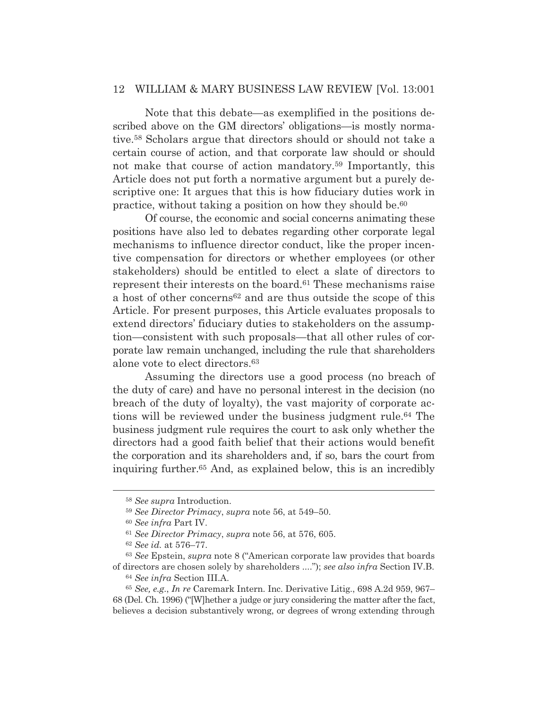Note that this debate—as exemplified in the positions described above on the GM directors' obligations—is mostly normative.58 Scholars argue that directors should or should not take a certain course of action, and that corporate law should or should not make that course of action mandatory.59 Importantly, this Article does not put forth a normative argument but a purely descriptive one: It argues that this is how fiduciary duties work in practice, without taking a position on how they should be.60

 Of course, the economic and social concerns animating these positions have also led to debates regarding other corporate legal mechanisms to influence director conduct, like the proper incentive compensation for directors or whether employees (or other stakeholders) should be entitled to elect a slate of directors to represent their interests on the board.<sup>61</sup> These mechanisms raise a host of other concerns62 and are thus outside the scope of this Article. For present purposes, this Article evaluates proposals to extend directors' fiduciary duties to stakeholders on the assumption—consistent with such proposals—that all other rules of corporate law remain unchanged, including the rule that shareholders alone vote to elect directors.63

 Assuming the directors use a good process (no breach of the duty of care) and have no personal interest in the decision (no breach of the duty of loyalty), the vast majority of corporate actions will be reviewed under the business judgment rule.64 The business judgment rule requires the court to ask only whether the directors had a good faith belief that their actions would benefit the corporation and its shareholders and, if so, bars the court from inquiring further.65 And, as explained below, this is an incredibly

<sup>58</sup> *See supra* Introduction.

<sup>59</sup> *See Director Primacy*, *supra* note 56, at 549–50.

<sup>60</sup> *See infra* Part IV.

<sup>61</sup> *See Director Primacy*, *supra* note 56, at 576, 605.

<sup>62</sup> *See id.* at 576–77.

<sup>63</sup> *See* Epstein, *supra* note 8 ("American corporate law provides that boards of directors are chosen solely by shareholders ...."); *see also infra* Section IV.B.

<sup>64</sup> *See infra* Section III.A.

<sup>65</sup> *See, e.g.*, *In re* Caremark Intern. Inc. Derivative Litig., 698 A.2d 959, 967– 68 (Del. Ch. 1996) ("[W]hether a judge or jury considering the matter after the fact, believes a decision substantively wrong, or degrees of wrong extending through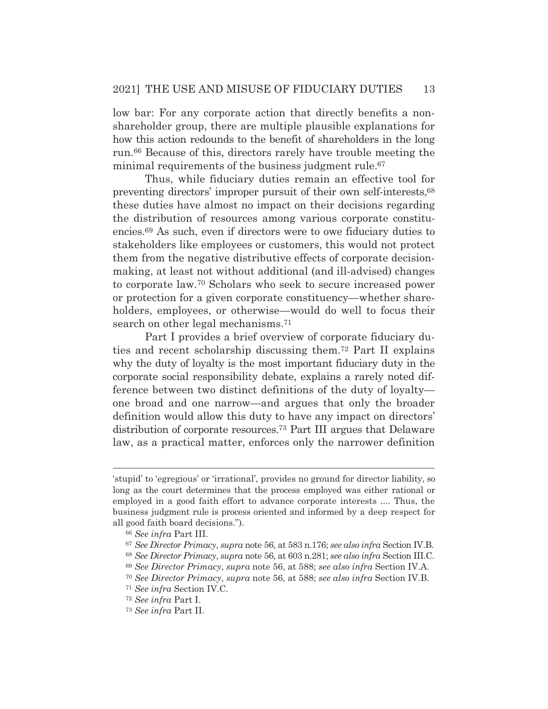low bar: For any corporate action that directly benefits a nonshareholder group, there are multiple plausible explanations for how this action redounds to the benefit of shareholders in the long run.66 Because of this, directors rarely have trouble meeting the minimal requirements of the business judgment rule.<sup>67</sup>

 Thus, while fiduciary duties remain an effective tool for preventing directors' improper pursuit of their own self-interests,68 these duties have almost no impact on their decisions regarding the distribution of resources among various corporate constituencies.69 As such, even if directors were to owe fiduciary duties to stakeholders like employees or customers, this would not protect them from the negative distributive effects of corporate decisionmaking, at least not without additional (and ill-advised) changes to corporate law.70 Scholars who seek to secure increased power or protection for a given corporate constituency—whether shareholders, employees, or otherwise—would do well to focus their search on other legal mechanisms.<sup>71</sup>

 Part I provides a brief overview of corporate fiduciary duties and recent scholarship discussing them.72 Part II explains why the duty of loyalty is the most important fiduciary duty in the corporate social responsibility debate, explains a rarely noted difference between two distinct definitions of the duty of loyalty one broad and one narrow—and argues that only the broader definition would allow this duty to have any impact on directors' distribution of corporate resources.73 Part III argues that Delaware law, as a practical matter, enforces only the narrower definition

<sup>&#</sup>x27;stupid' to 'egregious' or 'irrational', provides no ground for director liability, so long as the court determines that the process employed was either rational or employed in a good faith effort to advance corporate interests .... Thus, the business judgment rule is process oriented and informed by a deep respect for all good faith board decisions.").

<sup>66</sup> *See infra* Part III.

<sup>67</sup> *See Director Primacy*, *supra* note 56, at 583 n.176; *see also infra* Section IV.B.

<sup>68</sup> *See Director Primacy*, *supra* note 56, at 603 n.281; *see also infra* Section III.C.

<sup>69</sup> *See Director Primacy*, *supra* note 56, at 588; *see also infra* Section IV.A.

<sup>70</sup> *See Director Primacy*, *supra* note 56, at 588; *see also infra* Section IV.B.

<sup>71</sup> *See infra* Section IV.C.

<sup>72</sup> *See infra* Part I.

<sup>73</sup> *See infra* Part II.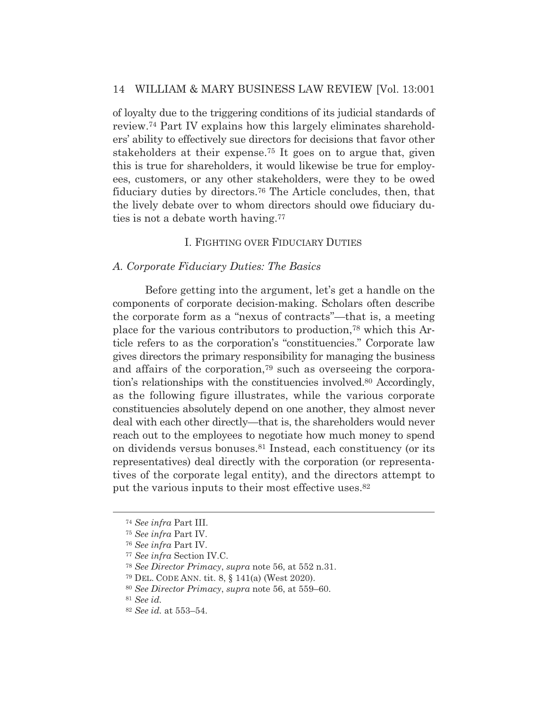of loyalty due to the triggering conditions of its judicial standards of review.74 Part IV explains how this largely eliminates shareholders' ability to effectively sue directors for decisions that favor other stakeholders at their expense.75 It goes on to argue that, given this is true for shareholders, it would likewise be true for employees, customers, or any other stakeholders, were they to be owed fiduciary duties by directors.76 The Article concludes, then, that the lively debate over to whom directors should owe fiduciary duties is not a debate worth having.77

## I. FIGHTING OVER FIDUCIARY DUTIES

#### *A. Corporate Fiduciary Duties: The Basics*

Before getting into the argument, let's get a handle on the components of corporate decision-making. Scholars often describe the corporate form as a "nexus of contracts"—that is, a meeting place for the various contributors to production,78 which this Article refers to as the corporation's "constituencies." Corporate law gives directors the primary responsibility for managing the business and affairs of the corporation,79 such as overseeing the corporation's relationships with the constituencies involved.80 Accordingly, as the following figure illustrates, while the various corporate constituencies absolutely depend on one another, they almost never deal with each other directly—that is, the shareholders would never reach out to the employees to negotiate how much money to spend on dividends versus bonuses.81 Instead, each constituency (or its representatives) deal directly with the corporation (or representatives of the corporate legal entity), and the directors attempt to put the various inputs to their most effective uses.<sup>82</sup>

<sup>74</sup> *See infra* Part III.

<sup>75</sup> *See infra* Part IV.

<sup>76</sup> *See infra* Part IV.

<sup>77</sup> *See infra* Section IV.C.

<sup>78</sup> *See Director Primacy*, *supra* note 56, at 552 n.31.

<sup>79</sup> DEL. CODE ANN. tit. 8, § 141(a) (West 2020).

<sup>80</sup> *See Director Primacy*, *supra* note 56, at 559–60.

<sup>81</sup> *See id.* 

<sup>82</sup> *See id.* at 553–54.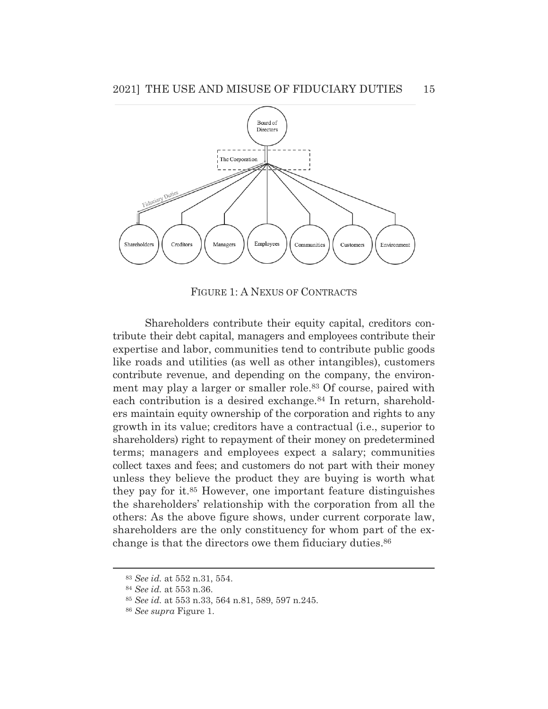

FIGURE 1: A NEXUS OF CONTRACTS

 Shareholders contribute their equity capital, creditors contribute their debt capital, managers and employees contribute their expertise and labor, communities tend to contribute public goods like roads and utilities (as well as other intangibles), customers contribute revenue, and depending on the company, the environment may play a larger or smaller role.<sup>83</sup> Of course, paired with each contribution is a desired exchange.<sup>84</sup> In return, shareholders maintain equity ownership of the corporation and rights to any growth in its value; creditors have a contractual (i.e., superior to shareholders) right to repayment of their money on predetermined terms; managers and employees expect a salary; communities collect taxes and fees; and customers do not part with their money unless they believe the product they are buying is worth what they pay for it.85 However, one important feature distinguishes the shareholders' relationship with the corporation from all the others: As the above figure shows, under current corporate law, shareholders are the only constituency for whom part of the exchange is that the directors owe them fiduciary duties.86

<sup>83</sup> *See id.* at 552 n.31, 554.

<sup>84</sup> *See id.* at 553 n.36.

<sup>85</sup> *See id.* at 553 n.33, 564 n.81, 589, 597 n.245.

<sup>86</sup> *See supra* Figure 1.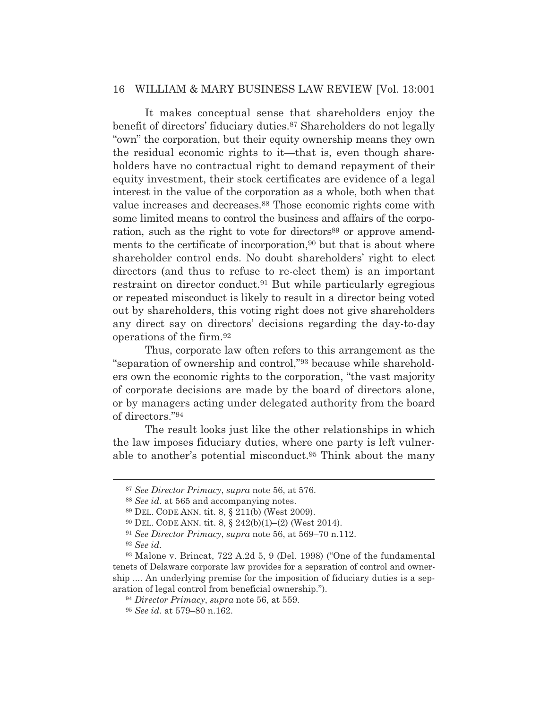It makes conceptual sense that shareholders enjoy the benefit of directors' fiduciary duties.87 Shareholders do not legally "own" the corporation, but their equity ownership means they own the residual economic rights to it—that is, even though shareholders have no contractual right to demand repayment of their equity investment, their stock certificates are evidence of a legal interest in the value of the corporation as a whole, both when that value increases and decreases.88 Those economic rights come with some limited means to control the business and affairs of the corporation, such as the right to vote for directors<sup>89</sup> or approve amendments to the certificate of incorporation,<sup>90</sup> but that is about where shareholder control ends. No doubt shareholders' right to elect directors (and thus to refuse to re-elect them) is an important restraint on director conduct.91 But while particularly egregious or repeated misconduct is likely to result in a director being voted out by shareholders, this voting right does not give shareholders any direct say on directors' decisions regarding the day-to-day operations of the firm.92

 Thus, corporate law often refers to this arrangement as the "separation of ownership and control,"93 because while shareholders own the economic rights to the corporation, "the vast majority of corporate decisions are made by the board of directors alone, or by managers acting under delegated authority from the board of directors."94

 The result looks just like the other relationships in which the law imposes fiduciary duties, where one party is left vulnerable to another's potential misconduct.95 Think about the many

<sup>87</sup> *See Director Primacy*, *supra* note 56, at 576.

<sup>88</sup> *See id.* at 565 and accompanying notes.

<sup>89</sup> DEL. CODE ANN. tit. 8, § 211(b) (West 2009).

<sup>90</sup> DEL. CODE ANN. tit. 8, § 242(b)(1)–(2) (West 2014).

<sup>91</sup> *See Director Primacy*, *supra* note 56, at 569–70 n.112.

<sup>92</sup> *See id.*

<sup>93</sup> Malone v. Brincat, 722 A.2d 5, 9 (Del. 1998) ("One of the fundamental tenets of Delaware corporate law provides for a separation of control and ownership .... An underlying premise for the imposition of fiduciary duties is a separation of legal control from beneficial ownership.").

<sup>94</sup> *Director Primacy*, *supra* note 56, at 559.

<sup>95</sup> *See id.* at 579–80 n.162.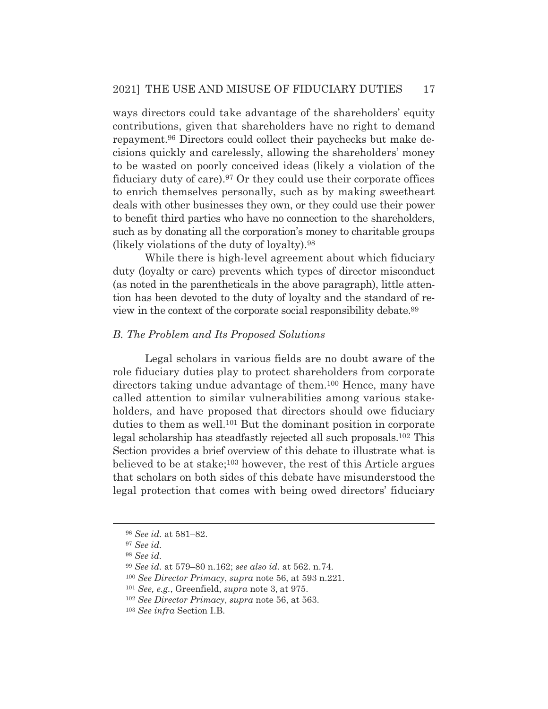ways directors could take advantage of the shareholders' equity contributions, given that shareholders have no right to demand repayment.96 Directors could collect their paychecks but make decisions quickly and carelessly, allowing the shareholders' money to be wasted on poorly conceived ideas (likely a violation of the fiduciary duty of care).97 Or they could use their corporate offices to enrich themselves personally, such as by making sweetheart deals with other businesses they own, or they could use their power to benefit third parties who have no connection to the shareholders, such as by donating all the corporation's money to charitable groups (likely violations of the duty of loyalty).98

 While there is high-level agreement about which fiduciary duty (loyalty or care) prevents which types of director misconduct (as noted in the parentheticals in the above paragraph), little attention has been devoted to the duty of loyalty and the standard of review in the context of the corporate social responsibility debate.99

### *B. The Problem and Its Proposed Solutions*

Legal scholars in various fields are no doubt aware of the role fiduciary duties play to protect shareholders from corporate directors taking undue advantage of them.100 Hence, many have called attention to similar vulnerabilities among various stakeholders, and have proposed that directors should owe fiduciary duties to them as well.101 But the dominant position in corporate legal scholarship has steadfastly rejected all such proposals.102 This Section provides a brief overview of this debate to illustrate what is believed to be at stake;103 however, the rest of this Article argues that scholars on both sides of this debate have misunderstood the legal protection that comes with being owed directors' fiduciary

<sup>96</sup> *See id.* at 581–82.

<sup>97</sup> *See id.* 

<sup>98</sup> *See id.* 

<sup>99</sup> *See id.* at 579–80 n.162; *see also id.* at 562. n.74.

<sup>100</sup> *See Director Primacy*, *supra* note 56, at 593 n.221.

<sup>101</sup> *See, e.g.*, Greenfield, *supra* note 3, at 975.

<sup>102</sup> *See Director Primacy*, *supra* note 56, at 563.

<sup>103</sup> *See infra* Section I.B.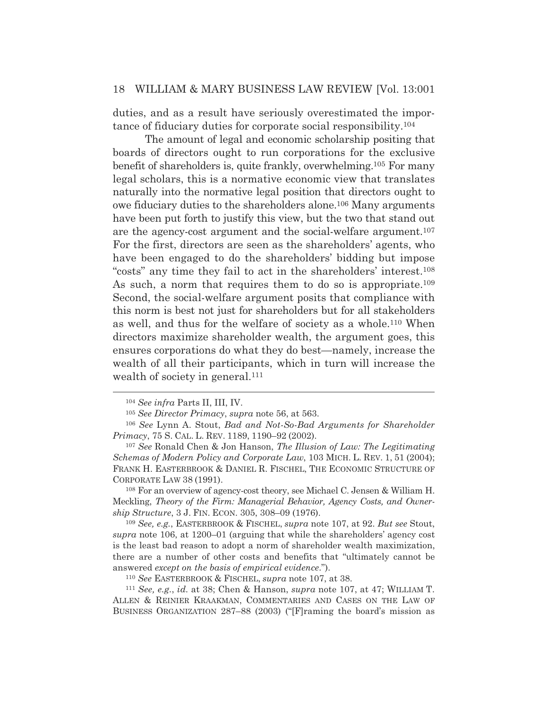duties, and as a result have seriously overestimated the importance of fiduciary duties for corporate social responsibility.104

 The amount of legal and economic scholarship positing that boards of directors ought to run corporations for the exclusive benefit of shareholders is, quite frankly, overwhelming.105 For many legal scholars, this is a normative economic view that translates naturally into the normative legal position that directors ought to owe fiduciary duties to the shareholders alone.106 Many arguments have been put forth to justify this view, but the two that stand out are the agency-cost argument and the social-welfare argument.107 For the first, directors are seen as the shareholders' agents, who have been engaged to do the shareholders' bidding but impose "costs" any time they fail to act in the shareholders' interest.108 As such, a norm that requires them to do so is appropriate.<sup>109</sup> Second, the social-welfare argument posits that compliance with this norm is best not just for shareholders but for all stakeholders as well, and thus for the welfare of society as a whole.110 When directors maximize shareholder wealth, the argument goes, this ensures corporations do what they do best—namely, increase the wealth of all their participants, which in turn will increase the wealth of society in general.<sup>111</sup>

108 For an overview of agency-cost theory, see Michael C. Jensen & William H. Meckling, *Theory of the Firm: Managerial Behavior, Agency Costs, and Ownership Structure*, 3 J. FIN. ECON. 305, 308–09 (1976).

<sup>109</sup> *See, e.g.*, EASTERBROOK & FISCHEL, *supra* note 107, at 92. *But see* Stout, *supra* note 106, at 1200–01 (arguing that while the shareholders' agency cost is the least bad reason to adopt a norm of shareholder wealth maximization, there are a number of other costs and benefits that "ultimately cannot be answered *except on the basis of empirical evidence*.").

<sup>110</sup> *See* EASTERBROOK & FISCHEL, *supra* note 107, at 38. 111 *See, e.g.*, *id.* at 38; Chen & Hanson, *supra* note 107, at 47; WILLIAM T. ALLEN & REINIER KRAAKMAN, COMMENTARIES AND CASES ON THE LAW OF BUSINESS ORGANIZATION 287–88 (2003) ("[F]raming the board's mission as

<sup>104</sup> *See infra* Parts II, III, IV.

<sup>105</sup> *See Director Primacy*, *supra* note 56, at 563.

<sup>106</sup> *See* Lynn A. Stout, *Bad and Not-So-Bad Arguments for Shareholder Primacy*, 75 S. CAL. L. REV. 1189, 1190–92 (2002).

<sup>107</sup> *See* Ronald Chen & Jon Hanson, *The Illusion of Law: The Legitimating Schemas of Modern Policy and Corporate Law*, 103 MICH. L. REV. 1, 51 (2004); FRANK H. EASTERBROOK & DANIEL R. FISCHEL, THE ECONOMIC STRUCTURE OF CORPORATE LAW 38 (1991).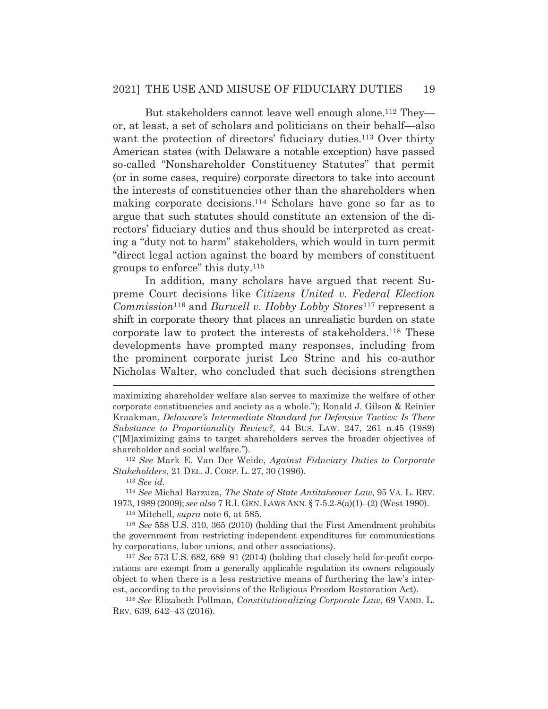But stakeholders cannot leave well enough alone.<sup>112</sup> They or, at least, a set of scholars and politicians on their behalf—also want the protection of directors' fiduciary duties.<sup>113</sup> Over thirty American states (with Delaware a notable exception) have passed so-called "Nonshareholder Constituency Statutes" that permit (or in some cases, require) corporate directors to take into account the interests of constituencies other than the shareholders when making corporate decisions.114 Scholars have gone so far as to argue that such statutes should constitute an extension of the directors' fiduciary duties and thus should be interpreted as creating a "duty not to harm" stakeholders, which would in turn permit "direct legal action against the board by members of constituent groups to enforce" this duty.115

 In addition, many scholars have argued that recent Supreme Court decisions like *Citizens United v. Federal Election Commission*116 and *Burwell v. Hobby Lobby Stores*117 represent a shift in corporate theory that places an unrealistic burden on state corporate law to protect the interests of stakeholders.118 These developments have prompted many responses, including from the prominent corporate jurist Leo Strine and his co-author Nicholas Walter, who concluded that such decisions strengthen

*Stakeholders*, 21 DEL. J. CORP. L. 27, 30 (1996).

<sup>113</sup> *See id.*

<sup>114</sup> *See* Michal Barzuza, *The State of State Antitakeover Law*, 95 VA. L. REV. 1973, 1989 (2009); *see also* 7 R.I. GEN. LAWS ANN. § 7-5.2-8(a)(1)–(2) (West 1990).

115 Mitchell, *supra* note 6, at 585.

<sup>116</sup> *See* 558 U.S. 310, 365 (2010) (holding that the First Amendment prohibits the government from restricting independent expenditures for communications by corporations, labor unions, and other associations).

<sup>117</sup> *See* 573 U.S. 682, 689–91 (2014) (holding that closely held for-profit corporations are exempt from a generally applicable regulation its owners religiously object to when there is a less restrictive means of furthering the law's interest, according to the provisions of the Religious Freedom Restoration Act).

<sup>118</sup> *See* Elizabeth Pollman, *Constitutionalizing Corporate Law*, 69 VAND. L. REV. 639, 642–43 (2016).

maximizing shareholder welfare also serves to maximize the welfare of other corporate constituencies and society as a whole."); Ronald J. Gilson & Reinier Kraakman, *Delaware's Intermediate Standard for Defensive Tactics: Is There Substance to Proportionality Review?*, 44 BUS. LAW. 247, 261 n.45 (1989) ("[M]aximizing gains to target shareholders serves the broader objectives of shareholder and social welfare."). 112 *See* Mark E. Van Der Weide, *Against Fiduciary Duties to Corporate*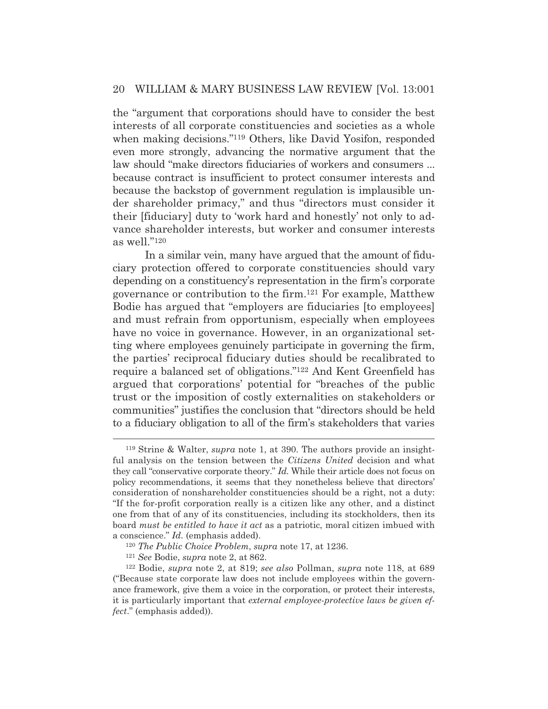the "argument that corporations should have to consider the best interests of all corporate constituencies and societies as a whole when making decisions."119 Others, like David Yosifon, responded even more strongly, advancing the normative argument that the law should "make directors fiduciaries of workers and consumers ... because contract is insufficient to protect consumer interests and because the backstop of government regulation is implausible under shareholder primacy," and thus "directors must consider it their [fiduciary] duty to 'work hard and honestly' not only to advance shareholder interests, but worker and consumer interests as well."120

 In a similar vein, many have argued that the amount of fiduciary protection offered to corporate constituencies should vary depending on a constituency's representation in the firm's corporate governance or contribution to the firm.121 For example, Matthew Bodie has argued that "employers are fiduciaries [to employees] and must refrain from opportunism, especially when employees have no voice in governance. However, in an organizational setting where employees genuinely participate in governing the firm, the parties' reciprocal fiduciary duties should be recalibrated to require a balanced set of obligations."122 And Kent Greenfield has argued that corporations' potential for "breaches of the public trust or the imposition of costly externalities on stakeholders or communities" justifies the conclusion that "directors should be held to a fiduciary obligation to all of the firm's stakeholders that varies

<sup>119</sup> Strine & Walter, *supra* note 1, at 390. The authors provide an insightful analysis on the tension between the *Citizens United* decision and what they call "conservative corporate theory." *Id.* While their article does not focus on policy recommendations, it seems that they nonetheless believe that directors' consideration of nonshareholder constituencies should be a right, not a duty: "If the for-profit corporation really is a citizen like any other, and a distinct one from that of any of its constituencies, including its stockholders, then its board *must be entitled to have it act* as a patriotic, moral citizen imbued with a conscience." *Id.* (emphasis added).

<sup>120</sup> *The Public Choice Problem*, *supra* note 17, at 1236. 121 *See* Bodie, *supra* note 2, at 862. 122 Bodie, *supra* note 2, at 819; *see also* Pollman, *supra* note 118, at 689 ("Because state corporate law does not include employees within the governance framework, give them a voice in the corporation, or protect their interests, it is particularly important that *external employee-protective laws be given effect*." (emphasis added)).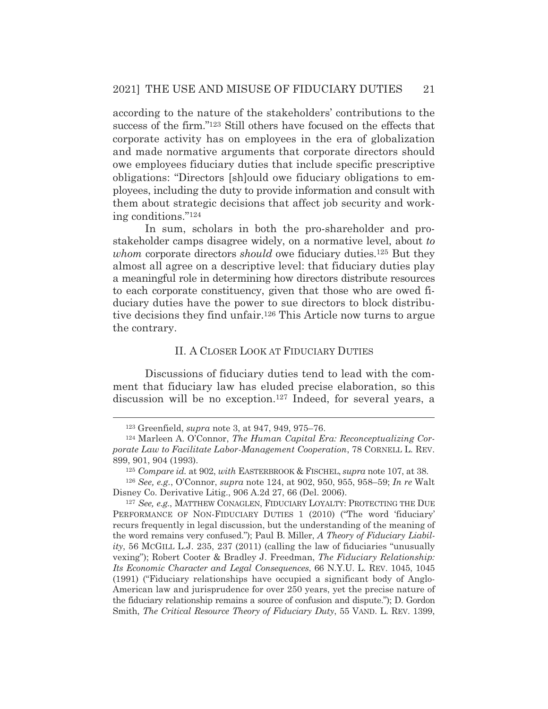according to the nature of the stakeholders' contributions to the success of the firm."123 Still others have focused on the effects that corporate activity has on employees in the era of globalization and made normative arguments that corporate directors should owe employees fiduciary duties that include specific prescriptive obligations: "Directors [sh]ould owe fiduciary obligations to employees, including the duty to provide information and consult with them about strategic decisions that affect job security and working conditions."124

 In sum, scholars in both the pro-shareholder and prostakeholder camps disagree widely, on a normative level, about *to whom* corporate directors *should* owe fiduciary duties.125 But they almost all agree on a descriptive level: that fiduciary duties play a meaningful role in determining how directors distribute resources to each corporate constituency, given that those who are owed fiduciary duties have the power to sue directors to block distributive decisions they find unfair.126 This Article now turns to argue the contrary.

#### II. A CLOSER LOOK AT FIDUCIARY DUTIES

 Discussions of fiduciary duties tend to lead with the comment that fiduciary law has eluded precise elaboration, so this discussion will be no exception.127 Indeed, for several years, a

<sup>123</sup> Greenfield, *supra* note 3, at 947, 949, 975–76. 124 Marleen A. O'Connor, *The Human Capital Era: Reconceptualizing Corporate Law to Facilitate Labor-Management Cooperation*, 78 CORNELL L. REV. 899, 901, 904 (1993).

<sup>125</sup> *Compare id.* at 902, *with* EASTERBROOK & FISCHEL, *supra* note 107, at 38.

<sup>126</sup> *See, e.g.*, O'Connor, *supra* note 124, at 902, 950, 955, 958–59; *In re* Walt Disney Co. Derivative Litig., 906 A.2d 27, 66 (Del. 2006).

<sup>127</sup> *See, e.g.*, MATTHEW CONAGLEN, FIDUCIARY LOYALTY: PROTECTING THE DUE PERFORMANCE OF NON-FIDUCIARY DUTIES 1 (2010) ("The word 'fiduciary' recurs frequently in legal discussion, but the understanding of the meaning of the word remains very confused."); Paul B. Miller, *A Theory of Fiduciary Liability*, 56 MCGILL L.J. 235, 237 (2011) (calling the law of fiduciaries "unusually vexing"); Robert Cooter & Bradley J. Freedman, *The Fiduciary Relationship: Its Economic Character and Legal Consequences*, 66 N.Y.U. L. REV. 1045, 1045 (1991) ("Fiduciary relationships have occupied a significant body of Anglo-American law and jurisprudence for over 250 years, yet the precise nature of the fiduciary relationship remains a source of confusion and dispute."); D. Gordon Smith, *The Critical Resource Theory of Fiduciary Duty*, 55 VAND. L. REV. 1399,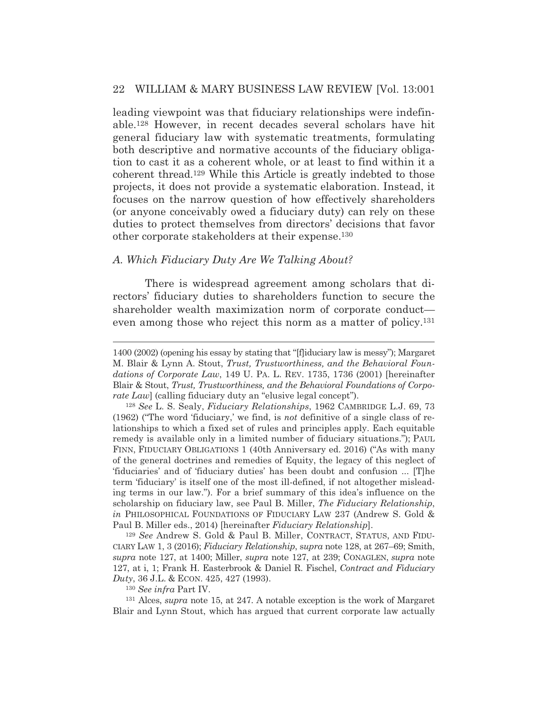leading viewpoint was that fiduciary relationships were indefinable.128 However, in recent decades several scholars have hit general fiduciary law with systematic treatments, formulating both descriptive and normative accounts of the fiduciary obligation to cast it as a coherent whole, or at least to find within it a coherent thread.129 While this Article is greatly indebted to those projects, it does not provide a systematic elaboration. Instead, it focuses on the narrow question of how effectively shareholders (or anyone conceivably owed a fiduciary duty) can rely on these duties to protect themselves from directors' decisions that favor other corporate stakeholders at their expense.130

#### *A. Which Fiduciary Duty Are We Talking About?*

 There is widespread agreement among scholars that directors' fiduciary duties to shareholders function to secure the shareholder wealth maximization norm of corporate conduct even among those who reject this norm as a matter of policy.<sup>131</sup>

<sup>129</sup> *See* Andrew S. Gold & Paul B. Miller, CONTRACT, STATUS, AND FIDU-CIARY LAW 1, 3 (2016); *Fiduciary Relationship*, s*upra* note 128, at 267–69; Smith, *supra* note 127, at 1400; Miller, *supra* note 127, at 239; CONAGLEN, *supra* note 127, at i, 1; Frank H. Easterbrook & Daniel R. Fischel, *Contract and Fiduciary Duty*, 36 J.L. & ECON. 425, 427 (1993).

<sup>130</sup> *See infra* Part IV.

131 Alces, *supra* note 15, at 247. A notable exception is the work of Margaret Blair and Lynn Stout, which has argued that current corporate law actually

<sup>1400 (2002) (</sup>opening his essay by stating that "[f]iduciary law is messy"); Margaret M. Blair & Lynn A. Stout, *Trust, Trustworthiness, and the Behavioral Foundations of Corporate Law*, 149 U. PA. L. REV. 1735, 1736 (2001) [hereinafter Blair & Stout, *Trust, Trustworthiness, and the Behavioral Foundations of Corporate Law*] (calling fiduciary duty an "elusive legal concept").

<sup>128</sup> *See* L. S. Sealy, *Fiduciary Relationships*, 1962 CAMBRIDGE L.J. 69, 73 (1962) ("The word 'fiduciary,' we find, is *not* definitive of a single class of relationships to which a fixed set of rules and principles apply. Each equitable remedy is available only in a limited number of fiduciary situations."); PAUL FINN, FIDUCIARY OBLIGATIONS 1 (40th Anniversary ed. 2016) ("As with many of the general doctrines and remedies of Equity, the legacy of this neglect of 'fiduciaries' and of 'fiduciary duties' has been doubt and confusion ... [T]he term 'fiduciary' is itself one of the most ill-defined, if not altogether misleading terms in our law."). For a brief summary of this idea's influence on the scholarship on fiduciary law, see Paul B. Miller, *The Fiduciary Relationship*, *in* PHILOSOPHICAL FOUNDATIONS OF FIDUCIARY LAW 237 (Andrew S. Gold & Paul B. Miller eds., 2014) [hereinafter *Fiduciary Relationship*].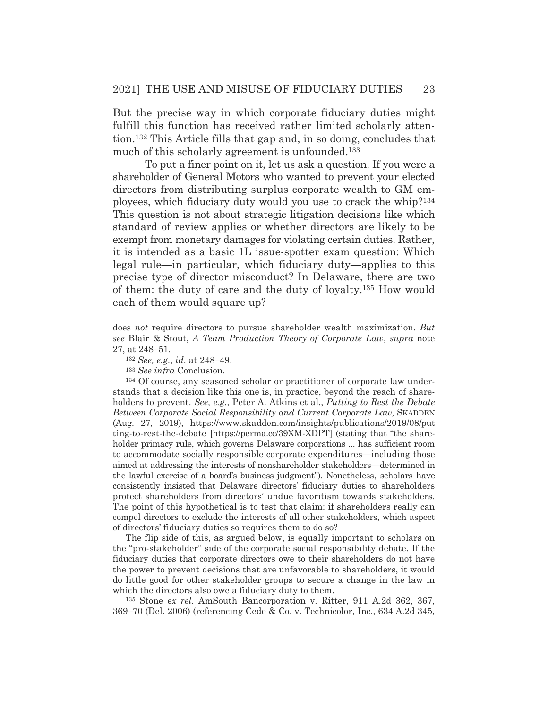But the precise way in which corporate fiduciary duties might fulfill this function has received rather limited scholarly attention.132 This Article fills that gap and, in so doing, concludes that much of this scholarly agreement is unfounded.<sup>133</sup>

 To put a finer point on it, let us ask a question. If you were a shareholder of General Motors who wanted to prevent your elected directors from distributing surplus corporate wealth to GM employees, which fiduciary duty would you use to crack the whip?134 This question is not about strategic litigation decisions like which standard of review applies or whether directors are likely to be exempt from monetary damages for violating certain duties. Rather, it is intended as a basic 1L issue-spotter exam question: Which legal rule—in particular, which fiduciary duty—applies to this precise type of director misconduct? In Delaware, there are two of them: the duty of care and the duty of loyalty.135 How would each of them would square up?

<sup>133</sup> *See infra* Conclusion.

134 Of course, any seasoned scholar or practitioner of corporate law understands that a decision like this one is, in practice, beyond the reach of shareholders to prevent. *See, e.g.*, Peter A. Atkins et al., *Putting to Rest the Debate Between Corporate Social Responsibility and Current Corporate Law*, SKADDEN (Aug. 27, 2019), https://www.skadden.com/insights/publications/2019/08/put ting-to-rest-the-debate [https://perma.cc/39XM-XDPT] (stating that "the shareholder primacy rule, which governs Delaware corporations ... has sufficient room to accommodate socially responsible corporate expenditures—including those aimed at addressing the interests of nonshareholder stakeholders—determined in the lawful exercise of a board's business judgment"). Nonetheless, scholars have consistently insisted that Delaware directors' fiduciary duties to shareholders protect shareholders from directors' undue favoritism towards stakeholders. The point of this hypothetical is to test that claim: if shareholders really can compel directors to exclude the interests of all other stakeholders, which aspect of directors' fiduciary duties so requires them to do so?

The flip side of this, as argued below, is equally important to scholars on the "pro-stakeholder" side of the corporate social responsibility debate. If the fiduciary duties that corporate directors owe to their shareholders do not have the power to prevent decisions that are unfavorable to shareholders, it would do little good for other stakeholder groups to secure a change in the law in which the directors also owe a fiduciary duty to them.

135 Stone e*x rel.* AmSouth Bancorporation v. Ritter, 911 A.2d 362, 367, 369–70 (Del. 2006) (referencing Cede & Co. v. Technicolor, Inc., 634 A.2d 345,

does *not* require directors to pursue shareholder wealth maximization. *But see* Blair & Stout, *A Team Production Theory of Corporate Law*, *supra* note 27, at 248–51.

<sup>132</sup> *See, e.g.*, *id.* at 248–49.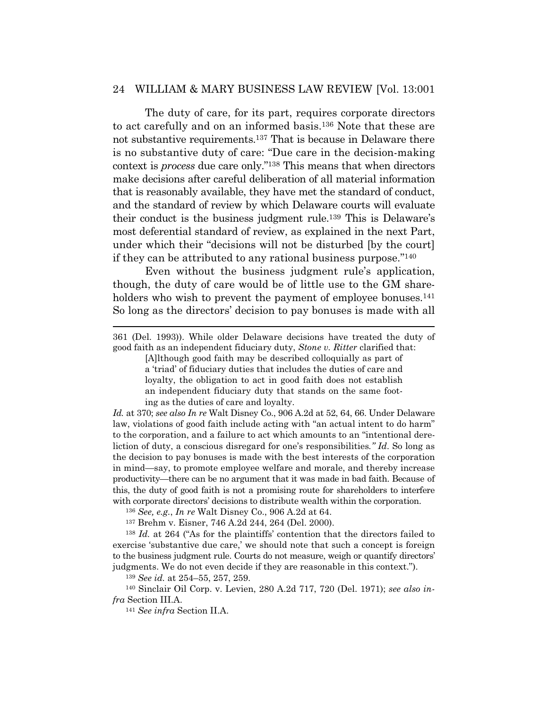The duty of care, for its part, requires corporate directors to act carefully and on an informed basis.136 Note that these are not substantive requirements.137 That is because in Delaware there is no substantive duty of care: "Due care in the decision-making context is *process* due care only."138 This means that when directors make decisions after careful deliberation of all material information that is reasonably available, they have met the standard of conduct, and the standard of review by which Delaware courts will evaluate their conduct is the business judgment rule.139 This is Delaware's most deferential standard of review, as explained in the next Part, under which their "decisions will not be disturbed [by the court] if they can be attributed to any rational business purpose."140

 Even without the business judgment rule's application, though, the duty of care would be of little use to the GM shareholders who wish to prevent the payment of employee bonuses.<sup>141</sup> So long as the directors' decision to pay bonuses is made with all

[A]lthough good faith may be described colloquially as part of a 'triad' of fiduciary duties that includes the duties of care and loyalty, the obligation to act in good faith does not establish an independent fiduciary duty that stands on the same footing as the duties of care and loyalty.

*Id.* at 370; *see also In re* Walt Disney Co., 906 A.2d at 52, 64, 66. Under Delaware law, violations of good faith include acting with "an actual intent to do harm" to the corporation, and a failure to act which amounts to an "intentional dereliction of duty, a conscious disregard for one's responsibilities*." Id*. So long as the decision to pay bonuses is made with the best interests of the corporation in mind—say, to promote employee welfare and morale, and thereby increase productivity—there can be no argument that it was made in bad faith. Because of this, the duty of good faith is not a promising route for shareholders to interfere with corporate directors' decisions to distribute wealth within the corporation.

<sup>136</sup> *See, e.g.*, *In re* Walt Disney Co., 906 A.2d at 64.

137 Brehm v. Eisner, 746 A.2d 244, 264 (Del. 2000).

<sup>138</sup> *Id.* at 264 ("As for the plaintiffs' contention that the directors failed to exercise 'substantive due care,' we should note that such a concept is foreign to the business judgment rule. Courts do not measure, weigh or quantify directors' judgments. We do not even decide if they are reasonable in this context.").

<sup>139</sup> *See id.* at 254–55, 257, 259.

140 Sinclair Oil Corp. v. Levien, 280 A.2d 717, 720 (Del. 1971); *see also infra* Section III.A.

<sup>141</sup> *See infra* Section II.A.

<sup>361 (</sup>Del. 1993)). While older Delaware decisions have treated the duty of good faith as an independent fiduciary duty, *Stone v. Ritter* clarified that: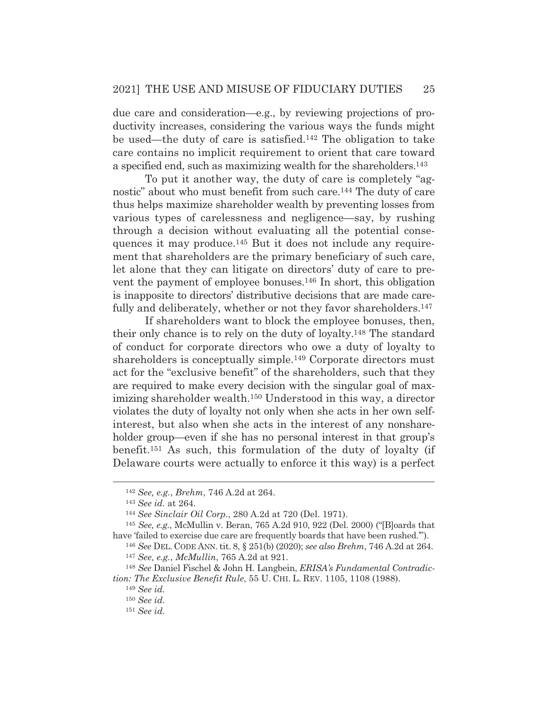due care and consideration—e.g., by reviewing projections of productivity increases, considering the various ways the funds might be used—the duty of care is satisfied.142 The obligation to take care contains no implicit requirement to orient that care toward a specified end, such as maximizing wealth for the shareholders.143

To put it another way, the duty of care is completely "agnostic" about who must benefit from such care.144 The duty of care thus helps maximize shareholder wealth by preventing losses from various types of carelessness and negligence—say, by rushing through a decision without evaluating all the potential consequences it may produce.145 But it does not include any requirement that shareholders are the primary beneficiary of such care, let alone that they can litigate on directors' duty of care to prevent the payment of employee bonuses.146 In short, this obligation is inapposite to directors' distributive decisions that are made carefully and deliberately, whether or not they favor shareholders.<sup>147</sup>

 If shareholders want to block the employee bonuses, then, their only chance is to rely on the duty of loyalty.148 The standard of conduct for corporate directors who owe a duty of loyalty to shareholders is conceptually simple.<sup>149</sup> Corporate directors must act for the "exclusive benefit" of the shareholders, such that they are required to make every decision with the singular goal of maximizing shareholder wealth.150 Understood in this way, a director violates the duty of loyalty not only when she acts in her own selfinterest, but also when she acts in the interest of any nonshareholder group—even if she has no personal interest in that group's benefit.151 As such, this formulation of the duty of loyalty (if Delaware courts were actually to enforce it this way) is a perfect

<sup>142</sup> *See, e.g.*, *Brehm*, 746 A.2d at 264.

<sup>143</sup> *See id.* at 264. 144 *See Sinclair Oil Corp*., 280 A.2d at 720 (Del. 1971).

<sup>145</sup> *See, e.g.*, McMullin v. Beran, 765 A.2d 910, 922 (Del. 2000) ("[B]oards that have 'failed to exercise due care are frequently boards that have been rushed.'").

<sup>146</sup> *See* DEL. CODE ANN. tit. 8, § 251(b) (2020); *see also Brehm*, 746 A.2d at 264. <sup>147</sup> *See, e.g.*, *McMullin*, 765 A.2d at 921.

<sup>148</sup> *See* Daniel Fischel & John H. Langbein, *ERISA's Fundamental Contradiction: The Exclusive Benefit Rule*, 55 U. CHI. L. REV. 1105, 1108 (1988).

<sup>149</sup> *See id.*

<sup>150</sup> *See id.*

<sup>151</sup> *See id.*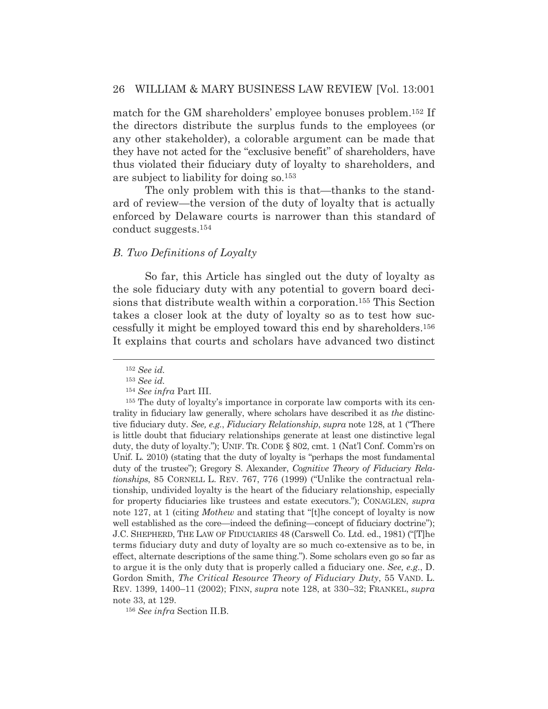match for the GM shareholders' employee bonuses problem.152 If the directors distribute the surplus funds to the employees (or any other stakeholder), a colorable argument can be made that they have not acted for the "exclusive benefit" of shareholders, have thus violated their fiduciary duty of loyalty to shareholders, and are subject to liability for doing so.153

 The only problem with this is that—thanks to the standard of review—the version of the duty of loyalty that is actually enforced by Delaware courts is narrower than this standard of conduct suggests.154

## *B. Two Definitions of Loyalty*

So far, this Article has singled out the duty of loyalty as the sole fiduciary duty with any potential to govern board decisions that distribute wealth within a corporation.155 This Section takes a closer look at the duty of loyalty so as to test how successfully it might be employed toward this end by shareholders.156 It explains that courts and scholars have advanced two distinct

<sup>156</sup> *See infra* Section II.B.

<sup>152</sup> *See id.*

<sup>153</sup> *See id.*

<sup>154</sup> *See infra* Part III.

<sup>155</sup> The duty of loyalty's importance in corporate law comports with its centrality in fiduciary law generally, where scholars have described it as *the* distinctive fiduciary duty. *See, e.g.*, *Fiduciary Relationship*, *supra* note 128, at 1 ("There is little doubt that fiduciary relationships generate at least one distinctive legal duty, the duty of loyalty."); UNIF. TR. CODE § 802, cmt. 1 (Nat'l Conf. Comm'rs on Unif. L. 2010) (stating that the duty of loyalty is "perhaps the most fundamental duty of the trustee"); Gregory S. Alexander, *Cognitive Theory of Fiduciary Relationships*, 85 CORNELL L. REV. 767, 776 (1999) ("Unlike the contractual relationship, undivided loyalty is the heart of the fiduciary relationship, especially for property fiduciaries like trustees and estate executors."); CONAGLEN, *supra* note 127, at 1 (citing *Mothew* and stating that "[t]he concept of loyalty is now well established as the core—indeed the defining—concept of fiduciary doctrine"); J.C. SHEPHERD, THE LAW OF FIDUCIARIES 48 (Carswell Co. Ltd. ed., 1981) ("[T]he terms fiduciary duty and duty of loyalty are so much co-extensive as to be, in effect, alternate descriptions of the same thing."). Some scholars even go so far as to argue it is the only duty that is properly called a fiduciary one. *See, e.g.*, D. Gordon Smith, *The Critical Resource Theory of Fiduciary Duty*, 55 VAND. L. REV. 1399, 1400–11 (2002); FINN, *supra* note 128, at 330–32; FRANKEL, *supra* note 33, at 129.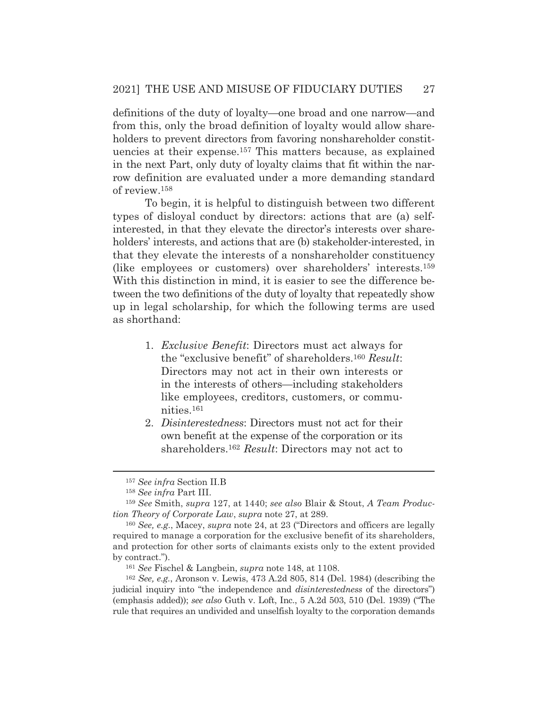definitions of the duty of loyalty—one broad and one narrow—and from this, only the broad definition of loyalty would allow shareholders to prevent directors from favoring nonshareholder constituencies at their expense.157 This matters because, as explained in the next Part, only duty of loyalty claims that fit within the narrow definition are evaluated under a more demanding standard of review.158

 To begin, it is helpful to distinguish between two different types of disloyal conduct by directors: actions that are (a) selfinterested, in that they elevate the director's interests over shareholders' interests, and actions that are (b) stakeholder-interested, in that they elevate the interests of a nonshareholder constituency (like employees or customers) over shareholders' interests.159 With this distinction in mind, it is easier to see the difference between the two definitions of the duty of loyalty that repeatedly show up in legal scholarship, for which the following terms are used as shorthand:

- 1. *Exclusive Benefit*: Directors must act always for the "exclusive benefit" of shareholders.160 *Result*: Directors may not act in their own interests or in the interests of others—including stakeholders like employees, creditors, customers, or communities.161
- 2. *Disinterestedness*: Directors must not act for their own benefit at the expense of the corporation or its shareholders.162 *Result*: Directors may not act to

<sup>157</sup> *See infra* Section II.B

<sup>158</sup> *See infra* Part III.

<sup>159</sup> *See* Smith, *supra* 127, at 1440; *see also* Blair & Stout, *A Team Production Theory of Corporate Law*, *supra* note 27, at 289.

<sup>160</sup> *See, e.g.*, Macey, *supra* note 24, at 23 ("Directors and officers are legally required to manage a corporation for the exclusive benefit of its shareholders, and protection for other sorts of claimants exists only to the extent provided by contract.").

<sup>161</sup> *See* Fischel & Langbein, *supra* note 148, at 1108.

<sup>162</sup> *See, e.g.*, Aronson v. Lewis, 473 A.2d 805, 814 (Del. 1984) (describing the judicial inquiry into "the independence and *disinterestedness* of the directors") (emphasis added)); *see also* Guth v. Loft, Inc., 5 A.2d 503, 510 (Del. 1939) ("The rule that requires an undivided and unselfish loyalty to the corporation demands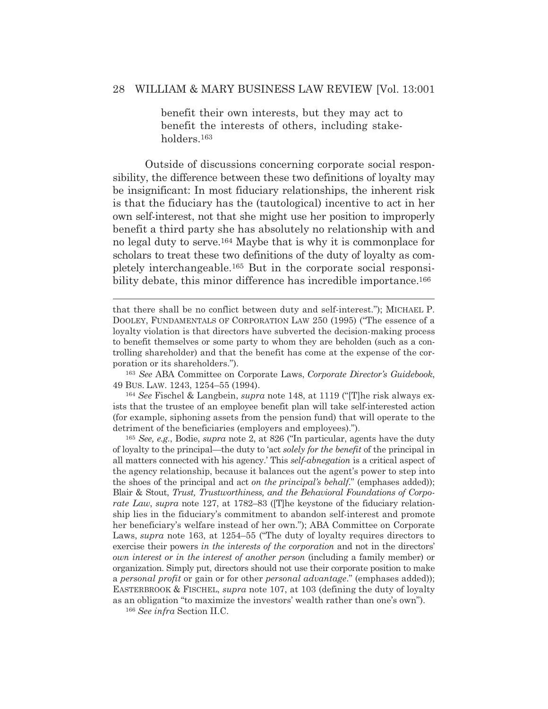benefit their own interests, but they may act to benefit the interests of others, including stakeholders.163

Outside of discussions concerning corporate social responsibility, the difference between these two definitions of loyalty may be insignificant: In most fiduciary relationships, the inherent risk is that the fiduciary has the (tautological) incentive to act in her own self-interest, not that she might use her position to improperly benefit a third party she has absolutely no relationship with and no legal duty to serve.164 Maybe that is why it is commonplace for scholars to treat these two definitions of the duty of loyalty as completely interchangeable.165 But in the corporate social responsibility debate, this minor difference has incredible importance.<sup>166</sup>

<sup>163</sup> *See* ABA Committee on Corporate Laws, *Corporate Director's Guidebook*, 49 BUS. LAW. 1243, 1254–55 (1994).

<sup>164</sup> *See* Fischel & Langbein, *supra* note 148, at 1119 ("[T]he risk always exists that the trustee of an employee benefit plan will take self-interested action (for example, siphoning assets from the pension fund) that will operate to the detriment of the beneficiaries (employers and employees).").

<sup>165</sup> *See, e.g.*, Bodie, *supra* note 2, at 826 ("In particular, agents have the duty of loyalty to the principal—the duty to 'act *solely for the benefit* of the principal in all matters connected with his agency.' This *self-abnegation* is a critical aspect of the agency relationship, because it balances out the agent's power to step into the shoes of the principal and act *on the principal's behalf*." (emphases added)); Blair & Stout, *Trust, Trustworthiness, and the Behavioral Foundations of Corporate Law*, *supra* note 127, at 1782–83 ([T]he keystone of the fiduciary relationship lies in the fiduciary's commitment to abandon self-interest and promote her beneficiary's welfare instead of her own."); ABA Committee on Corporate Laws, *supra* note 163, at 1254–55 ("The duty of loyalty requires directors to exercise their powers *in the interests of the corporation* and not in the directors' *own interest or in the interest of another person* (including a family member) or organization. Simply put, directors should not use their corporate position to make a *personal profit* or gain or for other *personal advantage*." (emphases added)); EASTERBROOK & FISCHEL, *supra* note 107, at 103 (defining the duty of loyalty as an obligation "to maximize the investors' wealth rather than one's own").

<sup>166</sup> *See infra* Section II.C.

that there shall be no conflict between duty and self-interest."); MICHAEL P. DOOLEY, FUNDAMENTALS OF CORPORATION LAW 250 (1995) ("The essence of a loyalty violation is that directors have subverted the decision-making process to benefit themselves or some party to whom they are beholden (such as a controlling shareholder) and that the benefit has come at the expense of the corporation or its shareholders.").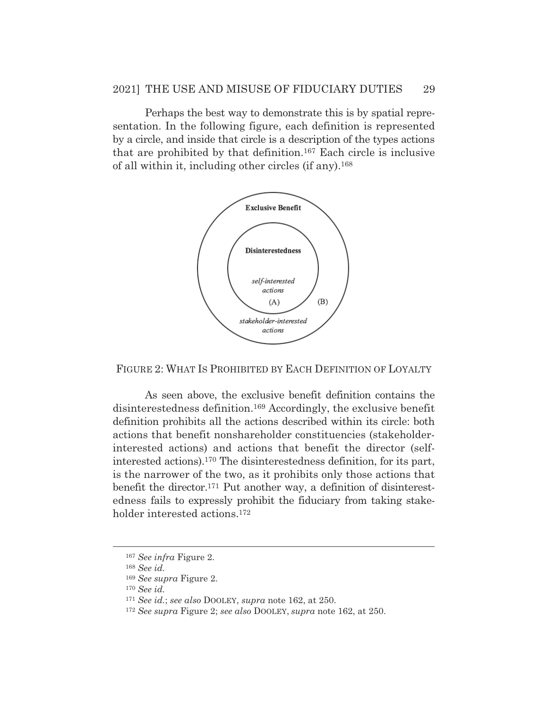Perhaps the best way to demonstrate this is by spatial representation. In the following figure, each definition is represented by a circle, and inside that circle is a description of the types actions that are prohibited by that definition.167 Each circle is inclusive of all within it, including other circles (if any).168



FIGURE 2: WHAT IS PROHIBITED BY EACH DEFINITION OF LOYALTY

As seen above, the exclusive benefit definition contains the disinterestedness definition.169 Accordingly, the exclusive benefit definition prohibits all the actions described within its circle: both actions that benefit nonshareholder constituencies (stakeholderinterested actions) and actions that benefit the director (selfinterested actions).170 The disinterestedness definition, for its part, is the narrower of the two, as it prohibits only those actions that benefit the director.171 Put another way, a definition of disinterestedness fails to expressly prohibit the fiduciary from taking stakeholder interested actions.172

<sup>167</sup> *See infra* Figure 2.

<sup>168</sup> *See id.*

<sup>169</sup> *See supra* Figure 2.

<sup>170</sup> *See id.* 

<sup>171</sup> *See id.*; *see also* DOOLEY, *supra* note 162, at 250.

<sup>172</sup> *See supra* Figure 2; *see also* DOOLEY, *supra* note 162, at 250.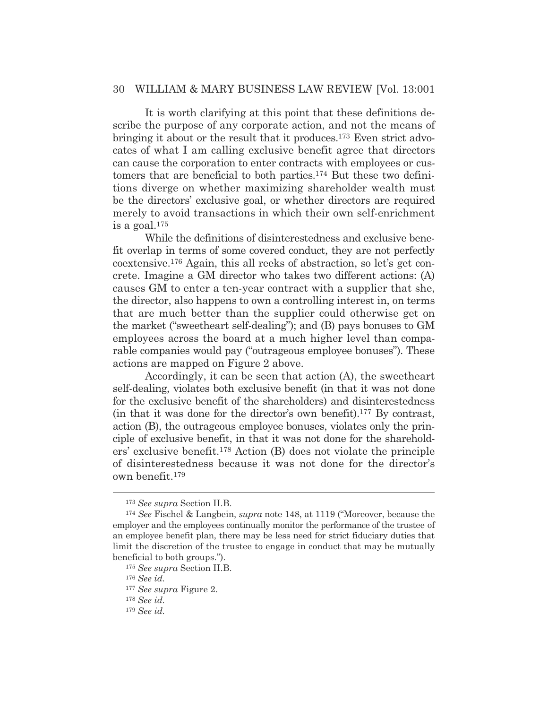It is worth clarifying at this point that these definitions describe the purpose of any corporate action, and not the means of bringing it about or the result that it produces.173 Even strict advocates of what I am calling exclusive benefit agree that directors can cause the corporation to enter contracts with employees or customers that are beneficial to both parties.174 But these two definitions diverge on whether maximizing shareholder wealth must be the directors' exclusive goal, or whether directors are required merely to avoid transactions in which their own self-enrichment is a goal.175

While the definitions of disinterestedness and exclusive benefit overlap in terms of some covered conduct, they are not perfectly coextensive.176 Again, this all reeks of abstraction, so let's get concrete. Imagine a GM director who takes two different actions: (A) causes GM to enter a ten-year contract with a supplier that she, the director, also happens to own a controlling interest in, on terms that are much better than the supplier could otherwise get on the market ("sweetheart self-dealing"); and (B) pays bonuses to GM employees across the board at a much higher level than comparable companies would pay ("outrageous employee bonuses"). These actions are mapped on Figure 2 above.

Accordingly, it can be seen that action (A), the sweetheart self-dealing, violates both exclusive benefit (in that it was not done for the exclusive benefit of the shareholders) and disinterestedness (in that it was done for the director's own benefit).177 By contrast, action (B), the outrageous employee bonuses, violates only the principle of exclusive benefit, in that it was not done for the shareholders' exclusive benefit.178 Action (B) does not violate the principle of disinterestedness because it was not done for the director's own benefit.179

<sup>173</sup> *See supra* Section II.B.

<sup>174</sup> *See* Fischel & Langbein, *supra* note 148, at 1119 ("Moreover, because the employer and the employees continually monitor the performance of the trustee of an employee benefit plan, there may be less need for strict fiduciary duties that limit the discretion of the trustee to engage in conduct that may be mutually beneficial to both groups.").

<sup>175</sup> *See supra* Section II.B.

<sup>176</sup> *See id.* 

<sup>177</sup> *See supra* Figure 2.

<sup>178</sup> *See id.* 

<sup>179</sup> *See id.*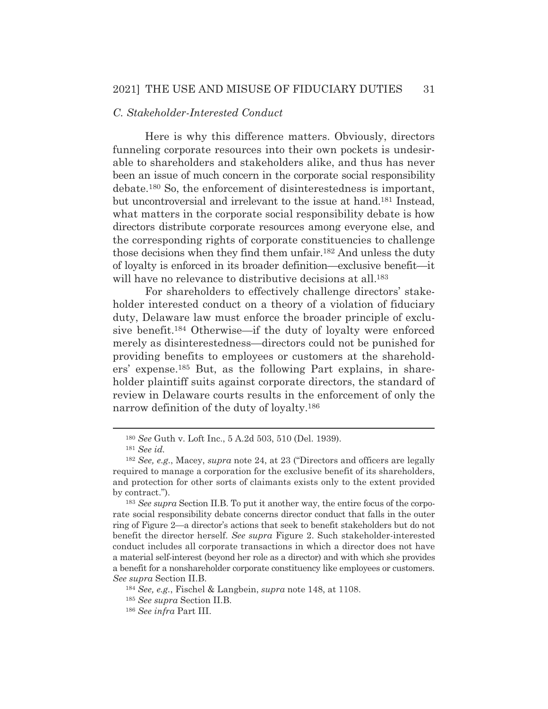## *C. Stakeholder-Interested Conduct*

Here is why this difference matters. Obviously, directors funneling corporate resources into their own pockets is undesirable to shareholders and stakeholders alike, and thus has never been an issue of much concern in the corporate social responsibility debate.180 So, the enforcement of disinterestedness is important, but uncontroversial and irrelevant to the issue at hand.181 Instead, what matters in the corporate social responsibility debate is how directors distribute corporate resources among everyone else, and the corresponding rights of corporate constituencies to challenge those decisions when they find them unfair.182 And unless the duty of loyalty is enforced in its broader definition—exclusive benefit—it will have no relevance to distributive decisions at all.<sup>183</sup>

 For shareholders to effectively challenge directors' stakeholder interested conduct on a theory of a violation of fiduciary duty, Delaware law must enforce the broader principle of exclusive benefit.184 Otherwise—if the duty of loyalty were enforced merely as disinterestedness—directors could not be punished for providing benefits to employees or customers at the shareholders' expense.185 But, as the following Part explains, in shareholder plaintiff suits against corporate directors, the standard of review in Delaware courts results in the enforcement of only the narrow definition of the duty of loyalty.186

<sup>184</sup> *See, e.g.*, Fischel & Langbein, *supra* note 148, at 1108.

<sup>180</sup> *See* Guth v. Loft Inc., 5 A.2d 503, 510 (Del. 1939).

<sup>181</sup> *See id.* 

<sup>182</sup> *See, e.g.*, Macey, *supra* note 24, at 23 ("Directors and officers are legally required to manage a corporation for the exclusive benefit of its shareholders, and protection for other sorts of claimants exists only to the extent provided by contract.").

<sup>183</sup> *See supra* Section II.B. To put it another way, the entire focus of the corporate social responsibility debate concerns director conduct that falls in the outer ring of Figure 2—a director's actions that seek to benefit stakeholders but do not benefit the director herself. *See supra* Figure 2. Such stakeholder-interested conduct includes all corporate transactions in which a director does not have a material self-interest (beyond her role as a director) and with which she provides a benefit for a nonshareholder corporate constituency like employees or customers. *See supra* Section II.B.

<sup>185</sup> *See supra* Section II.B.

<sup>186</sup> *See infra* Part III.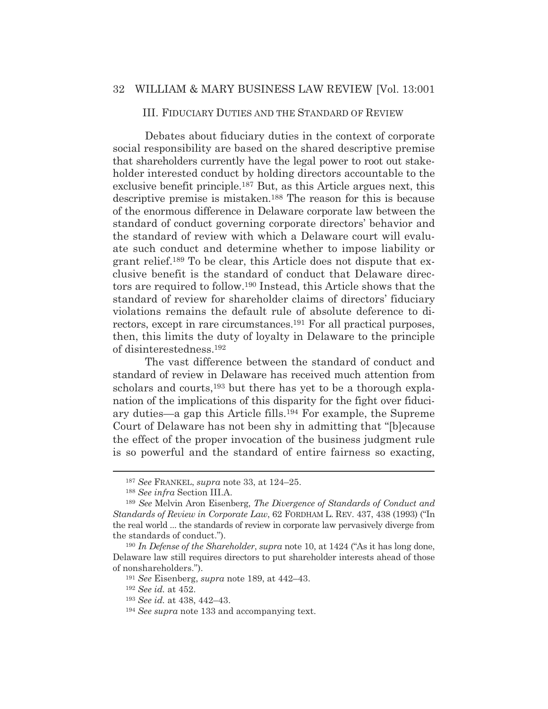#### III. FIDUCIARY DUTIES AND THE STANDARD OF REVIEW

Debates about fiduciary duties in the context of corporate social responsibility are based on the shared descriptive premise that shareholders currently have the legal power to root out stakeholder interested conduct by holding directors accountable to the exclusive benefit principle.187 But, as this Article argues next, this descriptive premise is mistaken.188 The reason for this is because of the enormous difference in Delaware corporate law between the standard of conduct governing corporate directors' behavior and the standard of review with which a Delaware court will evaluate such conduct and determine whether to impose liability or grant relief.189 To be clear, this Article does not dispute that exclusive benefit is the standard of conduct that Delaware directors are required to follow.190 Instead, this Article shows that the standard of review for shareholder claims of directors' fiduciary violations remains the default rule of absolute deference to directors, except in rare circumstances.191 For all practical purposes, then, this limits the duty of loyalty in Delaware to the principle of disinterestedness.192

 The vast difference between the standard of conduct and standard of review in Delaware has received much attention from scholars and courts,<sup>193</sup> but there has yet to be a thorough explanation of the implications of this disparity for the fight over fiduciary duties—a gap this Article fills.194 For example, the Supreme Court of Delaware has not been shy in admitting that "[b]ecause the effect of the proper invocation of the business judgment rule is so powerful and the standard of entire fairness so exacting,

<sup>187</sup> *See* FRANKEL, *supra* note 33, at 124–25.

<sup>188</sup> *See infra* Section III.A.

<sup>189</sup> *See* Melvin Aron Eisenberg, *The Divergence of Standards of Conduct and Standards of Review in Corporate Law*, 62 FORDHAM L. REV. 437, 438 (1993) ("In the real world ... the standards of review in corporate law pervasively diverge from the standards of conduct.").

<sup>190</sup> *In Defense of the Shareholder*, *supra* note 10, at 1424 ("As it has long done, Delaware law still requires directors to put shareholder interests ahead of those of nonshareholders.").

<sup>191</sup> *See* Eisenberg, *supra* note 189, at 442–43.

<sup>192</sup> *See id.* at 452.

<sup>193</sup> *See id.* at 438, 442–43.

<sup>194</sup> *See supra* note 133 and accompanying text.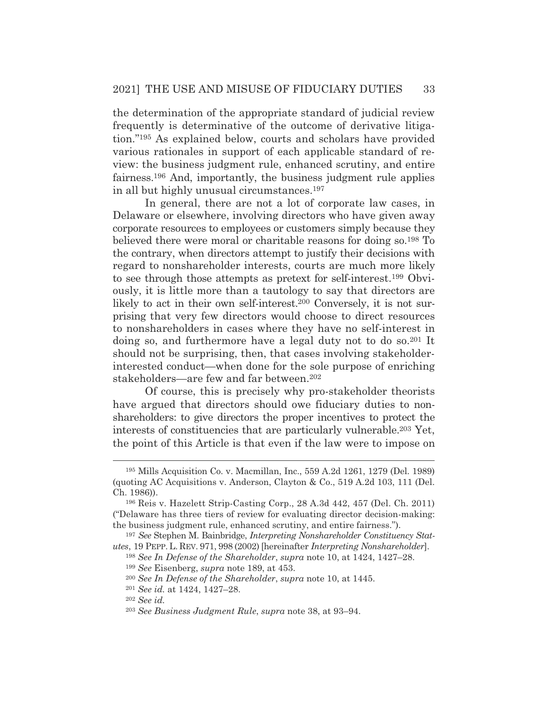the determination of the appropriate standard of judicial review frequently is determinative of the outcome of derivative litigation."195 As explained below, courts and scholars have provided various rationales in support of each applicable standard of review: the business judgment rule, enhanced scrutiny, and entire fairness.196 And, importantly, the business judgment rule applies in all but highly unusual circumstances.197

 In general, there are not a lot of corporate law cases, in Delaware or elsewhere, involving directors who have given away corporate resources to employees or customers simply because they believed there were moral or charitable reasons for doing so.198 To the contrary, when directors attempt to justify their decisions with regard to nonshareholder interests, courts are much more likely to see through those attempts as pretext for self-interest.199 Obviously, it is little more than a tautology to say that directors are likely to act in their own self-interest.200 Conversely, it is not surprising that very few directors would choose to direct resources to nonshareholders in cases where they have no self-interest in doing so, and furthermore have a legal duty not to do so.201 It should not be surprising, then, that cases involving stakeholderinterested conduct—when done for the sole purpose of enriching stakeholders—are few and far between.202

 Of course, this is precisely why pro-stakeholder theorists have argued that directors should owe fiduciary duties to nonshareholders: to give directors the proper incentives to protect the interests of constituencies that are particularly vulnerable.203 Yet, the point of this Article is that even if the law were to impose on

<sup>195</sup> Mills Acquisition Co. v. Macmillan, Inc., 559 A.2d 1261, 1279 (Del. 1989) (quoting AC Acquisitions v. Anderson, Clayton & Co., 519 A.2d 103, 111 (Del. Ch. 1986)).

<sup>196</sup> Reis v. Hazelett Strip-Casting Corp., 28 A.3d 442, 457 (Del. Ch. 2011) ("Delaware has three tiers of review for evaluating director decision-making: the business judgment rule, enhanced scrutiny, and entire fairness.").

<sup>197</sup> *See* Stephen M. Bainbridge, *Interpreting Nonshareholder Constituency Statutes*, 19 PEPP. L. REV. 971, 998 (2002) [hereinafter *Interpreting Nonshareholder*].

<sup>198</sup> *See In Defense of the Shareholder*, *supra* note 10, at 1424, 1427–28.

<sup>199</sup> *See* Eisenberg, *supra* note 189, at 453.

<sup>200</sup> *See In Defense of the Shareholder*, *supra* note 10, at 1445.

<sup>201</sup> *See id.* at 1424, 1427–28.

<sup>202</sup> *See id.*

<sup>203</sup> *See Business Judgment Rule*, *supra* note 38, at 93–94.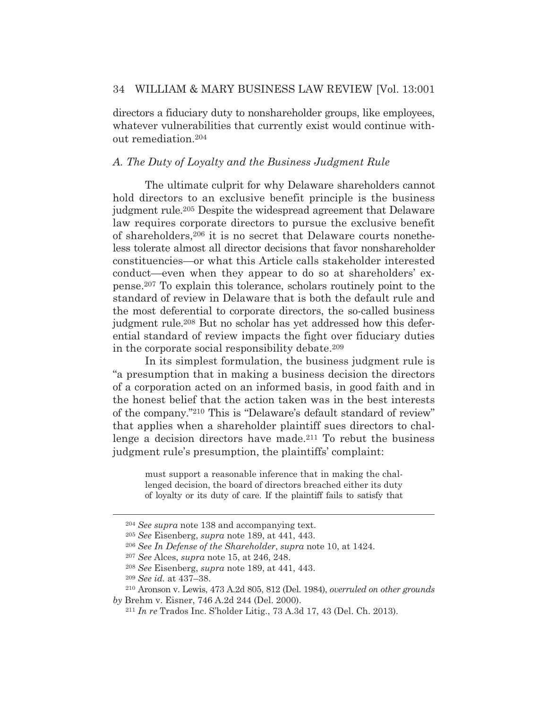directors a fiduciary duty to nonshareholder groups, like employees, whatever vulnerabilities that currently exist would continue without remediation.204

## *A. The Duty of Loyalty and the Business Judgment Rule*

 The ultimate culprit for why Delaware shareholders cannot hold directors to an exclusive benefit principle is the business judgment rule.205 Despite the widespread agreement that Delaware law requires corporate directors to pursue the exclusive benefit of shareholders,206 it is no secret that Delaware courts nonetheless tolerate almost all director decisions that favor nonshareholder constituencies—or what this Article calls stakeholder interested conduct—even when they appear to do so at shareholders' expense.207 To explain this tolerance, scholars routinely point to the standard of review in Delaware that is both the default rule and the most deferential to corporate directors, the so-called business judgment rule.208 But no scholar has yet addressed how this deferential standard of review impacts the fight over fiduciary duties in the corporate social responsibility debate.209

 In its simplest formulation, the business judgment rule is "a presumption that in making a business decision the directors of a corporation acted on an informed basis, in good faith and in the honest belief that the action taken was in the best interests of the company."210 This is "Delaware's default standard of review" that applies when a shareholder plaintiff sues directors to challenge a decision directors have made.211 To rebut the business judgment rule's presumption, the plaintiffs' complaint:

> must support a reasonable inference that in making the challenged decision, the board of directors breached either its duty of loyalty or its duty of care. If the plaintiff fails to satisfy that

<sup>204</sup> *See supra* note 138 and accompanying text.

<sup>205</sup> *See* Eisenberg, *supra* note 189, at 441, 443.

<sup>206</sup> *See In Defense of the Shareholder*, *supra* note 10, at 1424.

<sup>207</sup> *See* Alces, *supra* note 15, at 246, 248.

<sup>208</sup> *See* Eisenberg, *supra* note 189, at 441, 443.

<sup>209</sup> *See id.* at 437–38.

<sup>210</sup> Aronson v. Lewis, 473 A.2d 805, 812 (Del. 1984), *overruled on other grounds by* Brehm v. Eisner, 746 A.2d 244 (Del. 2000).

<sup>211</sup> *In re* Trados Inc. S'holder Litig., 73 A.3d 17, 43 (Del. Ch. 2013).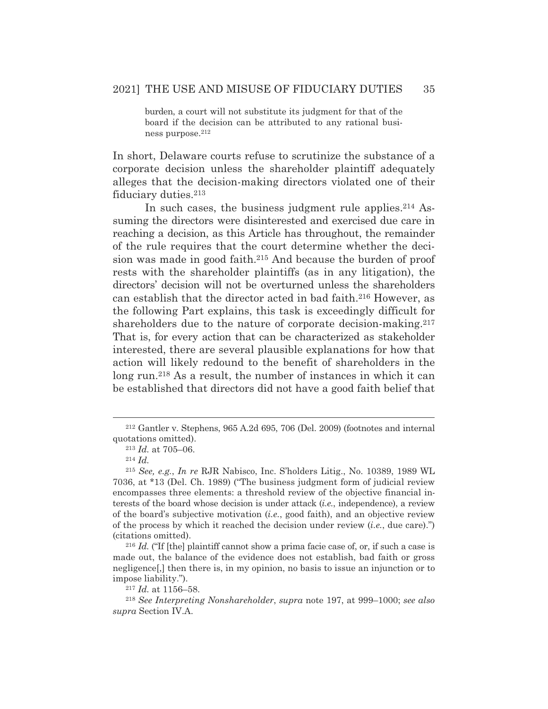burden, a court will not substitute its judgment for that of the board if the decision can be attributed to any rational business purpose.212

In short, Delaware courts refuse to scrutinize the substance of a corporate decision unless the shareholder plaintiff adequately alleges that the decision-making directors violated one of their fiduciary duties.213

In such cases, the business judgment rule applies.<sup>214</sup> Assuming the directors were disinterested and exercised due care in reaching a decision, as this Article has throughout, the remainder of the rule requires that the court determine whether the decision was made in good faith.215 And because the burden of proof rests with the shareholder plaintiffs (as in any litigation), the directors' decision will not be overturned unless the shareholders can establish that the director acted in bad faith.216 However, as the following Part explains, this task is exceedingly difficult for shareholders due to the nature of corporate decision-making.<sup>217</sup> That is, for every action that can be characterized as stakeholder interested, there are several plausible explanations for how that action will likely redound to the benefit of shareholders in the long run.<sup>218</sup> As a result, the number of instances in which it can be established that directors did not have a good faith belief that

<sup>212</sup> Gantler v. Stephens, 965 A.2d 695, 706 (Del. 2009) (footnotes and internal quotations omitted).

<sup>213</sup> *Id.* at 705–06. 214 *Id.*

<sup>215</sup> *See, e.g.*, *In re* RJR Nabisco, Inc. S'holders Litig., No. 10389, 1989 WL 7036, at \*13 (Del. Ch. 1989) ("The business judgment form of judicial review encompasses three elements: a threshold review of the objective financial interests of the board whose decision is under attack (*i.e.*, independence), a review of the board's subjective motivation (*i.e.*, good faith), and an objective review of the process by which it reached the decision under review (*i.e.*, due care).") (citations omitted).

<sup>216</sup> *Id.* ("If [the] plaintiff cannot show a prima facie case of, or, if such a case is made out, the balance of the evidence does not establish, bad faith or gross negligence[,] then there is, in my opinion, no basis to issue an injunction or to impose liability.").

<sup>217</sup> *Id.* at 1156–58.

<sup>218</sup> *See Interpreting Nonshareholder*, *supra* note 197, at 999–1000; *see also supra* Section IV.A.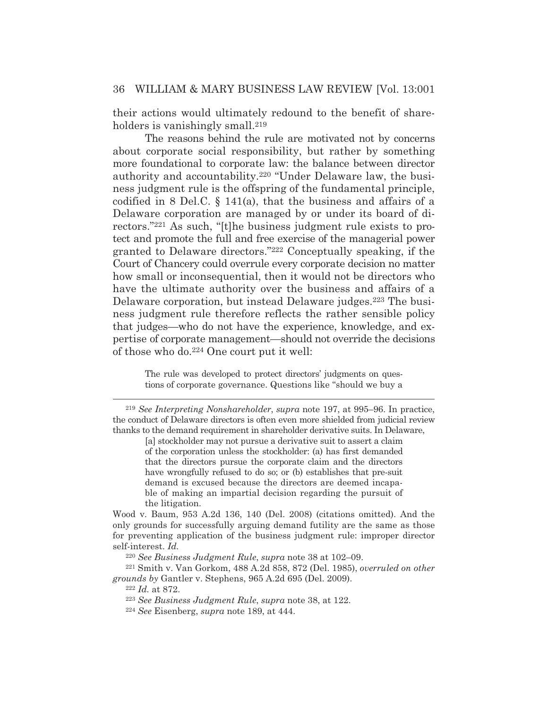their actions would ultimately redound to the benefit of shareholders is vanishingly small.<sup>219</sup>

 The reasons behind the rule are motivated not by concerns about corporate social responsibility, but rather by something more foundational to corporate law: the balance between director authority and accountability.220 "Under Delaware law, the business judgment rule is the offspring of the fundamental principle, codified in 8 Del.C. § 141(a), that the business and affairs of a Delaware corporation are managed by or under its board of directors."221 As such, "[t]he business judgment rule exists to protect and promote the full and free exercise of the managerial power granted to Delaware directors."222 Conceptually speaking, if the Court of Chancery could overrule every corporate decision no matter how small or inconsequential, then it would not be directors who have the ultimate authority over the business and affairs of a Delaware corporation, but instead Delaware judges.223 The business judgment rule therefore reflects the rather sensible policy that judges—who do not have the experience, knowledge, and expertise of corporate management—should not override the decisions of those who do.224 One court put it well:

> The rule was developed to protect directors' judgments on questions of corporate governance. Questions like "should we buy a

[a] stockholder may not pursue a derivative suit to assert a claim of the corporation unless the stockholder: (a) has first demanded that the directors pursue the corporate claim and the directors have wrongfully refused to do so; or (b) establishes that pre-suit demand is excused because the directors are deemed incapable of making an impartial decision regarding the pursuit of the litigation.

Wood v. Baum, 953 A.2d 136, 140 (Del. 2008) (citations omitted). And the only grounds for successfully arguing demand futility are the same as those for preventing application of the business judgment rule: improper director self-interest. *Id.*

<sup>220</sup> *See Business Judgment Rule*, *supra* note 38 at 102–09. 221 Smith v. Van Gorkom, 488 A.2d 858, 872 (Del. 1985), *overruled on other grounds by* Gantler v. Stephens, 965 A.2d 695 (Del. 2009). 222 *Id.* at 872.

<sup>219</sup> *See Interpreting Nonshareholder*, *supra* note 197, at 995–96. In practice, the conduct of Delaware directors is often even more shielded from judicial review thanks to the demand requirement in shareholder derivative suits. In Delaware,

<sup>223</sup> *See Business Judgment Rule*, *supra* note 38, at 122. 224 *See* Eisenberg, *supra* note 189, at 444.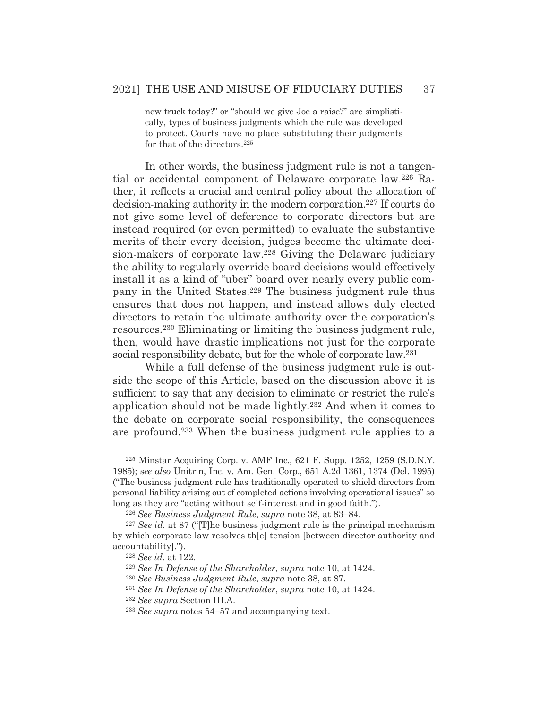new truck today?" or "should we give Joe a raise?" are simplistically, types of business judgments which the rule was developed to protect. Courts have no place substituting their judgments for that of the directors.225

 In other words, the business judgment rule is not a tangential or accidental component of Delaware corporate law.226 Rather, it reflects a crucial and central policy about the allocation of decision-making authority in the modern corporation.227 If courts do not give some level of deference to corporate directors but are instead required (or even permitted) to evaluate the substantive merits of their every decision, judges become the ultimate decision-makers of corporate law.228 Giving the Delaware judiciary the ability to regularly override board decisions would effectively install it as a kind of "uber" board over nearly every public company in the United States.229 The business judgment rule thus ensures that does not happen, and instead allows duly elected directors to retain the ultimate authority over the corporation's resources.230 Eliminating or limiting the business judgment rule, then, would have drastic implications not just for the corporate social responsibility debate, but for the whole of corporate law.231

 While a full defense of the business judgment rule is outside the scope of this Article, based on the discussion above it is sufficient to say that any decision to eliminate or restrict the rule's application should not be made lightly.232 And when it comes to the debate on corporate social responsibility, the consequences are profound.233 When the business judgment rule applies to a

<sup>225</sup> Minstar Acquiring Corp. v. AMF Inc., 621 F. Supp. 1252, 1259 (S.D.N.Y. 1985); s*ee also* Unitrin, Inc. v. Am. Gen. Corp., 651 A.2d 1361, 1374 (Del. 1995) ("The business judgment rule has traditionally operated to shield directors from personal liability arising out of completed actions involving operational issues" so long as they are "acting without self-interest and in good faith.").

<sup>226</sup> *See Business Judgment Rule*, *supra* note 38, at 83–84.

<sup>227</sup> *See id.* at 87 ("[T]he business judgment rule is the principal mechanism by which corporate law resolves th[e] tension [between director authority and accountability].").

<sup>228</sup> *See id.* at 122.

<sup>229</sup> *See In Defense of the Shareholder*, *supra* note 10, at 1424.

<sup>230</sup> *See Business Judgment Rule*, *supra* note 38, at 87.

<sup>231</sup> *See In Defense of the Shareholder*, *supra* note 10, at 1424.

<sup>232</sup> *See supra* Section III.A.

<sup>233</sup> *See supra* notes 54–57 and accompanying text.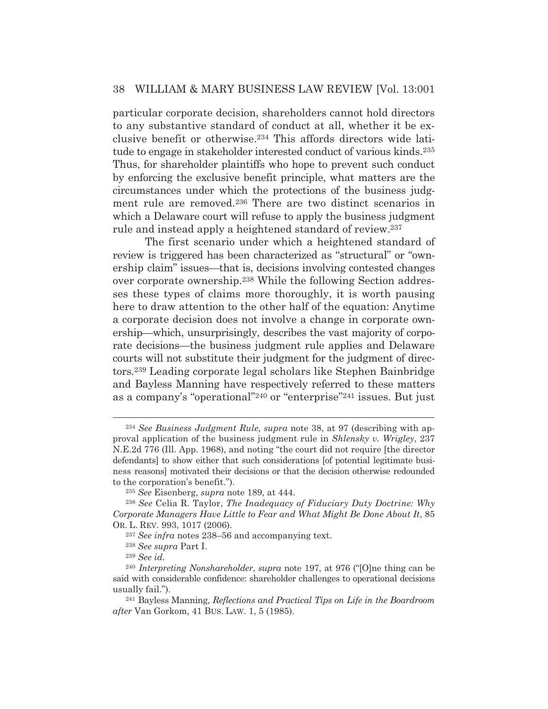particular corporate decision, shareholders cannot hold directors to any substantive standard of conduct at all, whether it be exclusive benefit or otherwise.234 This affords directors wide latitude to engage in stakeholder interested conduct of various kinds.235 Thus, for shareholder plaintiffs who hope to prevent such conduct by enforcing the exclusive benefit principle, what matters are the circumstances under which the protections of the business judgment rule are removed.236 There are two distinct scenarios in which a Delaware court will refuse to apply the business judgment rule and instead apply a heightened standard of review.237

The first scenario under which a heightened standard of review is triggered has been characterized as "structural" or "ownership claim" issues—that is, decisions involving contested changes over corporate ownership.238 While the following Section addresses these types of claims more thoroughly, it is worth pausing here to draw attention to the other half of the equation: Anytime a corporate decision does not involve a change in corporate ownership—which, unsurprisingly, describes the vast majority of corporate decisions—the business judgment rule applies and Delaware courts will not substitute their judgment for the judgment of directors.239 Leading corporate legal scholars like Stephen Bainbridge and Bayless Manning have respectively referred to these matters as a company's "operational"240 or "enterprise"241 issues. But just

<sup>234</sup> *See Business Judgment Rule, supra* note 38, at 97 (describing with approval application of the business judgment rule in *Shlensky v. Wrigley*, 237 N.E.2d 776 (Ill. App. 1968), and noting "the court did not require [the director defendants] to show either that such considerations [of potential legitimate business reasons] motivated their decisions or that the decision otherwise redounded to the corporation's benefit.").

<sup>235</sup> *See* Eisenberg, *supra* note 189, at 444.

<sup>236</sup> *See* Celia R. Taylor, *The Inadequacy of Fiduciary Duty Doctrine: Why Corporate Managers Have Little to Fear and What Might Be Done About It*, 85 OR. L. REV. 993, 1017 (2006).

<sup>237</sup> *See infra* notes 238–56 and accompanying text.

<sup>238</sup> *See supra* Part I.

<sup>239</sup> *See id.* 

<sup>240</sup> *Interpreting Nonshareholder*, *supra* note 197, at 976 ("[O]ne thing can be said with considerable confidence: shareholder challenges to operational decisions usually fail."). 241 Bayless Manning, *Reflections and Practical Tips on Life in the Boardroom* 

*after* Van Gorkom, 41 BUS. LAW. 1, 5 (1985).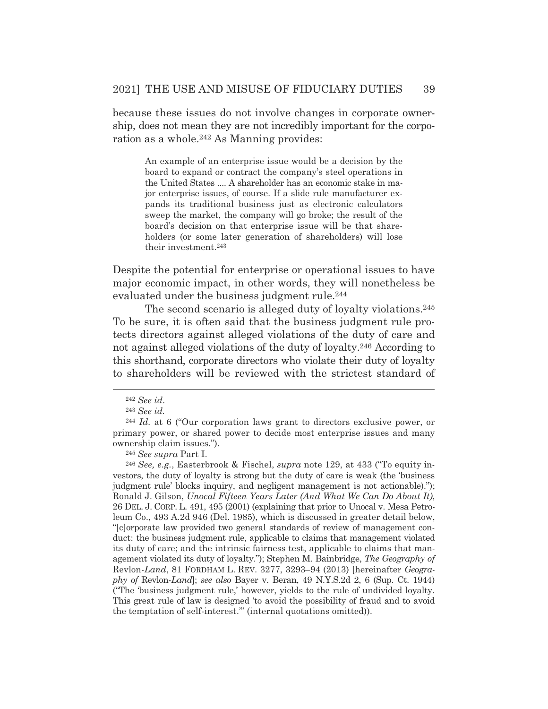because these issues do not involve changes in corporate ownership, does not mean they are not incredibly important for the corporation as a whole.242 As Manning provides:

An example of an enterprise issue would be a decision by the board to expand or contract the company's steel operations in the United States .... A shareholder has an economic stake in major enterprise issues, of course. If a slide rule manufacturer expands its traditional business just as electronic calculators sweep the market, the company will go broke; the result of the board's decision on that enterprise issue will be that shareholders (or some later generation of shareholders) will lose their investment.243

Despite the potential for enterprise or operational issues to have major economic impact, in other words, they will nonetheless be evaluated under the business judgment rule.<sup>244</sup>

The second scenario is alleged duty of loyalty violations.<sup>245</sup> To be sure, it is often said that the business judgment rule protects directors against alleged violations of the duty of care and not against alleged violations of the duty of loyalty.246 According to this shorthand, corporate directors who violate their duty of loyalty to shareholders will be reviewed with the strictest standard of

<sup>242</sup> *See id*.

<sup>243</sup> *See id.*

<sup>244</sup> *Id.* at 6 ("Our corporation laws grant to directors exclusive power, or primary power, or shared power to decide most enterprise issues and many ownership claim issues.").

<sup>245</sup> *See supra* Part I.

<sup>246</sup> *See, e.g.*, Easterbrook & Fischel, *supra* note 129, at 433 ("To equity investors, the duty of loyalty is strong but the duty of care is weak (the 'business judgment rule' blocks inquiry, and negligent management is not actionable)."); Ronald J. Gilson, *Unocal Fifteen Years Later (And What We Can Do About It)*, 26 DEL. J. CORP. L. 491, 495 (2001) (explaining that prior to Unocal v. Mesa Petroleum Co., 493 A.2d 946 (Del. 1985), which is discussed in greater detail below, "[c]orporate law provided two general standards of review of management conduct: the business judgment rule, applicable to claims that management violated its duty of care; and the intrinsic fairness test, applicable to claims that management violated its duty of loyalty."); Stephen M. Bainbridge, *The Geography of*  Revlon*-Land*, 81 FORDHAM L. REV. 3277, 3293–94 (2013) [hereinafter *Geography of* Revlon-*Land*]; *see also* Bayer v. Beran, 49 N.Y.S.2d 2, 6 (Sup. Ct. 1944) ("The 'business judgment rule,' however, yields to the rule of undivided loyalty. This great rule of law is designed 'to avoid the possibility of fraud and to avoid the temptation of self-interest.'" (internal quotations omitted)).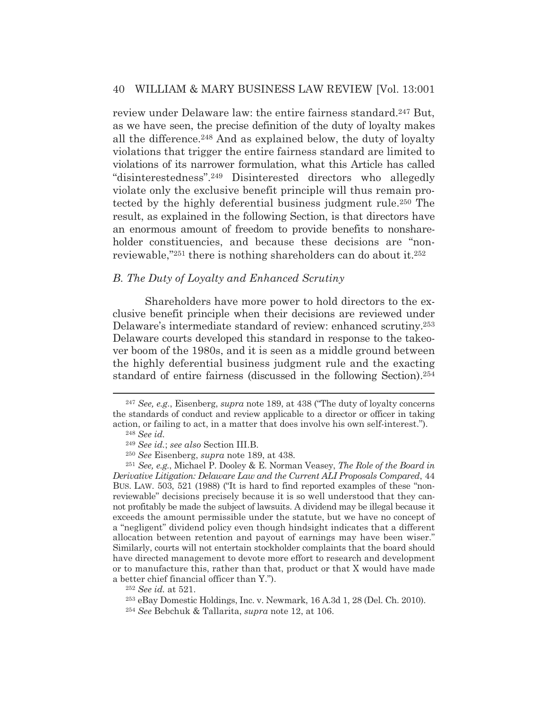review under Delaware law: the entire fairness standard.247 But, as we have seen, the precise definition of the duty of loyalty makes all the difference.248 And as explained below, the duty of loyalty violations that trigger the entire fairness standard are limited to violations of its narrower formulation, what this Article has called "disinterestedness".249 Disinterested directors who allegedly violate only the exclusive benefit principle will thus remain protected by the highly deferential business judgment rule.250 The result, as explained in the following Section, is that directors have an enormous amount of freedom to provide benefits to nonshareholder constituencies, and because these decisions are "nonreviewable,"251 there is nothing shareholders can do about it.252

## *B. The Duty of Loyalty and Enhanced Scrutiny*

Shareholders have more power to hold directors to the exclusive benefit principle when their decisions are reviewed under Delaware's intermediate standard of review: enhanced scrutiny.253 Delaware courts developed this standard in response to the takeover boom of the 1980s, and it is seen as a middle ground between the highly deferential business judgment rule and the exacting standard of entire fairness (discussed in the following Section).254

<sup>247</sup> *See, e.g.*, Eisenberg, *supra* note 189, at 438 ("The duty of loyalty concerns the standards of conduct and review applicable to a director or officer in taking action, or failing to act, in a matter that does involve his own self-interest.").

<sup>248</sup> *See id.*

<sup>249</sup> *See id.*; *see also* Section III.B.

<sup>250</sup> *See* Eisenberg, *supra* note 189, at 438*.*

<sup>251</sup> *See, e.g.*, Michael P. Dooley & E. Norman Veasey, *The Role of the Board in Derivative Litigation: Delaware Law and the Current ALI Proposals Compared*, 44 BUS. LAW. 503, 521 (1988) ("It is hard to find reported examples of these "nonreviewable" decisions precisely because it is so well understood that they cannot profitably be made the subject of lawsuits. A dividend may be illegal because it exceeds the amount permissible under the statute, but we have no concept of a "negligent" dividend policy even though hindsight indicates that a different allocation between retention and payout of earnings may have been wiser." Similarly, courts will not entertain stockholder complaints that the board should have directed management to devote more effort to research and development or to manufacture this, rather than that, product or that X would have made a better chief financial officer than Y.").

<sup>252</sup> *See id.* at 521.

<sup>253</sup> eBay Domestic Holdings, Inc. v. Newmark, 16 A.3d 1, 28 (Del. Ch. 2010).

<sup>254</sup> *See* Bebchuk & Tallarita, *supra* note 12, at 106.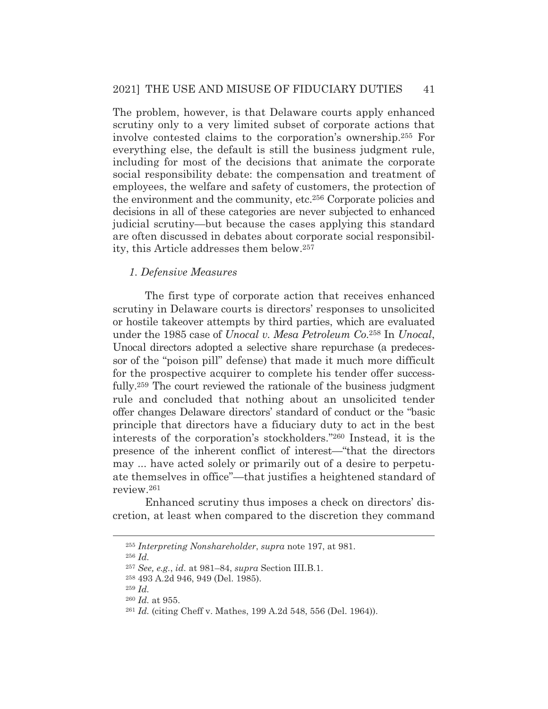The problem, however, is that Delaware courts apply enhanced scrutiny only to a very limited subset of corporate actions that involve contested claims to the corporation's ownership.255 For everything else, the default is still the business judgment rule, including for most of the decisions that animate the corporate social responsibility debate: the compensation and treatment of employees, the welfare and safety of customers, the protection of the environment and the community, etc.256 Corporate policies and decisions in all of these categories are never subjected to enhanced judicial scrutiny—but because the cases applying this standard are often discussed in debates about corporate social responsibility, this Article addresses them below.257

#### *1. Defensive Measures*

The first type of corporate action that receives enhanced scrutiny in Delaware courts is directors' responses to unsolicited or hostile takeover attempts by third parties, which are evaluated under the 1985 case of *Unocal v. Mesa Petroleum Co*.258 In *Unocal*, Unocal directors adopted a selective share repurchase (a predecessor of the "poison pill" defense) that made it much more difficult for the prospective acquirer to complete his tender offer successfully.259 The court reviewed the rationale of the business judgment rule and concluded that nothing about an unsolicited tender offer changes Delaware directors' standard of conduct or the "basic principle that directors have a fiduciary duty to act in the best interests of the corporation's stockholders."260 Instead, it is the presence of the inherent conflict of interest—"that the directors may ... have acted solely or primarily out of a desire to perpetuate themselves in office"—that justifies a heightened standard of review.261

Enhanced scrutiny thus imposes a check on directors' discretion, at least when compared to the discretion they command

<sup>256</sup> *Id.*

<sup>255</sup> *Interpreting Nonshareholder*, *supra* note 197, at 981.

<sup>257</sup> *See, e.g.*, *id.* at 981–84, *supra* Section III.B.1.

<sup>258 493</sup> A.2d 946, 949 (Del. 1985).

<sup>259</sup> *Id.*

<sup>260</sup> *Id.* at 955.

<sup>261</sup> *Id.* (citing Cheff v. Mathes, 199 A.2d 548, 556 (Del. 1964)).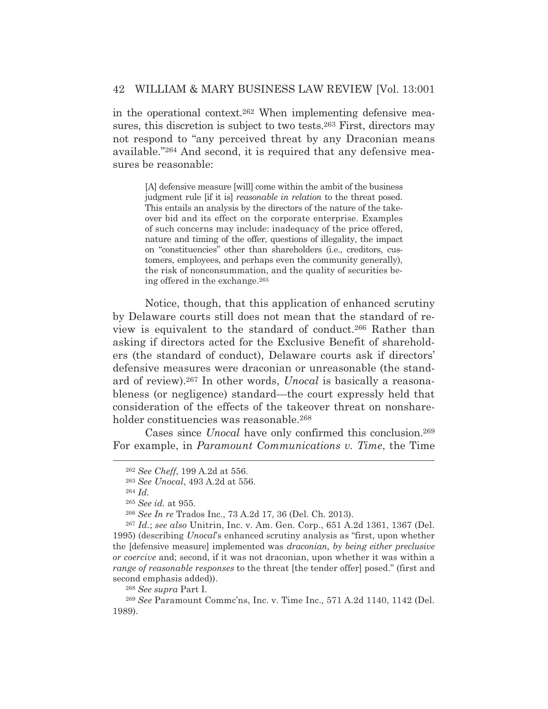in the operational context.262 When implementing defensive measures, this discretion is subject to two tests.263 First, directors may not respond to "any perceived threat by any Draconian means available."264 And second, it is required that any defensive measures be reasonable:

> [A] defensive measure [will] come within the ambit of the business judgment rule [if it is] *reasonable in relation* to the threat posed. This entails an analysis by the directors of the nature of the takeover bid and its effect on the corporate enterprise. Examples of such concerns may include: inadequacy of the price offered, nature and timing of the offer, questions of illegality, the impact on "constituencies" other than shareholders (i.e., creditors, customers, employees, and perhaps even the community generally), the risk of nonconsummation, and the quality of securities being offered in the exchange.265

Notice, though, that this application of enhanced scrutiny by Delaware courts still does not mean that the standard of review is equivalent to the standard of conduct.266 Rather than asking if directors acted for the Exclusive Benefit of shareholders (the standard of conduct), Delaware courts ask if directors' defensive measures were draconian or unreasonable (the standard of review).267 In other words, *Unocal* is basically a reasonableness (or negligence) standard—the court expressly held that consideration of the effects of the takeover threat on nonshareholder constituencies was reasonable.<sup>268</sup>

Cases since *Unocal* have only confirmed this conclusion.269 For example, in *Paramount Communications v. Time*, the Time

<sup>262</sup> *See Cheff*, 199 A.2d at 556.

<sup>263</sup> *See Unocal*, 493 A.2d at 556.

<sup>264</sup> *Id.*

<sup>265</sup> *See id.* at 955.

<sup>266</sup> *See In re* Trados Inc*.*, 73 A.2d 17, 36 (Del. Ch. 2013).

<sup>267</sup> *Id.*; *see also* Unitrin, Inc. v. Am. Gen. Corp., 651 A.2d 1361, 1367 (Del. 1995) (describing *Unocal*'s enhanced scrutiny analysis as "first, upon whether the [defensive measure] implemented was *draconian, by being either preclusive or coercive* and; second, if it was not draconian, upon whether it was within a *range of reasonable responses* to the threat [the tender offer] posed." (first and second emphasis added)).

<sup>268</sup> *See supra* Part I.

<sup>269</sup> *See* Paramount Commc'ns, Inc. v. Time Inc.*,* 571 A.2d 1140, 1142 (Del. 1989).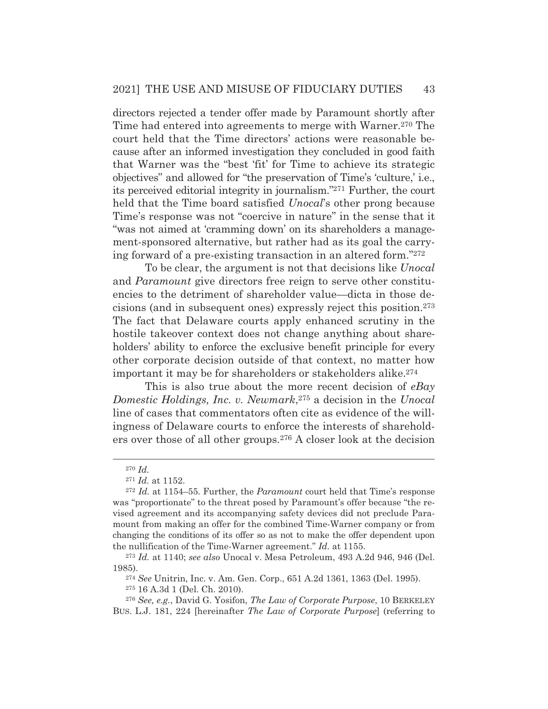directors rejected a tender offer made by Paramount shortly after Time had entered into agreements to merge with Warner.270 The court held that the Time directors' actions were reasonable because after an informed investigation they concluded in good faith that Warner was the "best 'fit' for Time to achieve its strategic objectives" and allowed for "the preservation of Time's 'culture,' i.e., its perceived editorial integrity in journalism."271 Further, the court held that the Time board satisfied *Unocal*'s other prong because Time's response was not "coercive in nature" in the sense that it "was not aimed at 'cramming down' on its shareholders a management-sponsored alternative, but rather had as its goal the carrying forward of a pre-existing transaction in an altered form."272

To be clear, the argument is not that decisions like *Unocal* and *Paramount* give directors free reign to serve other constituencies to the detriment of shareholder value—dicta in those decisions (and in subsequent ones) expressly reject this position.273 The fact that Delaware courts apply enhanced scrutiny in the hostile takeover context does not change anything about shareholders' ability to enforce the exclusive benefit principle for every other corporate decision outside of that context, no matter how important it may be for shareholders or stakeholders alike.274

This is also true about the more recent decision of *eBay Domestic Holdings, Inc. v. Newmark*,275 a decision in the *Unocal* line of cases that commentators often cite as evidence of the willingness of Delaware courts to enforce the interests of shareholders over those of all other groups.276 A closer look at the decision

<sup>273</sup> *Id.* at 1140; *see also* Unocal v. Mesa Petroleum, 493 A.2d 946, 946 (Del. 1985).

<sup>274</sup> *See* Unitrin, Inc. v. Am. Gen. Corp., 651 A.2d 1361, 1363 (Del. 1995).

275 16 A.3d 1 (Del. Ch. 2010).

<sup>276</sup> *See, e.g.*, David G. Yosifon, *The Law of Corporate Purpose*, 10 BERKELEY BUS. L.J. 181, 224 [hereinafter *The Law of Corporate Purpose*] (referring to

<sup>270</sup> *Id.*

<sup>271</sup> *Id.* at 1152.

<sup>272</sup> *Id.* at 1154–55. Further, the *Paramount* court held that Time's response was "proportionate" to the threat posed by Paramount's offer because "the revised agreement and its accompanying safety devices did not preclude Paramount from making an offer for the combined Time-Warner company or from changing the conditions of its offer so as not to make the offer dependent upon the nullification of the Time-Warner agreement." *Id.* at 1155.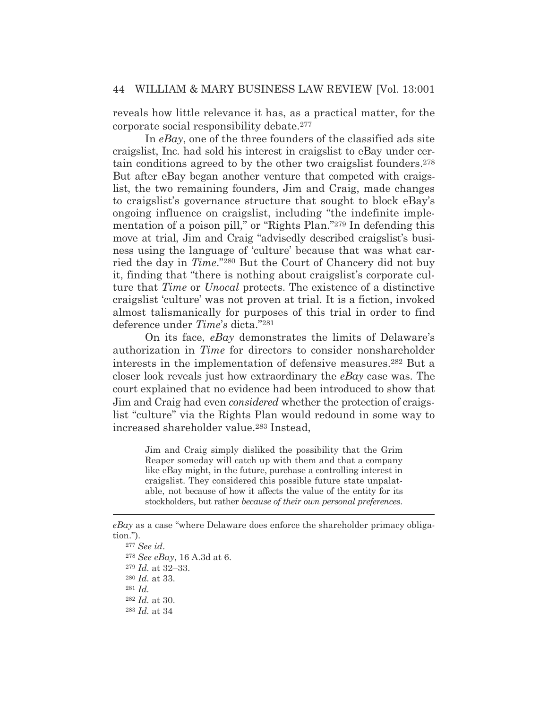reveals how little relevance it has, as a practical matter, for the corporate social responsibility debate.277

In *eBay*, one of the three founders of the classified ads site craigslist, Inc. had sold his interest in craigslist to eBay under certain conditions agreed to by the other two craigslist founders.278 But after eBay began another venture that competed with craigslist, the two remaining founders, Jim and Craig, made changes to craigslist's governance structure that sought to block eBay's ongoing influence on craigslist, including "the indefinite implementation of a poison pill," or "Rights Plan."279 In defending this move at trial, Jim and Craig "advisedly described craigslist's business using the language of 'culture' because that was what carried the day in *Time*."280 But the Court of Chancery did not buy it, finding that "there is nothing about craigslist's corporate culture that *Time* or *Unocal* protects. The existence of a distinctive craigslist 'culture' was not proven at trial. It is a fiction, invoked almost talismanically for purposes of this trial in order to find deference under *Time*'*s* dicta."281

On its face, *eBay* demonstrates the limits of Delaware's authorization in *Time* for directors to consider nonshareholder interests in the implementation of defensive measures.282 But a closer look reveals just how extraordinary the *eBay* case was. The court explained that no evidence had been introduced to show that Jim and Craig had even *considered* whether the protection of craigslist "culture" via the Rights Plan would redound in some way to increased shareholder value.283 Instead,

> Jim and Craig simply disliked the possibility that the Grim Reaper someday will catch up with them and that a company like eBay might, in the future, purchase a controlling interest in craigslist. They considered this possible future state unpalatable, not because of how it affects the value of the entity for its stockholders, but rather *because of their own personal preferences*.

*eBay* as a case "where Delaware does enforce the shareholder primacy obligation.").

<sup>277</sup> *See id*. *See eBay*, 16 A.3d at 6. *Id.* at 32–33. *Id.* at 33. <sup>281</sup> *Id. Id.* at 30. *Id.* at 34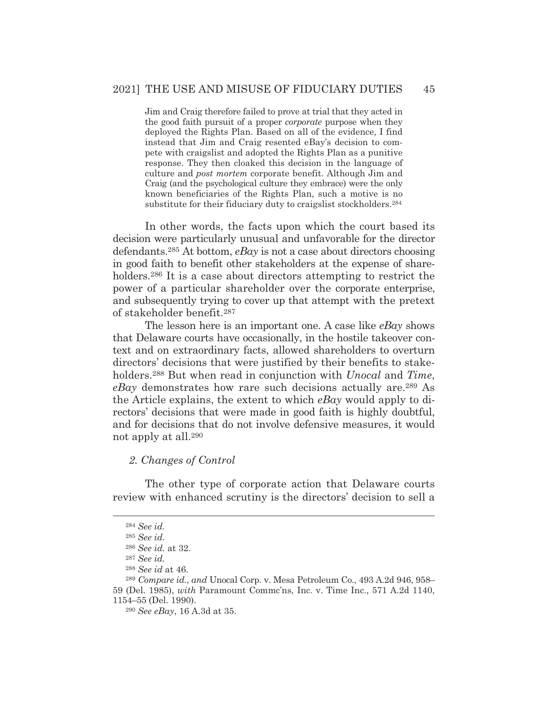Jim and Craig therefore failed to prove at trial that they acted in the good faith pursuit of a proper *corporate* purpose when they deployed the Rights Plan. Based on all of the evidence, I find instead that Jim and Craig resented eBay's decision to compete with craigslist and adopted the Rights Plan as a punitive response. They then cloaked this decision in the language of culture and *post mortem* corporate benefit. Although Jim and Craig (and the psychological culture they embrace) were the only known beneficiaries of the Rights Plan, such a motive is no substitute for their fiduciary duty to craigslist stockholders.<sup>284</sup>

In other words, the facts upon which the court based its decision were particularly unusual and unfavorable for the director defendants.285 At bottom, *eBay* is not a case about directors choosing in good faith to benefit other stakeholders at the expense of shareholders.<sup>286</sup> It is a case about directors attempting to restrict the power of a particular shareholder over the corporate enterprise, and subsequently trying to cover up that attempt with the pretext of stakeholder benefit.287

 The lesson here is an important one. A case like *eBay* shows that Delaware courts have occasionally, in the hostile takeover context and on extraordinary facts, allowed shareholders to overturn directors' decisions that were justified by their benefits to stakeholders.288 But when read in conjunction with *Unocal* and *Time*, *eBay* demonstrates how rare such decisions actually are.289 As the Article explains, the extent to which *eBay* would apply to directors' decisions that were made in good faith is highly doubtful, and for decisions that do not involve defensive measures, it would not apply at all.290

#### *2. Changes of Control*

 The other type of corporate action that Delaware courts review with enhanced scrutiny is the directors' decision to sell a

<sup>284</sup> *See id.*

<sup>285</sup> *See id.*

<sup>286</sup> *See id.* at 32.

<sup>287</sup> *See id.*

<sup>288</sup> *See id* at 46.

<sup>289</sup> *Compare id.*, *and* Unocal Corp. v. Mesa Petroleum Co., 493 A.2d 946, 958– 59 (Del. 1985), *with* Paramount Commc'ns, Inc. v. Time Inc., 571 A.2d 1140, 1154–55 (Del. 1990).

<sup>290</sup> *See eBay*, 16 A.3d at 35.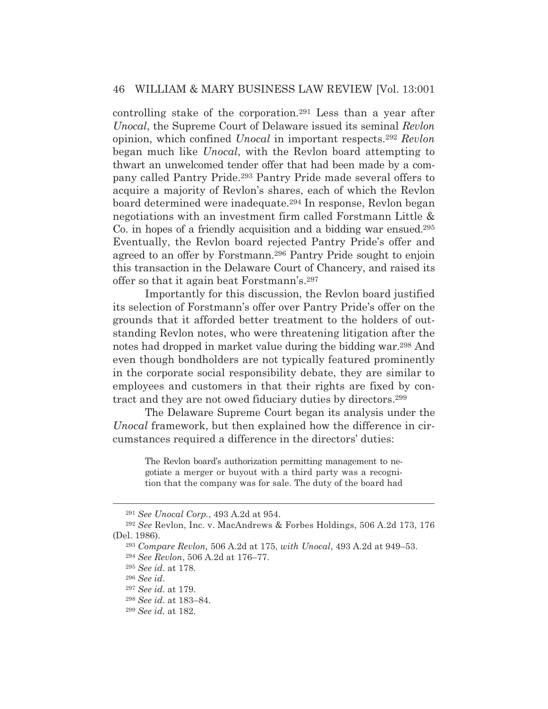controlling stake of the corporation.291 Less than a year after *Unocal*, the Supreme Court of Delaware issued its seminal *Revlon* opinion, which confined *Unocal* in important respects.292 *Revlon* began much like *Unocal*, with the Revlon board attempting to thwart an unwelcomed tender offer that had been made by a company called Pantry Pride.293 Pantry Pride made several offers to acquire a majority of Revlon's shares, each of which the Revlon board determined were inadequate.294 In response, Revlon began negotiations with an investment firm called Forstmann Little & Co. in hopes of a friendly acquisition and a bidding war ensued.295 Eventually, the Revlon board rejected Pantry Pride's offer and agreed to an offer by Forstmann.296 Pantry Pride sought to enjoin this transaction in the Delaware Court of Chancery, and raised its offer so that it again beat Forstmann's.297

 Importantly for this discussion, the Revlon board justified its selection of Forstmann's offer over Pantry Pride's offer on the grounds that it afforded better treatment to the holders of outstanding Revlon notes, who were threatening litigation after the notes had dropped in market value during the bidding war.298 And even though bondholders are not typically featured prominently in the corporate social responsibility debate, they are similar to employees and customers in that their rights are fixed by contract and they are not owed fiduciary duties by directors.299

 The Delaware Supreme Court began its analysis under the *Unocal* framework, but then explained how the difference in circumstances required a difference in the directors' duties:

The Revlon board's authorization permitting management to negotiate a merger or buyout with a third party was a recognition that the company was for sale. The duty of the board had

<sup>291</sup> *See Unocal Corp.*, 493 A.2d at 954.

<sup>292</sup> *See* Revlon, Inc. v. MacAndrews & Forbes Holdings, 506 A.2d 173, 176 (Del. 1986).

<sup>293</sup> *Compare Revlon,* 506 A.2d at 175, *with Unocal*, 493 A.2d at 949–53. <sup>294</sup> *See Revlon*, 506 A.2d at 176–77.

<sup>295</sup> *See id*. at 178.

<sup>296</sup> *See id*.

<sup>297</sup> *See id*. at 179.

<sup>298</sup> *See id*. at 183–84.

<sup>299</sup> *See id.* at 182.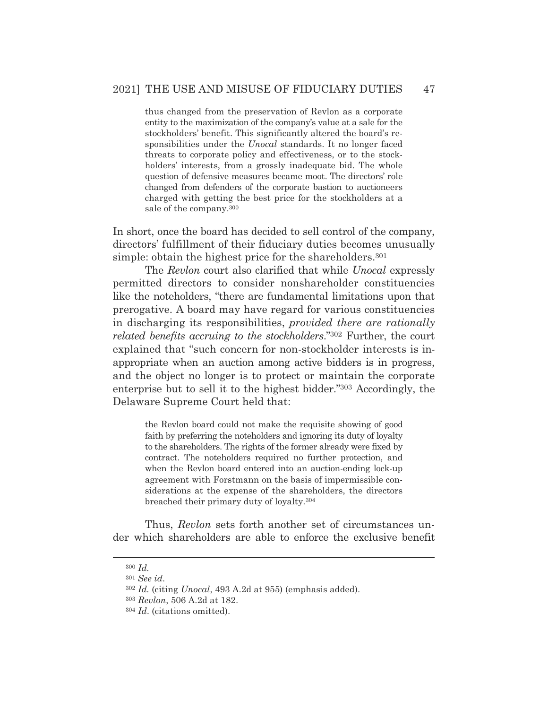thus changed from the preservation of Revlon as a corporate entity to the maximization of the company's value at a sale for the stockholders' benefit. This significantly altered the board's responsibilities under the *Unocal* standards. It no longer faced threats to corporate policy and effectiveness, or to the stockholders' interests, from a grossly inadequate bid. The whole question of defensive measures became moot. The directors' role changed from defenders of the corporate bastion to auctioneers charged with getting the best price for the stockholders at a sale of the company.300

In short, once the board has decided to sell control of the company, directors' fulfillment of their fiduciary duties becomes unusually simple: obtain the highest price for the shareholders.<sup>301</sup>

 The *Revlon* court also clarified that while *Unocal* expressly permitted directors to consider nonshareholder constituencies like the noteholders, "there are fundamental limitations upon that prerogative. A board may have regard for various constituencies in discharging its responsibilities, *provided there are rationally related benefits accruing to the stockholders*."302 Further, the court explained that "such concern for non-stockholder interests is inappropriate when an auction among active bidders is in progress, and the object no longer is to protect or maintain the corporate enterprise but to sell it to the highest bidder."303 Accordingly, the Delaware Supreme Court held that:

> the Revlon board could not make the requisite showing of good faith by preferring the noteholders and ignoring its duty of loyalty to the shareholders. The rights of the former already were fixed by contract. The noteholders required no further protection, and when the Revlon board entered into an auction-ending lock-up agreement with Forstmann on the basis of impermissible considerations at the expense of the shareholders, the directors breached their primary duty of loyalty.304

 Thus, *Revlon* sets forth another set of circumstances under which shareholders are able to enforce the exclusive benefit

<sup>300</sup> *Id.*

<sup>301</sup> *See id*.

<sup>302</sup> *Id.* (citing *Unocal*, 493 A.2d at 955) (emphasis added).

<sup>303</sup> *Revlon*, 506 A.2d at 182.

<sup>304</sup> *Id*. (citations omitted).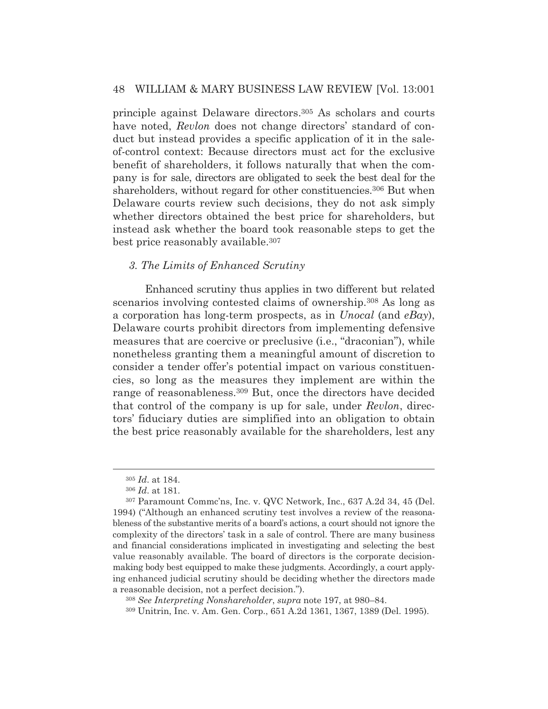principle against Delaware directors.305 As scholars and courts have noted, *Revlon* does not change directors' standard of conduct but instead provides a specific application of it in the saleof-control context: Because directors must act for the exclusive benefit of shareholders, it follows naturally that when the company is for sale, directors are obligated to seek the best deal for the shareholders, without regard for other constituencies.<sup>306</sup> But when Delaware courts review such decisions, they do not ask simply whether directors obtained the best price for shareholders, but instead ask whether the board took reasonable steps to get the best price reasonably available.307

#### *3. The Limits of Enhanced Scrutiny*

 Enhanced scrutiny thus applies in two different but related scenarios involving contested claims of ownership.<sup>308</sup> As long as a corporation has long-term prospects, as in *Unocal* (and *eBay*), Delaware courts prohibit directors from implementing defensive measures that are coercive or preclusive (i.e., "draconian"), while nonetheless granting them a meaningful amount of discretion to consider a tender offer's potential impact on various constituencies, so long as the measures they implement are within the range of reasonableness.309 But, once the directors have decided that control of the company is up for sale, under *Revlon*, directors' fiduciary duties are simplified into an obligation to obtain the best price reasonably available for the shareholders, lest any

<sup>308</sup> *See Interpreting Nonshareholder*, *supra* note 197, at 980–84.

309 Unitrin, Inc. v. Am. Gen. Corp., 651 A.2d 1361, 1367, 1389 (Del. 1995).

<sup>305</sup> *Id*. at 184.

<sup>306</sup> *Id*. at 181.

<sup>307</sup> Paramount Commc'ns, Inc. v. QVC Network, Inc., 637 A.2d 34, 45 (Del. 1994) ("Although an enhanced scrutiny test involves a review of the reasonableness of the substantive merits of a board's actions, a court should not ignore the complexity of the directors' task in a sale of control. There are many business and financial considerations implicated in investigating and selecting the best value reasonably available. The board of directors is the corporate decisionmaking body best equipped to make these judgments. Accordingly, a court applying enhanced judicial scrutiny should be deciding whether the directors made a reasonable decision, not a perfect decision.").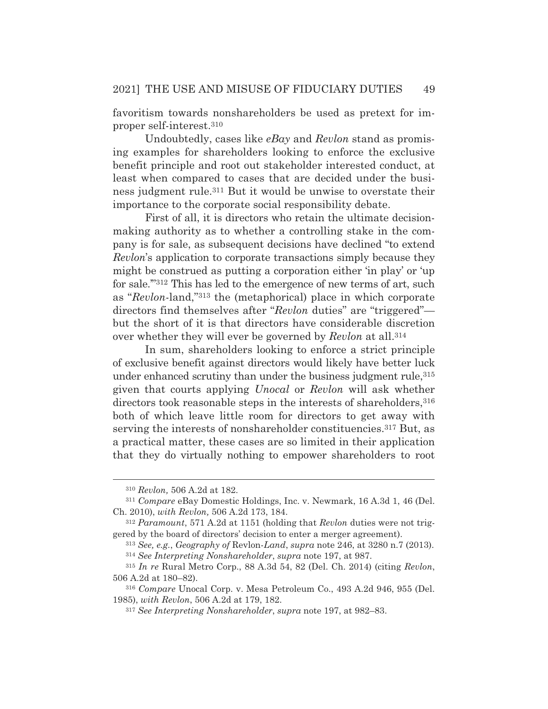favoritism towards nonshareholders be used as pretext for improper self-interest.310

 Undoubtedly, cases like *eBay* and *Revlon* stand as promising examples for shareholders looking to enforce the exclusive benefit principle and root out stakeholder interested conduct, at least when compared to cases that are decided under the business judgment rule.311 But it would be unwise to overstate their importance to the corporate social responsibility debate.

 First of all, it is directors who retain the ultimate decisionmaking authority as to whether a controlling stake in the company is for sale, as subsequent decisions have declined "to extend *Revlon*'s application to corporate transactions simply because they might be construed as putting a corporation either 'in play' or 'up for sale.'"312 This has led to the emergence of new terms of art, such as "*Revlon*-land,"313 the (metaphorical) place in which corporate directors find themselves after "*Revlon* duties" are "triggered" but the short of it is that directors have considerable discretion over whether they will ever be governed by *Revlon* at all.314

 In sum, shareholders looking to enforce a strict principle of exclusive benefit against directors would likely have better luck under enhanced scrutiny than under the business judgment rule, 315 given that courts applying *Unocal* or *Revlon* will ask whether directors took reasonable steps in the interests of shareholders, 316 both of which leave little room for directors to get away with serving the interests of nonshareholder constituencies.<sup>317</sup> But, as a practical matter, these cases are so limited in their application that they do virtually nothing to empower shareholders to root

<sup>310</sup> *Revlon,* 506 A.2d at 182.

<sup>311</sup> *Compare* eBay Domestic Holdings, Inc. v. Newmark, 16 A.3d 1, 46 (Del. Ch. 2010), *with Revlon,* 506 A.2d 173, 184.

<sup>312</sup> *Paramount*, 571 A.2d at 1151 (holding that *Revlon* duties were not triggered by the board of directors' decision to enter a merger agreement).

<sup>313</sup> *See, e.g.*, *Geography of* Revlon-*Land*, *supra* note 246, at 3280 n.7 (2013). <sup>314</sup> *See Interpreting Nonshareholder*, *supra* note 197, at 987.

<sup>315</sup> *In re* Rural Metro Corp., 88 A.3d 54, 82 (Del. Ch. 2014) (citing *Revlon*, 506 A.2d at 180–82).

<sup>316</sup> *Compare* Unocal Corp. v. Mesa Petroleum Co., 493 A.2d 946, 955 (Del. 1985), *with Revlon*, 506 A.2d at 179, 182.

<sup>317</sup> *See Interpreting Nonshareholder*, *supra* note 197, at 982–83.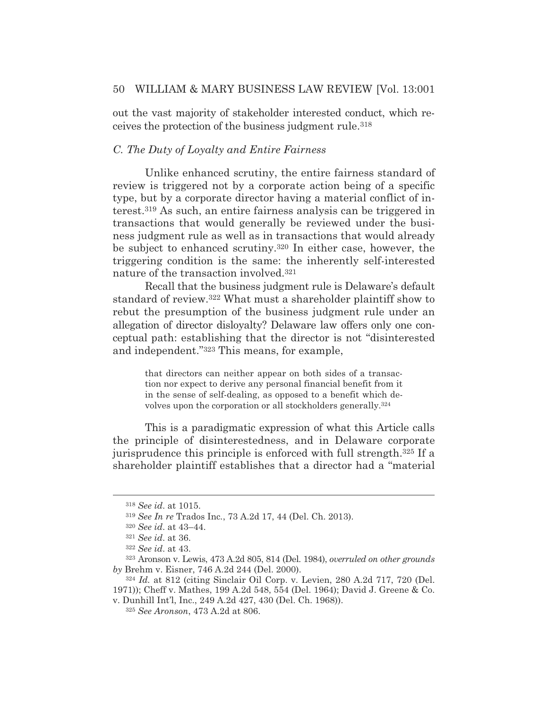out the vast majority of stakeholder interested conduct, which receives the protection of the business judgment rule.318

## *C. The Duty of Loyalty and Entire Fairness*

 Unlike enhanced scrutiny, the entire fairness standard of review is triggered not by a corporate action being of a specific type, but by a corporate director having a material conflict of interest.319 As such, an entire fairness analysis can be triggered in transactions that would generally be reviewed under the business judgment rule as well as in transactions that would already be subject to enhanced scrutiny.320 In either case, however, the triggering condition is the same: the inherently self-interested nature of the transaction involved.321

 Recall that the business judgment rule is Delaware's default standard of review.322 What must a shareholder plaintiff show to rebut the presumption of the business judgment rule under an allegation of director disloyalty? Delaware law offers only one conceptual path: establishing that the director is not "disinterested and independent."323 This means, for example,

that directors can neither appear on both sides of a transaction nor expect to derive any personal financial benefit from it in the sense of self-dealing, as opposed to a benefit which devolves upon the corporation or all stockholders generally.324

 This is a paradigmatic expression of what this Article calls the principle of disinterestedness, and in Delaware corporate jurisprudence this principle is enforced with full strength.325 If a shareholder plaintiff establishes that a director had a "material

<sup>318</sup> *See id*. at 1015.

<sup>319</sup> *See In re* Trados Inc*.*, 73 A.2d 17, 44 (Del. Ch. 2013).

<sup>320</sup> *See id*. at 43–44.

<sup>321</sup> *See id*. at 36.

<sup>322</sup> *See id*. at 43.

<sup>323</sup> Aronson v. Lewis, 473 A.2d 805, 814 (Del. 1984), *overruled on other grounds by* Brehm v. Eisner, 746 A.2d 244 (Del. 2000).

<sup>324</sup> *Id.* at 812 (citing Sinclair Oil Corp. v. Levien, 280 A.2d 717, 720 (Del. 1971)); Cheff v. Mathes, 199 A.2d 548, 554 (Del. 1964); David J. Greene & Co. v. Dunhill Int'l, Inc., 249 A.2d 427, 430 (Del. Ch. 1968)).

<sup>325</sup> *See Aronson*, 473 A.2d at 806.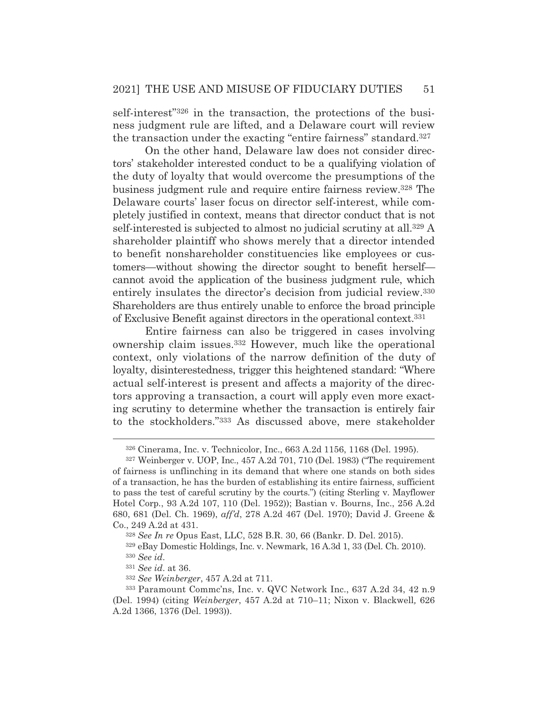self-interest"326 in the transaction, the protections of the business judgment rule are lifted, and a Delaware court will review the transaction under the exacting "entire fairness" standard.327

 On the other hand, Delaware law does not consider directors' stakeholder interested conduct to be a qualifying violation of the duty of loyalty that would overcome the presumptions of the business judgment rule and require entire fairness review.328 The Delaware courts' laser focus on director self-interest, while completely justified in context, means that director conduct that is not self-interested is subjected to almost no judicial scrutiny at all.329 A shareholder plaintiff who shows merely that a director intended to benefit nonshareholder constituencies like employees or customers—without showing the director sought to benefit herself cannot avoid the application of the business judgment rule, which entirely insulates the director's decision from judicial review.330 Shareholders are thus entirely unable to enforce the broad principle of Exclusive Benefit against directors in the operational context.331

 Entire fairness can also be triggered in cases involving ownership claim issues.332 However, much like the operational context, only violations of the narrow definition of the duty of loyalty, disinterestedness, trigger this heightened standard: "Where actual self-interest is present and affects a majority of the directors approving a transaction, a court will apply even more exacting scrutiny to determine whether the transaction is entirely fair to the stockholders."333 As discussed above, mere stakeholder

<sup>326</sup> Cinerama, Inc. v. Technicolor, Inc., 663 A.2d 1156, 1168 (Del. 1995).

<sup>327</sup> Weinberger v. UOP, Inc., 457 A.2d 701, 710 (Del. 1983) ("The requirement of fairness is unflinching in its demand that where one stands on both sides of a transaction, he has the burden of establishing its entire fairness, sufficient to pass the test of careful scrutiny by the courts.") (citing Sterling v. Mayflower Hotel Corp*.*, 93 A.2d 107, 110 (Del. 1952)); Bastian v. Bourns, Inc., 256 A.2d 680, 681 (Del. Ch. 1969), *aff'd*, 278 A.2d 467 (Del. 1970); David J. Greene & Co., 249 A.2d at 431.

<sup>328</sup> *See In re* Opus East, LLC, 528 B.R. 30, 66 (Bankr. D. Del. 2015).

<sup>329</sup> eBay Domestic Holdings, Inc. v. Newmark, 16 A.3d 1, 33 (Del. Ch. 2010). <sup>330</sup> *See id*.

<sup>331</sup> *See id*. at 36.

<sup>332</sup> *See Weinberger*, 457 A.2d at 711.

<sup>333</sup> Paramount Commc'ns, Inc. v. QVC Network Inc., 637 A.2d 34, 42 n.9 (Del. 1994) (citing *Weinberger*, 457 A.2d at 710–11; Nixon v. Blackwell*,* 626 A.2d 1366, 1376 (Del. 1993)).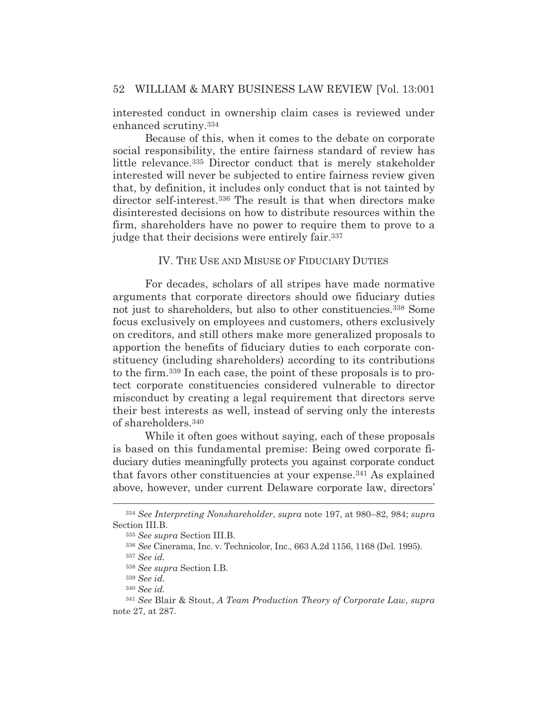interested conduct in ownership claim cases is reviewed under enhanced scrutiny.334

 Because of this, when it comes to the debate on corporate social responsibility, the entire fairness standard of review has little relevance.335 Director conduct that is merely stakeholder interested will never be subjected to entire fairness review given that, by definition, it includes only conduct that is not tainted by director self-interest.336 The result is that when directors make disinterested decisions on how to distribute resources within the firm, shareholders have no power to require them to prove to a judge that their decisions were entirely fair.337

## IV. THE USE AND MISUSE OF FIDUCIARY DUTIES

 For decades, scholars of all stripes have made normative arguments that corporate directors should owe fiduciary duties not just to shareholders, but also to other constituencies.338 Some focus exclusively on employees and customers, others exclusively on creditors, and still others make more generalized proposals to apportion the benefits of fiduciary duties to each corporate constituency (including shareholders) according to its contributions to the firm.339 In each case, the point of these proposals is to protect corporate constituencies considered vulnerable to director misconduct by creating a legal requirement that directors serve their best interests as well, instead of serving only the interests of shareholders.340

 While it often goes without saying, each of these proposals is based on this fundamental premise: Being owed corporate fiduciary duties meaningfully protects you against corporate conduct that favors other constituencies at your expense.341 As explained above, however, under current Delaware corporate law, directors'

<sup>334</sup> *See Interpreting Nonshareholder*, *supra* note 197, at 980–82, 984; *supra* Section III.B.

<sup>335</sup> *See supra* Section III.B.

<sup>336</sup> *See* Cinerama, Inc. v. Technicolor, Inc., 663 A.2d 1156, 1168 (Del. 1995).

<sup>337</sup> *See id.*

<sup>338</sup> *See supra* Section I.B.

<sup>339</sup> *See id.* 

<sup>340</sup> *See id.* 

<sup>341</sup> *See* Blair & Stout, *A Team Production Theory of Corporate Law*, *supra* note 27, at 287.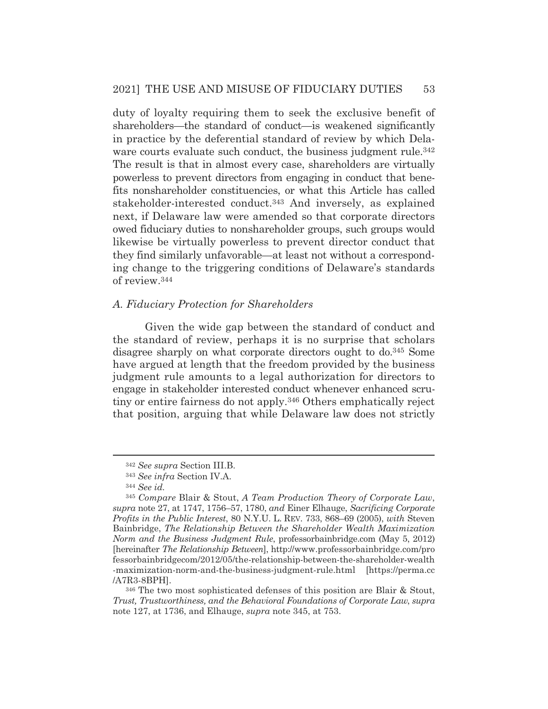duty of loyalty requiring them to seek the exclusive benefit of shareholders—the standard of conduct—is weakened significantly in practice by the deferential standard of review by which Delaware courts evaluate such conduct, the business judgment rule.<sup>342</sup> The result is that in almost every case, shareholders are virtually powerless to prevent directors from engaging in conduct that benefits nonshareholder constituencies, or what this Article has called stakeholder-interested conduct.343 And inversely, as explained next, if Delaware law were amended so that corporate directors owed fiduciary duties to nonshareholder groups, such groups would likewise be virtually powerless to prevent director conduct that they find similarly unfavorable—at least not without a corresponding change to the triggering conditions of Delaware's standards of review.344

## *A. Fiduciary Protection for Shareholders*

 Given the wide gap between the standard of conduct and the standard of review, perhaps it is no surprise that scholars disagree sharply on what corporate directors ought to do.345 Some have argued at length that the freedom provided by the business judgment rule amounts to a legal authorization for directors to engage in stakeholder interested conduct whenever enhanced scrutiny or entire fairness do not apply.346 Others emphatically reject that position, arguing that while Delaware law does not strictly

346 The two most sophisticated defenses of this position are Blair & Stout, *Trust, Trustworthiness, and the Behavioral Foundations of Corporate Law*, *supra* note 127, at 1736, and Elhauge, *supra* note 345, at 753.

<sup>342</sup> *See supra* Section III.B.

<sup>343</sup> *See infra* Section IV.A.

<sup>344</sup> *See id.*

<sup>345</sup> *Compare* Blair & Stout, *A Team Production Theory of Corporate Law*, *supra* note 27, at 1747, 1756–57, 1780, *and* Einer Elhauge, *Sacrificing Corporate Profits in the Public Interest*, 80 N.Y.U. L. REV. 733, 868–69 (2005), *with* Steven Bainbridge, *The Relationship Between the Shareholder Wealth Maximization Norm and the Business Judgment Rule*, professorbainbridge.com (May 5, 2012) [hereinafter *The Relationship Between*], http://www.professorbainbridge.com/pro fessorbainbridgecom/2012/05/the-relationship-between-the-shareholder-wealth -maximization-norm-and-the-business-judgment-rule.html [https://perma.cc /A7R3-8BPH].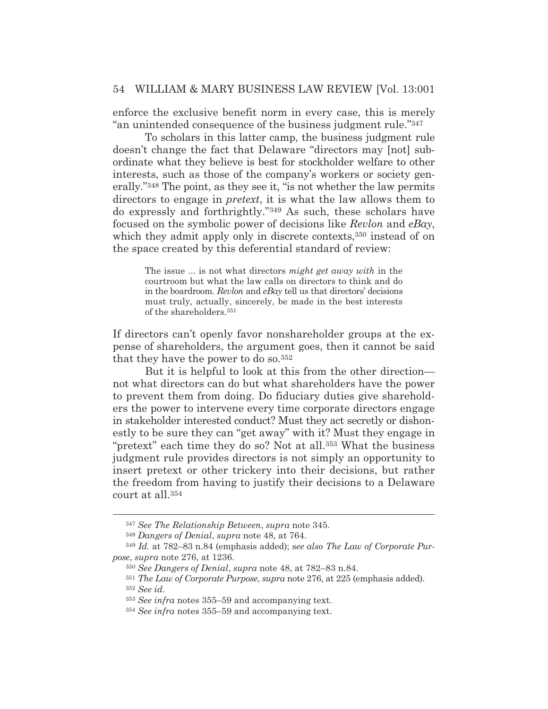enforce the exclusive benefit norm in every case, this is merely "an unintended consequence of the business judgment rule."347

 To scholars in this latter camp, the business judgment rule doesn't change the fact that Delaware "directors may [not] subordinate what they believe is best for stockholder welfare to other interests, such as those of the company's workers or society generally."348 The point, as they see it, "is not whether the law permits directors to engage in *pretext*, it is what the law allows them to do expressly and forthrightly."349 As such, these scholars have focused on the symbolic power of decisions like *Revlon* and *eBay*, which they admit apply only in discrete contexts,<sup>350</sup> instead of on the space created by this deferential standard of review:

The issue ... is not what directors *might get away with* in the courtroom but what the law calls on directors to think and do in the boardroom. *Revlon* and *eBay* tell us that directors' decisions must truly, actually, sincerely, be made in the best interests of the shareholders.351

If directors can't openly favor nonshareholder groups at the expense of shareholders, the argument goes, then it cannot be said that they have the power to do so.352

 But it is helpful to look at this from the other direction not what directors can do but what shareholders have the power to prevent them from doing. Do fiduciary duties give shareholders the power to intervene every time corporate directors engage in stakeholder interested conduct? Must they act secretly or dishonestly to be sure they can "get away" with it? Must they engage in "pretext" each time they do so? Not at all.353 What the business judgment rule provides directors is not simply an opportunity to insert pretext or other trickery into their decisions, but rather the freedom from having to justify their decisions to a Delaware court at all.354

<sup>347</sup> *See The Relationship Between*, *supra* note 345.

<sup>348</sup> *Dangers of Denial*, *supra* note 48, at 764.

<sup>349</sup> *Id.* at 782–83 n.84 (emphasis added); s*ee also The Law of Corporate Purpose*, *supra* note 276, at 1236.

<sup>350</sup> *See Dangers of Denial*, *supra* note 48, at 782–83 n.84.

<sup>351</sup> *The Law of Corporate Purpose*, *supra* note 276, at 225 (emphasis added).

<sup>352</sup> *See id*.

<sup>353</sup> *See infra* notes 355–59 and accompanying text.

<sup>354</sup> *See infra* notes 355–59 and accompanying text.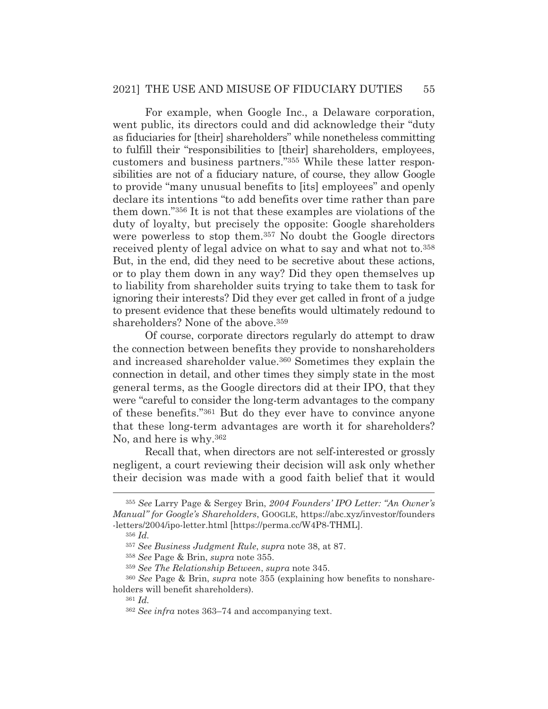For example, when Google Inc., a Delaware corporation, went public, its directors could and did acknowledge their "duty as fiduciaries for [their] shareholders" while nonetheless committing to fulfill their "responsibilities to [their] shareholders, employees, customers and business partners."355 While these latter responsibilities are not of a fiduciary nature, of course, they allow Google to provide "many unusual benefits to [its] employees" and openly declare its intentions "to add benefits over time rather than pare them down."356 It is not that these examples are violations of the duty of loyalty, but precisely the opposite: Google shareholders were powerless to stop them.<sup>357</sup> No doubt the Google directors received plenty of legal advice on what to say and what not to.358 But, in the end, did they need to be secretive about these actions, or to play them down in any way? Did they open themselves up to liability from shareholder suits trying to take them to task for ignoring their interests? Did they ever get called in front of a judge to present evidence that these benefits would ultimately redound to shareholders? None of the above.359

 Of course, corporate directors regularly do attempt to draw the connection between benefits they provide to nonshareholders and increased shareholder value.360 Sometimes they explain the connection in detail, and other times they simply state in the most general terms, as the Google directors did at their IPO, that they were "careful to consider the long-term advantages to the company of these benefits."361 But do they ever have to convince anyone that these long-term advantages are worth it for shareholders? No, and here is why.362

 Recall that, when directors are not self-interested or grossly negligent, a court reviewing their decision will ask only whether their decision was made with a good faith belief that it would

<sup>355</sup> *See* Larry Page & Sergey Brin, *2004 Founders' IPO Letter: "An Owner's Manual" for Google's Shareholders*, GOOGLE, https://abc.xyz/investor/founders -letters/2004/ipo-letter.html [https://perma.cc/W4P8-THML].

<sup>356</sup> *Id.*

<sup>357</sup> *See Business Judgment Rule*, *supra* note 38, at 87.

<sup>358</sup> *See* Page & Brin, *supra* note 355.

<sup>359</sup> *See The Relationship Between*, *supra* note 345.

<sup>360</sup> *See* Page & Brin, *supra* note 355 (explaining how benefits to nonshareholders will benefit shareholders).

<sup>361</sup> *Id.*

<sup>362</sup> *See infra* notes 363–74 and accompanying text.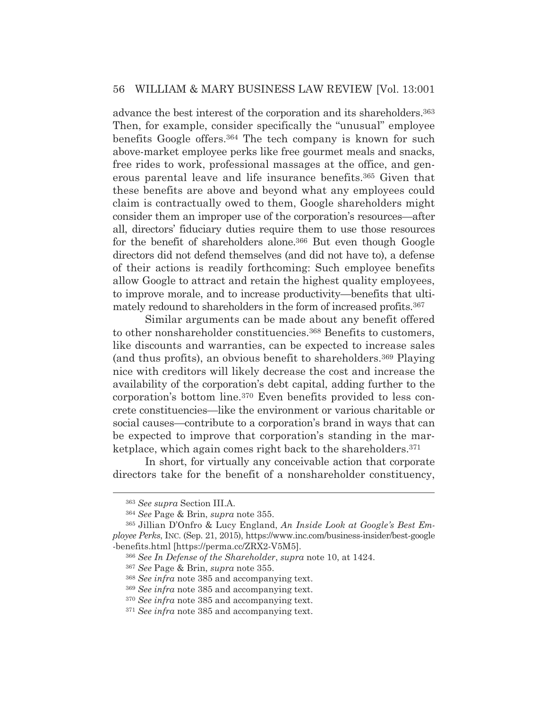advance the best interest of the corporation and its shareholders.363 Then, for example, consider specifically the "unusual" employee benefits Google offers.364 The tech company is known for such above-market employee perks like free gourmet meals and snacks, free rides to work, professional massages at the office, and generous parental leave and life insurance benefits.365 Given that these benefits are above and beyond what any employees could claim is contractually owed to them, Google shareholders might consider them an improper use of the corporation's resources—after all, directors' fiduciary duties require them to use those resources for the benefit of shareholders alone.366 But even though Google directors did not defend themselves (and did not have to), a defense of their actions is readily forthcoming: Such employee benefits allow Google to attract and retain the highest quality employees, to improve morale, and to increase productivity—benefits that ultimately redound to shareholders in the form of increased profits.<sup>367</sup>

 Similar arguments can be made about any benefit offered to other nonshareholder constituencies.368 Benefits to customers, like discounts and warranties, can be expected to increase sales (and thus profits), an obvious benefit to shareholders.369 Playing nice with creditors will likely decrease the cost and increase the availability of the corporation's debt capital, adding further to the corporation's bottom line.370 Even benefits provided to less concrete constituencies—like the environment or various charitable or social causes—contribute to a corporation's brand in ways that can be expected to improve that corporation's standing in the marketplace, which again comes right back to the shareholders.371

 In short, for virtually any conceivable action that corporate directors take for the benefit of a nonshareholder constituency,

<sup>363</sup> *See supra* Section III.A.

<sup>364</sup> *See* Page & Brin, *supra* note 355.

<sup>365</sup> Jillian D'Onfro & Lucy England, *An Inside Look at Google's Best Employee Perks*, INC. (Sep. 21, 2015), https://www.inc.com/business-insider/best-google -benefits.html [https://perma.cc/ZRX2-V5M5].

<sup>366</sup> *See In Defense of the Shareholder*, *supra* note 10, at 1424.

<sup>367</sup> *See* Page & Brin, *supra* note 355.

<sup>368</sup> *See infra* note 385 and accompanying text.

<sup>369</sup> *See infra* note 385 and accompanying text.

<sup>370</sup> *See infra* note 385 and accompanying text.

<sup>371</sup> *See infra* note 385 and accompanying text.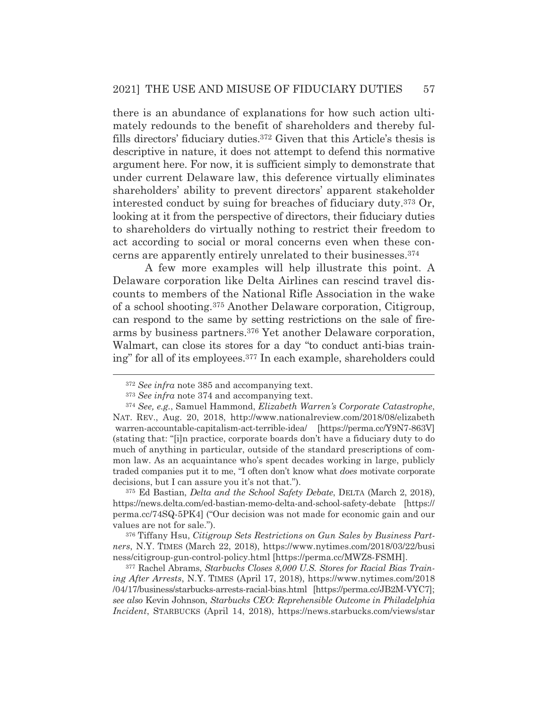there is an abundance of explanations for how such action ultimately redounds to the benefit of shareholders and thereby fulfills directors' fiduciary duties.372 Given that this Article's thesis is descriptive in nature, it does not attempt to defend this normative argument here. For now, it is sufficient simply to demonstrate that under current Delaware law, this deference virtually eliminates shareholders' ability to prevent directors' apparent stakeholder interested conduct by suing for breaches of fiduciary duty.373 Or, looking at it from the perspective of directors, their fiduciary duties to shareholders do virtually nothing to restrict their freedom to act according to social or moral concerns even when these concerns are apparently entirely unrelated to their businesses.374

 A few more examples will help illustrate this point. A Delaware corporation like Delta Airlines can rescind travel discounts to members of the National Rifle Association in the wake of a school shooting.375 Another Delaware corporation, Citigroup, can respond to the same by setting restrictions on the sale of firearms by business partners.376 Yet another Delaware corporation, Walmart, can close its stores for a day "to conduct anti-bias training" for all of its employees.377 In each example, shareholders could

375 Ed Bastian, *Delta and the School Safety Debate*, DELTA (March 2, 2018), https://news.delta.com/ed-bastian-memo-delta-and-school-safety-debate [https:// perma.cc/74SQ-5PK4] ("Our decision was not made for economic gain and our values are not for sale.").

376 Tiffany Hsu, *Citigroup Sets Restrictions on Gun Sales by Business Partners*, N.Y. TIMES (March 22, 2018), https://www.nytimes.com/2018/03/22/busi ness/citigroup-gun-control-policy.html [https://perma.cc/MWZ8-FSMH].

377 Rachel Abrams, *Starbucks Closes 8,000 U.S. Stores for Racial Bias Training After Arrests*, N.Y. TIMES (April 17, 2018), https://www.nytimes.com/2018 /04/17/business/starbucks-arrests-racial-bias.html [https://perma.cc/JB2M-VYC7]; *see also* Kevin Johnson, *Starbucks CEO: Reprehensible Outcome in Philadelphia Incident*, STARBUCKS (April 14, 2018), https://news.starbucks.com/views/star

<sup>372</sup> *See infra* note 385 and accompanying text.

<sup>373</sup> *See infra* note 374 and accompanying text.

<sup>374</sup> *See, e.g.*, Samuel Hammond, *Elizabeth Warren's Corporate Catastrophe*, NAT. REV., Aug. 20, 2018, http://www.nationalreview.com/2018/08/elizabeth warren-accountable-capitalism-act-terrible-idea/ [https://perma.cc/Y9N7-863V] (stating that: "[i]n practice, corporate boards don't have a fiduciary duty to do much of anything in particular, outside of the standard prescriptions of common law. As an acquaintance who's spent decades working in large, publicly traded companies put it to me, "I often don't know what *does* motivate corporate decisions, but I can assure you it's not that.").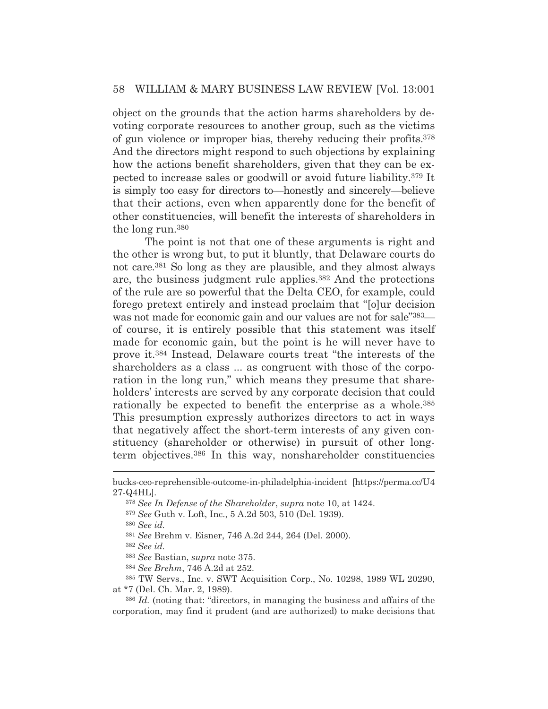object on the grounds that the action harms shareholders by devoting corporate resources to another group, such as the victims of gun violence or improper bias, thereby reducing their profits.378 And the directors might respond to such objections by explaining how the actions benefit shareholders, given that they can be expected to increase sales or goodwill or avoid future liability.379 It is simply too easy for directors to—honestly and sincerely—believe that their actions, even when apparently done for the benefit of other constituencies, will benefit the interests of shareholders in the long run.380

 The point is not that one of these arguments is right and the other is wrong but, to put it bluntly, that Delaware courts do not care.381 So long as they are plausible, and they almost always are, the business judgment rule applies.382 And the protections of the rule are so powerful that the Delta CEO, for example, could forego pretext entirely and instead proclaim that "[o]ur decision was not made for economic gain and our values are not for sale"<sup>383</sup> of course, it is entirely possible that this statement was itself made for economic gain, but the point is he will never have to prove it.384 Instead, Delaware courts treat "the interests of the shareholders as a class ... as congruent with those of the corporation in the long run," which means they presume that shareholders' interests are served by any corporate decision that could rationally be expected to benefit the enterprise as a whole.385 This presumption expressly authorizes directors to act in ways that negatively affect the short-term interests of any given constituency (shareholder or otherwise) in pursuit of other longterm objectives.386 In this way, nonshareholder constituencies

<sup>380</sup> *See id.*

<sup>382</sup> *See id.* 

<sup>383</sup> *See* Bastian, *supra* note 375.

<sup>384</sup> *See Brehm*, 746 A.2d at 252.

385 TW Servs., Inc. v. SWT Acquisition Corp., No. 10298, 1989 WL 20290, at \*7 (Del. Ch. Mar. 2, 1989).

bucks-ceo-reprehensible-outcome-in-philadelphia-incident [https://perma.cc/U4 27-Q4HL].

<sup>378</sup> *See In Defense of the Shareholder*, *supra* note 10, at 1424.

<sup>379</sup> *See* Guth v. Loft, Inc., 5 A.2d 503, 510 (Del. 1939).

<sup>381</sup> *See* Brehm v. Eisner, 746 A.2d 244, 264 (Del. 2000).

<sup>386</sup> *Id.* (noting that: "directors, in managing the business and affairs of the corporation, may find it prudent (and are authorized) to make decisions that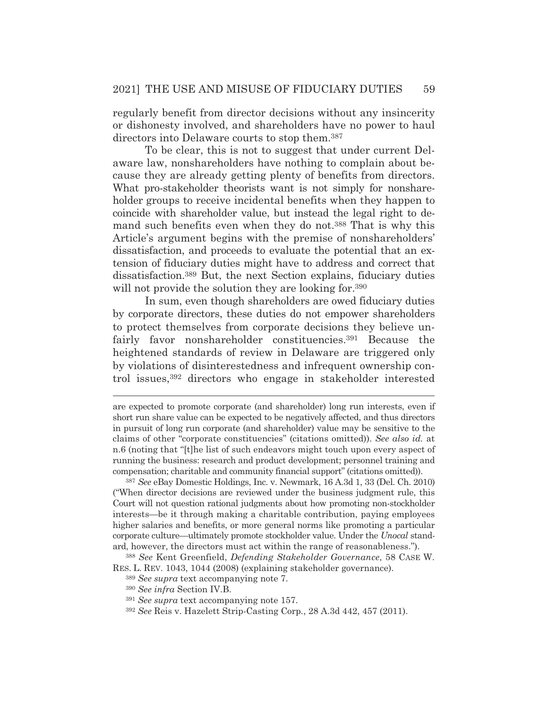regularly benefit from director decisions without any insincerity or dishonesty involved, and shareholders have no power to haul directors into Delaware courts to stop them.387

 To be clear, this is not to suggest that under current Delaware law, nonshareholders have nothing to complain about because they are already getting plenty of benefits from directors. What pro-stakeholder theorists want is not simply for nonshareholder groups to receive incidental benefits when they happen to coincide with shareholder value, but instead the legal right to demand such benefits even when they do not.388 That is why this Article's argument begins with the premise of nonshareholders' dissatisfaction, and proceeds to evaluate the potential that an extension of fiduciary duties might have to address and correct that dissatisfaction.389 But, the next Section explains, fiduciary duties will not provide the solution they are looking for.<sup>390</sup>

 In sum, even though shareholders are owed fiduciary duties by corporate directors, these duties do not empower shareholders to protect themselves from corporate decisions they believe unfairly favor nonshareholder constituencies.<sup>391</sup> Because the heightened standards of review in Delaware are triggered only by violations of disinterestedness and infrequent ownership control issues,392 directors who engage in stakeholder interested

<sup>387</sup> *See* eBay Domestic Holdings, Inc. v. Newmark, 16 A.3d 1, 33 (Del. Ch. 2010) ("When director decisions are reviewed under the business judgment rule, this Court will not question rational judgments about how promoting non-stockholder interests—be it through making a charitable contribution, paying employees higher salaries and benefits, or more general norms like promoting a particular corporate culture—ultimately promote stockholder value. Under the *Unocal* standard, however, the directors must act within the range of reasonableness.").

<sup>388</sup> *See* Kent Greenfield, *Defending Stakeholder Governance*, 58 CASE W. RES. L. REV. 1043, 1044 (2008) (explaining stakeholder governance).

are expected to promote corporate (and shareholder) long run interests, even if short run share value can be expected to be negatively affected, and thus directors in pursuit of long run corporate (and shareholder) value may be sensitive to the claims of other "corporate constituencies" (citations omitted)). *See also id.* at n.6 (noting that "[t]he list of such endeavors might touch upon every aspect of running the business: research and product development; personnel training and compensation; charitable and community financial support" (citations omitted)).

<sup>389</sup> *See supra* text accompanying note 7.

<sup>390</sup> *See infra* Section IV.B.

<sup>391</sup> *See supra* text accompanying note 157.

<sup>392</sup> *See* Reis v. Hazelett Strip-Casting Corp*.*, 28 A.3d 442, 457 (2011).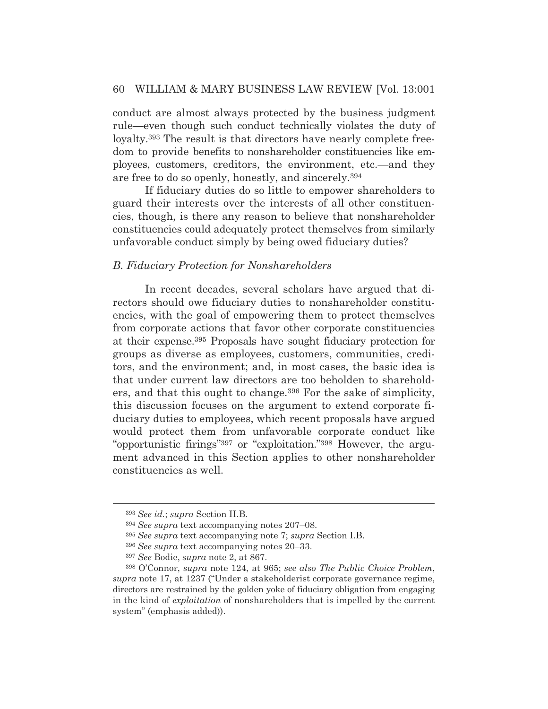conduct are almost always protected by the business judgment rule—even though such conduct technically violates the duty of loyalty.393 The result is that directors have nearly complete freedom to provide benefits to nonshareholder constituencies like employees, customers, creditors, the environment, etc.—and they are free to do so openly, honestly, and sincerely.394

 If fiduciary duties do so little to empower shareholders to guard their interests over the interests of all other constituencies, though, is there any reason to believe that nonshareholder constituencies could adequately protect themselves from similarly unfavorable conduct simply by being owed fiduciary duties?

#### *B. Fiduciary Protection for Nonshareholders*

 In recent decades, several scholars have argued that directors should owe fiduciary duties to nonshareholder constituencies, with the goal of empowering them to protect themselves from corporate actions that favor other corporate constituencies at their expense.395 Proposals have sought fiduciary protection for groups as diverse as employees, customers, communities, creditors, and the environment; and, in most cases, the basic idea is that under current law directors are too beholden to shareholders, and that this ought to change.396 For the sake of simplicity, this discussion focuses on the argument to extend corporate fiduciary duties to employees, which recent proposals have argued would protect them from unfavorable corporate conduct like "opportunistic firings"397 or "exploitation."398 However, the argument advanced in this Section applies to other nonshareholder constituencies as well.

<sup>393</sup> *See id.*; *supra* Section II.B.

<sup>394</sup> *See supra* text accompanying notes 207–08.

<sup>395</sup> *See supra* text accompanying note 7; *supra* Section I.B.

<sup>396</sup> *See supra* text accompanying notes 20–33.

<sup>397</sup> *See* Bodie, *supra* note 2, at 867.

<sup>398</sup> O'Connor, *supra* note 124, at 965; *see also The Public Choice Problem*, *supra* note 17, at 1237 ("Under a stakeholderist corporate governance regime, directors are restrained by the golden yoke of fiduciary obligation from engaging in the kind of *exploitation* of nonshareholders that is impelled by the current system" (emphasis added)).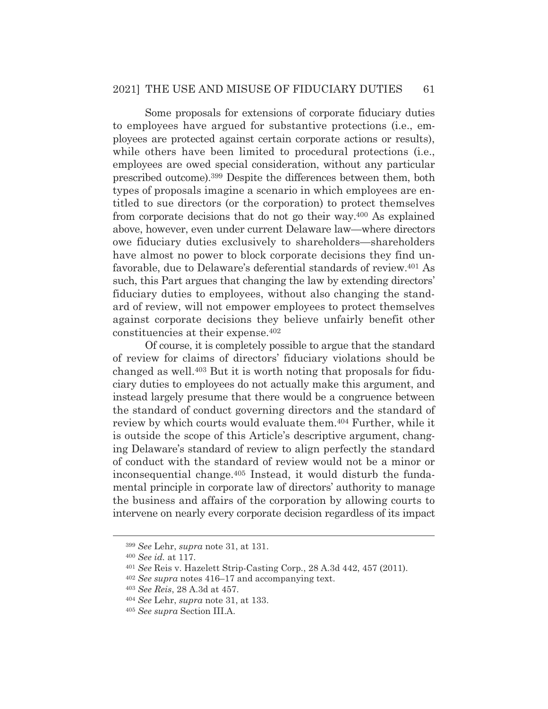Some proposals for extensions of corporate fiduciary duties to employees have argued for substantive protections (i.e., employees are protected against certain corporate actions or results), while others have been limited to procedural protections (i.e., employees are owed special consideration, without any particular prescribed outcome).399 Despite the differences between them, both types of proposals imagine a scenario in which employees are entitled to sue directors (or the corporation) to protect themselves from corporate decisions that do not go their way.400 As explained above, however, even under current Delaware law—where directors owe fiduciary duties exclusively to shareholders—shareholders have almost no power to block corporate decisions they find unfavorable, due to Delaware's deferential standards of review.401 As such, this Part argues that changing the law by extending directors' fiduciary duties to employees, without also changing the standard of review, will not empower employees to protect themselves against corporate decisions they believe unfairly benefit other constituencies at their expense.402

 Of course, it is completely possible to argue that the standard of review for claims of directors' fiduciary violations should be changed as well.403 But it is worth noting that proposals for fiduciary duties to employees do not actually make this argument, and instead largely presume that there would be a congruence between the standard of conduct governing directors and the standard of review by which courts would evaluate them.404 Further, while it is outside the scope of this Article's descriptive argument, changing Delaware's standard of review to align perfectly the standard of conduct with the standard of review would not be a minor or inconsequential change.405 Instead, it would disturb the fundamental principle in corporate law of directors' authority to manage the business and affairs of the corporation by allowing courts to intervene on nearly every corporate decision regardless of its impact

<sup>399</sup> *See* Lehr, *supra* note 31, at 131.

<sup>400</sup> *See id.* at 117.

<sup>401</sup> *See* Reis v. Hazelett Strip-Casting Corp*.*, 28 A.3d 442, 457 (2011).

<sup>402</sup> *See supra* notes 416–17 and accompanying text.

<sup>403</sup> *See Reis*, 28 A.3d at 457.

<sup>404</sup> *See* Lehr, *supra* note 31, at 133.

<sup>405</sup> *See supra* Section III.A.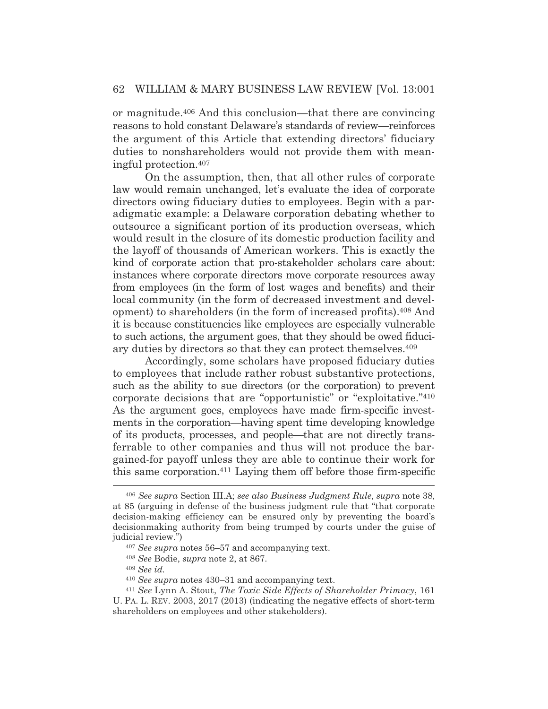or magnitude.406 And this conclusion—that there are convincing reasons to hold constant Delaware's standards of review—reinforces the argument of this Article that extending directors' fiduciary duties to nonshareholders would not provide them with meaningful protection.407

 On the assumption, then, that all other rules of corporate law would remain unchanged, let's evaluate the idea of corporate directors owing fiduciary duties to employees. Begin with a paradigmatic example: a Delaware corporation debating whether to outsource a significant portion of its production overseas, which would result in the closure of its domestic production facility and the layoff of thousands of American workers. This is exactly the kind of corporate action that pro-stakeholder scholars care about: instances where corporate directors move corporate resources away from employees (in the form of lost wages and benefits) and their local community (in the form of decreased investment and development) to shareholders (in the form of increased profits).408 And it is because constituencies like employees are especially vulnerable to such actions, the argument goes, that they should be owed fiduciary duties by directors so that they can protect themselves.409

 Accordingly, some scholars have proposed fiduciary duties to employees that include rather robust substantive protections, such as the ability to sue directors (or the corporation) to prevent corporate decisions that are "opportunistic" or "exploitative."410 As the argument goes, employees have made firm-specific investments in the corporation—having spent time developing knowledge of its products, processes, and people—that are not directly transferrable to other companies and thus will not produce the bargained-for payoff unless they are able to continue their work for this same corporation.411 Laying them off before those firm-specific

<sup>408</sup> *See* Bodie, *supra* note 2, at 867.

<sup>409</sup> *See id.*

<sup>406</sup> *See supra* Section III.A; *see also Business Judgment Rule*, *supra* note 38, at 85 (arguing in defense of the business judgment rule that "that corporate decision-making efficiency can be ensured only by preventing the board's decisionmaking authority from being trumped by courts under the guise of judicial review.")

<sup>407</sup> *See supra* notes 56–57 and accompanying text.

<sup>410</sup> *See supra* notes 430–31 and accompanying text. 411 *See* Lynn A. Stout, *The Toxic Side Effects of Shareholder Primacy*, 161 U. PA. L. REV. 2003, 2017 (2013) (indicating the negative effects of short-term shareholders on employees and other stakeholders).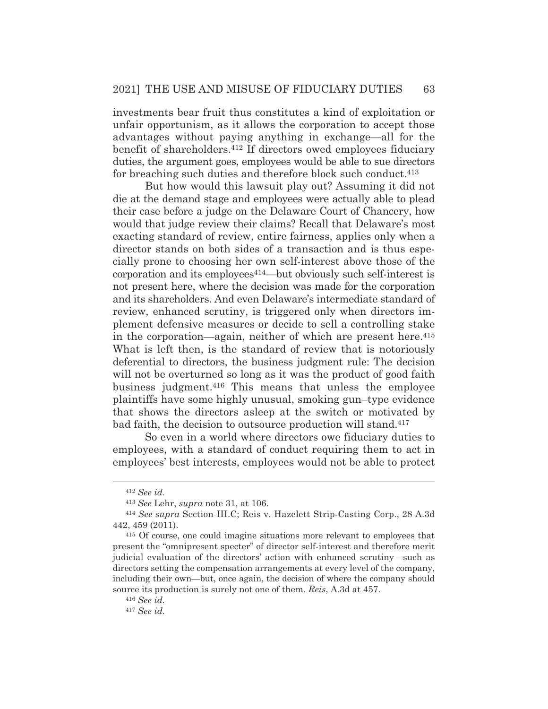investments bear fruit thus constitutes a kind of exploitation or unfair opportunism, as it allows the corporation to accept those advantages without paying anything in exchange—all for the benefit of shareholders.412 If directors owed employees fiduciary duties, the argument goes, employees would be able to sue directors for breaching such duties and therefore block such conduct.413

 But how would this lawsuit play out? Assuming it did not die at the demand stage and employees were actually able to plead their case before a judge on the Delaware Court of Chancery, how would that judge review their claims? Recall that Delaware's most exacting standard of review, entire fairness, applies only when a director stands on both sides of a transaction and is thus especially prone to choosing her own self-interest above those of the corporation and its employees414—but obviously such self-interest is not present here, where the decision was made for the corporation and its shareholders. And even Delaware's intermediate standard of review, enhanced scrutiny, is triggered only when directors implement defensive measures or decide to sell a controlling stake in the corporation—again, neither of which are present here.<sup>415</sup> What is left then, is the standard of review that is notoriously deferential to directors, the business judgment rule: The decision will not be overturned so long as it was the product of good faith business judgment.416 This means that unless the employee plaintiffs have some highly unusual, smoking gun–type evidence that shows the directors asleep at the switch or motivated by bad faith, the decision to outsource production will stand.417

 So even in a world where directors owe fiduciary duties to employees, with a standard of conduct requiring them to act in employees' best interests, employees would not be able to protect

<sup>412</sup> *See id.*

<sup>413</sup> *See* Lehr, *supra* note 31, at 106. 414 *See supra* Section III.C; Reis v. Hazelett Strip-Casting Corp., 28 A.3d 442, 459 (2011).

<sup>415</sup> Of course, one could imagine situations more relevant to employees that present the "omnipresent specter" of director self-interest and therefore merit judicial evaluation of the directors' action with enhanced scrutiny—such as directors setting the compensation arrangements at every level of the company, including their own—but, once again, the decision of where the company should source its production is surely not one of them. *Reis*, A.3d at 457.

<sup>416</sup> *See id.*

<sup>417</sup> *See id.*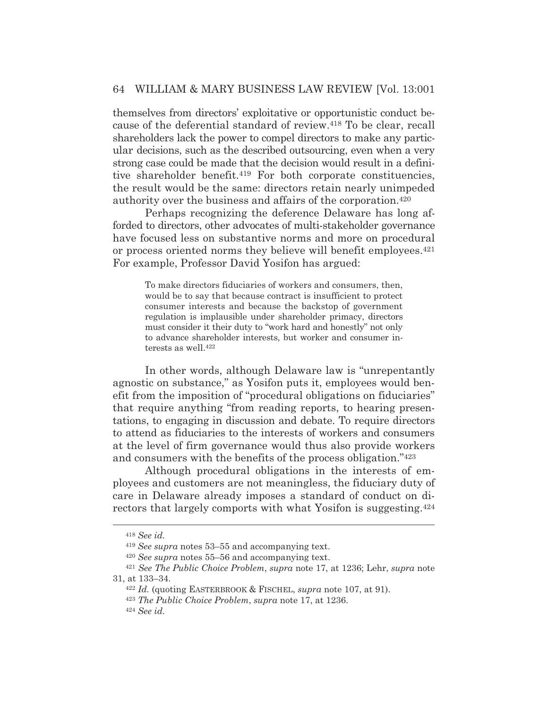themselves from directors' exploitative or opportunistic conduct because of the deferential standard of review.418 To be clear, recall shareholders lack the power to compel directors to make any particular decisions, such as the described outsourcing, even when a very strong case could be made that the decision would result in a definitive shareholder benefit.419 For both corporate constituencies, the result would be the same: directors retain nearly unimpeded authority over the business and affairs of the corporation.420

 Perhaps recognizing the deference Delaware has long afforded to directors, other advocates of multi-stakeholder governance have focused less on substantive norms and more on procedural or process oriented norms they believe will benefit employees.421 For example, Professor David Yosifon has argued:

To make directors fiduciaries of workers and consumers, then, would be to say that because contract is insufficient to protect consumer interests and because the backstop of government regulation is implausible under shareholder primacy, directors must consider it their duty to "work hard and honestly" not only to advance shareholder interests, but worker and consumer interests as well.422

 In other words, although Delaware law is "unrepentantly agnostic on substance," as Yosifon puts it, employees would benefit from the imposition of "procedural obligations on fiduciaries" that require anything "from reading reports, to hearing presentations, to engaging in discussion and debate. To require directors to attend as fiduciaries to the interests of workers and consumers at the level of firm governance would thus also provide workers and consumers with the benefits of the process obligation."423

 Although procedural obligations in the interests of employees and customers are not meaningless, the fiduciary duty of care in Delaware already imposes a standard of conduct on directors that largely comports with what Yosifon is suggesting.424

<sup>418</sup> *See id.*

<sup>419</sup> *See supra* notes 53–55 and accompanying text.

<sup>420</sup> *See supra* notes 55–56 and accompanying text. 421 *See The Public Choice Problem*, *supra* note 17, at 1236; Lehr, *supra* note 31, at 133–34. 422 *Id.* (quoting EASTERBROOK & FISCHEL, *supra* note 107, at 91).

<sup>423</sup> *The Public Choice Problem*, *supra* note 17, at 1236. 424 *See id.*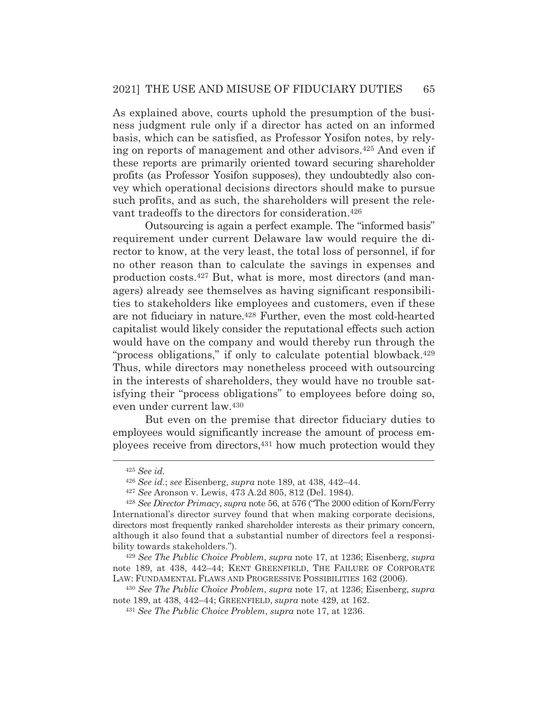As explained above, courts uphold the presumption of the business judgment rule only if a director has acted on an informed basis, which can be satisfied, as Professor Yosifon notes, by relying on reports of management and other advisors.425 And even if these reports are primarily oriented toward securing shareholder profits (as Professor Yosifon supposes), they undoubtedly also convey which operational decisions directors should make to pursue such profits, and as such, the shareholders will present the relevant tradeoffs to the directors for consideration.426

 Outsourcing is again a perfect example. The "informed basis" requirement under current Delaware law would require the director to know, at the very least, the total loss of personnel, if for no other reason than to calculate the savings in expenses and production costs.427 But, what is more, most directors (and managers) already see themselves as having significant responsibilities to stakeholders like employees and customers, even if these are not fiduciary in nature.428 Further, even the most cold-hearted capitalist would likely consider the reputational effects such action would have on the company and would thereby run through the "process obligations," if only to calculate potential blowback.<sup>429</sup> Thus, while directors may nonetheless proceed with outsourcing in the interests of shareholders, they would have no trouble satisfying their "process obligations" to employees before doing so, even under current law.430

 But even on the premise that director fiduciary duties to employees would significantly increase the amount of process employees receive from directors,431 how much protection would they

<sup>429</sup> *See The Public Choice Problem*, *supra* note 17, at 1236; Eisenberg, *supra* note 189, at 438, 442–44; KENT GREENFIELD, THE FAILURE OF CORPORATE LAW: FUNDAMENTAL FLAWS AND PROGRESSIVE POSSIBILITIES 162 (2006).

<sup>425</sup> *See id.* 

<sup>426</sup> *See id.*; *see* Eisenberg, *supra* note 189, at 438, 442–44.

<sup>427</sup> *See* Aronson v. Lewis, 473 A.2d 805, 812 (Del. 1984).

<sup>428</sup> *See Director Primacy*, *supra* note 56, at 576 ("The 2000 edition of Korn/Ferry International's director survey found that when making corporate decisions, directors most frequently ranked shareholder interests as their primary concern, although it also found that a substantial number of directors feel a responsibility towards stakeholders.").

<sup>430</sup> *See The Public Choice Problem*, *supra* note 17, at 1236; Eisenberg, *supra* note 189, at 438, 442–44; GREENFIELD, *supra* note 429, at 162.

<sup>431</sup> *See The Public Choice Problem*, *supra* note 17, at 1236.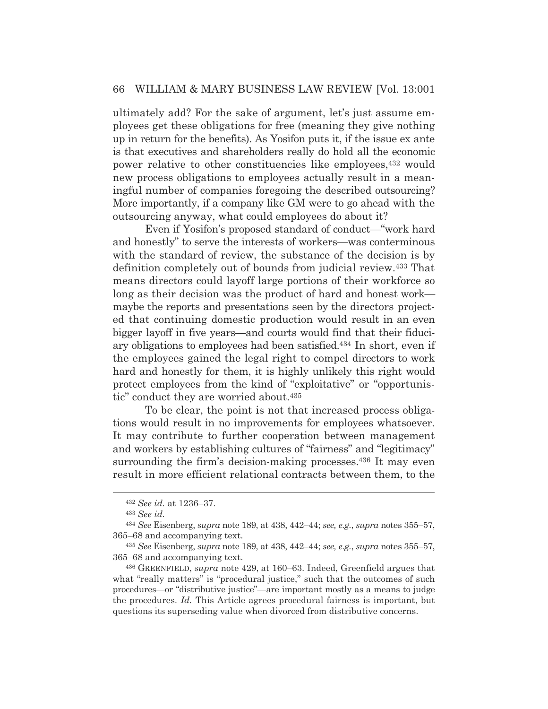ultimately add? For the sake of argument, let's just assume employees get these obligations for free (meaning they give nothing up in return for the benefits). As Yosifon puts it, if the issue ex ante is that executives and shareholders really do hold all the economic power relative to other constituencies like employees,432 would new process obligations to employees actually result in a meaningful number of companies foregoing the described outsourcing? More importantly, if a company like GM were to go ahead with the outsourcing anyway, what could employees do about it?

 Even if Yosifon's proposed standard of conduct—"work hard and honestly" to serve the interests of workers—was conterminous with the standard of review, the substance of the decision is by definition completely out of bounds from judicial review.433 That means directors could layoff large portions of their workforce so long as their decision was the product of hard and honest work maybe the reports and presentations seen by the directors projected that continuing domestic production would result in an even bigger layoff in five years—and courts would find that their fiduciary obligations to employees had been satisfied.434 In short, even if the employees gained the legal right to compel directors to work hard and honestly for them, it is highly unlikely this right would protect employees from the kind of "exploitative" or "opportunistic" conduct they are worried about.435

 To be clear, the point is not that increased process obligations would result in no improvements for employees whatsoever. It may contribute to further cooperation between management and workers by establishing cultures of "fairness" and "legitimacy" surrounding the firm's decision-making processes.<sup>436</sup> It may even result in more efficient relational contracts between them, to the

<sup>432</sup> *See id.* at 1236–37.

<sup>433</sup> *See id.*

<sup>434</sup> *See* Eisenberg, *supra* note 189, at 438, 442–44; *see, e.g.*, *supra* notes 355–57, 365–68 and accompanying text.

<sup>435</sup> *See* Eisenberg, *supra* note 189, at 438, 442–44; *see, e.g.*, *supra* notes 355–57, 365–68 and accompanying text.

<sup>436</sup> GREENFIELD, *supra* note 429, at 160–63. Indeed, Greenfield argues that what "really matters" is "procedural justice," such that the outcomes of such procedures—or "distributive justice"—are important mostly as a means to judge the procedures. *Id.* This Article agrees procedural fairness is important, but questions its superseding value when divorced from distributive concerns.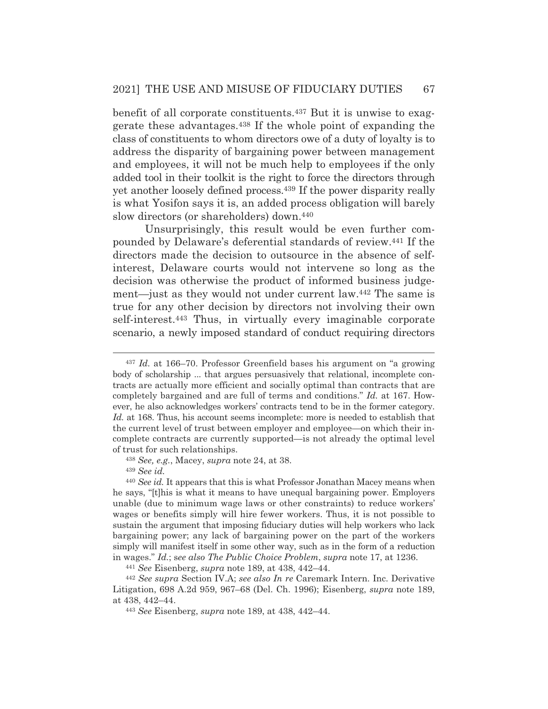benefit of all corporate constituents.437 But it is unwise to exaggerate these advantages.438 If the whole point of expanding the class of constituents to whom directors owe of a duty of loyalty is to address the disparity of bargaining power between management and employees, it will not be much help to employees if the only added tool in their toolkit is the right to force the directors through yet another loosely defined process.439 If the power disparity really is what Yosifon says it is, an added process obligation will barely slow directors (or shareholders) down.<sup>440</sup>

 Unsurprisingly, this result would be even further compounded by Delaware's deferential standards of review.441 If the directors made the decision to outsource in the absence of selfinterest, Delaware courts would not intervene so long as the decision was otherwise the product of informed business judgement—just as they would not under current law.442 The same is true for any other decision by directors not involving their own self-interest.443 Thus, in virtually every imaginable corporate scenario, a newly imposed standard of conduct requiring directors

<sup>439</sup> *See id.* 

<sup>437</sup> *Id.* at 166–70. Professor Greenfield bases his argument on "a growing body of scholarship ... that argues persuasively that relational, incomplete contracts are actually more efficient and socially optimal than contracts that are completely bargained and are full of terms and conditions." *Id.* at 167. However, he also acknowledges workers' contracts tend to be in the former category. *Id.* at 168. Thus, his account seems incomplete: more is needed to establish that the current level of trust between employer and employee—on which their incomplete contracts are currently supported—is not already the optimal level of trust for such relationships.

<sup>438</sup> *See, e.g.*, Macey, *supra* note 24, at 38.

<sup>440</sup> *See id.* It appears that this is what Professor Jonathan Macey means when he says, "[t]his is what it means to have unequal bargaining power. Employers unable (due to minimum wage laws or other constraints) to reduce workers' wages or benefits simply will hire fewer workers. Thus, it is not possible to sustain the argument that imposing fiduciary duties will help workers who lack bargaining power; any lack of bargaining power on the part of the workers simply will manifest itself in some other way, such as in the form of a reduction in wages." Id.; see also The Public Choice Problem, supra note 17, at 1236.<br><sup>441</sup> See Eisenberg, supra note 189, at 438, 442–44.<br><sup>442</sup> See supra Section IV.A; see also In re Caremark Intern. Inc. Derivative

Litigation, 698 A.2d 959, 967–68 (Del. Ch. 1996); Eisenberg, *supra* note 189, at 438, 442–44.

<sup>443</sup> *See* Eisenberg, *supra* note 189, at 438, 442–44.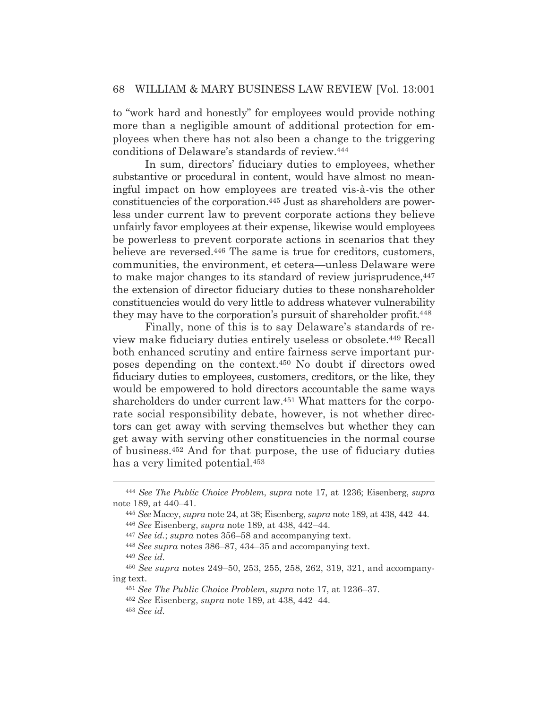to "work hard and honestly" for employees would provide nothing more than a negligible amount of additional protection for employees when there has not also been a change to the triggering conditions of Delaware's standards of review.444

 In sum, directors' fiduciary duties to employees, whether substantive or procedural in content, would have almost no meaningful impact on how employees are treated vis-à-vis the other constituencies of the corporation.445 Just as shareholders are powerless under current law to prevent corporate actions they believe unfairly favor employees at their expense, likewise would employees be powerless to prevent corporate actions in scenarios that they believe are reversed.<sup>446</sup> The same is true for creditors, customers, communities, the environment, et cetera—unless Delaware were to make major changes to its standard of review jurisprudence,  $447$ the extension of director fiduciary duties to these nonshareholder constituencies would do very little to address whatever vulnerability they may have to the corporation's pursuit of shareholder profit.448

 Finally, none of this is to say Delaware's standards of review make fiduciary duties entirely useless or obsolete.449 Recall both enhanced scrutiny and entire fairness serve important purposes depending on the context.450 No doubt if directors owed fiduciary duties to employees, customers, creditors, or the like, they would be empowered to hold directors accountable the same ways shareholders do under current law.451 What matters for the corporate social responsibility debate, however, is not whether directors can get away with serving themselves but whether they can get away with serving other constituencies in the normal course of business.452 And for that purpose, the use of fiduciary duties has a very limited potential.<sup>453</sup>

<sup>444</sup> *See The Public Choice Problem*, *supra* note 17, at 1236; Eisenberg, *supra* note 189, at 440–41.

<sup>445</sup> *See* Macey, *supra* note 24, at 38; Eisenberg, *supra* note 189, at 438, 442–44.

<sup>446</sup> *See* Eisenberg, *supra* note 189, at 438, 442–44.

<sup>447</sup> *See id.*; *supra* notes 356–58 and accompanying text.

<sup>448</sup> *See supra* notes 386–87, 434–35 and accompanying text.

<sup>449</sup> *See id.*

<sup>450</sup> *See supra* notes 249–50, 253, 255, 258, 262, 319, 321, and accompanying text.

<sup>451</sup> *See The Public Choice Problem*, *supra* note 17, at 1236–37.

<sup>452</sup> *See* Eisenberg, *supra* note 189, at 438, 442–44.

<sup>453</sup> *See id.*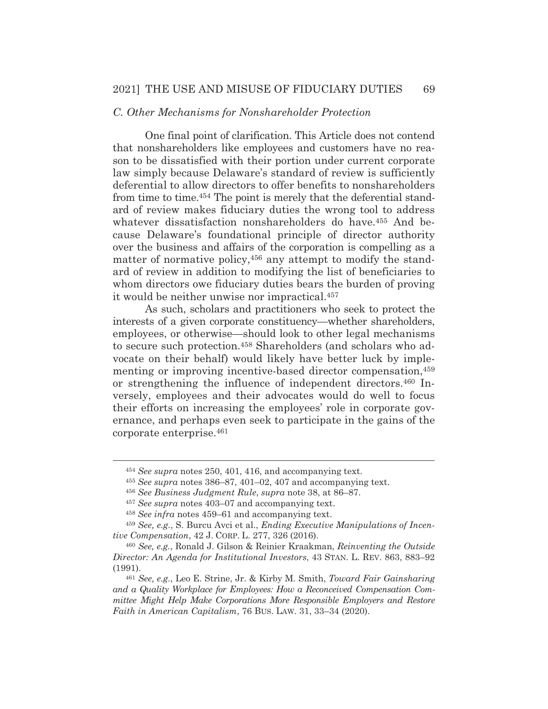#### *C. Other Mechanisms for Nonshareholder Protection*

 One final point of clarification. This Article does not contend that nonshareholders like employees and customers have no reason to be dissatisfied with their portion under current corporate law simply because Delaware's standard of review is sufficiently deferential to allow directors to offer benefits to nonshareholders from time to time.454 The point is merely that the deferential standard of review makes fiduciary duties the wrong tool to address whatever dissatisfaction nonshareholders do have.<sup>455</sup> And because Delaware's foundational principle of director authority over the business and affairs of the corporation is compelling as a matter of normative policy,<sup>456</sup> any attempt to modify the standard of review in addition to modifying the list of beneficiaries to whom directors owe fiduciary duties bears the burden of proving it would be neither unwise nor impractical.457

 As such, scholars and practitioners who seek to protect the interests of a given corporate constituency—whether shareholders, employees, or otherwise—should look to other legal mechanisms to secure such protection.458 Shareholders (and scholars who advocate on their behalf) would likely have better luck by implementing or improving incentive-based director compensation.<sup>459</sup> or strengthening the influence of independent directors.460 Inversely, employees and their advocates would do well to focus their efforts on increasing the employees' role in corporate governance, and perhaps even seek to participate in the gains of the corporate enterprise.461

<sup>454</sup> *See supra* notes 250, 401, 416, and accompanying text.

<sup>455</sup> *See supra* notes 386–87, 401–02, 407 and accompanying text.

<sup>456</sup> *See Business Judgment Rule*, *supra* note 38, at 86–87.

<sup>457</sup> *See supra* notes 403–07 and accompanying text.

<sup>458</sup> *See infra* notes 459–61 and accompanying text.

<sup>459</sup> *See, e.g.*, S. Burcu Avci et al., *Ending Executive Manipulations of Incentive Compensation*, 42 J. CORP. L. 277, 326 (2016).

<sup>460</sup> *See, e.g.*, Ronald J. Gilson & Reinier Kraakman, *Reinventing the Outside Director: An Agenda for Institutional Investors*, 43 STAN. L. REV. 863, 883–92 (1991).

<sup>461</sup> *See, e.g.*, Leo E. Strine, Jr. & Kirby M. Smith, *Toward Fair Gainsharing and a Quality Workplace for Employees: How a Reconceived Compensation Committee Might Help Make Corporations More Responsible Employers and Restore Faith in American Capitalism*, 76 BUS. LAW. 31, 33–34 (2020).